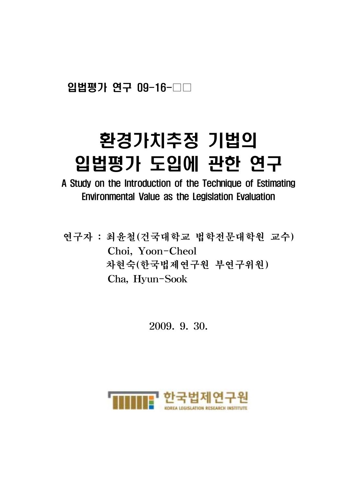입법평가 연구 09-16-

# 환경가치추정 기법의 입법평가 도입에 관한 연구

A Study on the Introduction of the Technique of Estimating Environmental Value as the Legislation Evaluation

연구자 : 최윤철(건국대학교 법학전문대학원 교수) Choi, Yoon-Cheol 차현숙(한국법제연구원 부연구위원) Cha, Hyun-Sook

2009. 9. 30.

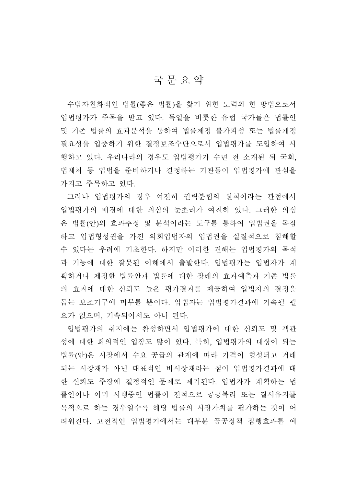# 국문요약

수범자친화적인 법률(좋은 법률)을 찾기 위한 노력의 한 방법으로서 입법평가가 주목을 받고 있다. 독일을 비롯한 유럽 국가들은 법률안 및 기존 법률의 효과분석을 통하여 법률제정 불가피성 또는 법률개정 필요성을 입증하기 위한 결정보조수단으로서 입법평가를 도입하여 시 행하고 있다. 우리나라의 경우도 입법평가가 수년 전 소개된 뒤 국회, 법제처 등 입법을 준비하거나 결정하는 기관들이 입법평가에 관심을 가지고 주목하고 있다.

그러나 입법평가의 경우 여전히 권력분립의 원칙이라는 관점에서 입법평가의 배경에 대한 의심의 눈초리가 여전히 있다. 그러한 의심 은 법률(안)의 효과추정 및 분석이라는 도구를 통하여 입법권을 독점 하고 입법형성권을 가진 의회입법자의 입법권을 실질적으로 침해할 수 있다는 우려에 기초한다. 하지만 이러한 견해는 입법평가의 목적 과 기능에 대한 잘못된 이해에서 출발한다. 입법평가는 입법자가 계 획하거나 제정한 법률안과 법률에 대한 장래의 효과예측과 기존 법률 의 효과에 대한 신뢰도 높은 평가결과를 제공하여 입법자의 결정을 돕는 보조기구에 머무를 뿐이다. 입법자는 입법평가결과에 기속될 필 요가 없으며, 기속되어서도 아니 된다.

입법평가의 취지에는 찬성하면서 입법평가에 대한 신뢰도 및 객관 성에 대한 회의적인 입장도 많이 있다. 특히, 입법평가의 대상이 되는 법률(안)은 시장에서 수요 공급의 관계에 따라 가격이 형성되고 거래 되는 시장재가 아닌 대표적인 비시장재라는 점이 입법평가결과에 대 한 신뢰도 주장에 결정적인 문제로 제기된다. 입법자가 계획하는 법 률안이나 이미 시행중인 법률이 전적으로 공공복리 또는 질서유지를 목적으로 하는 경우일수록 해당 법률의 시장가치를 평가하는 것이 어 려워진다. 고전적인 입법평가에서는 대부분 공공정책 집행효과를 예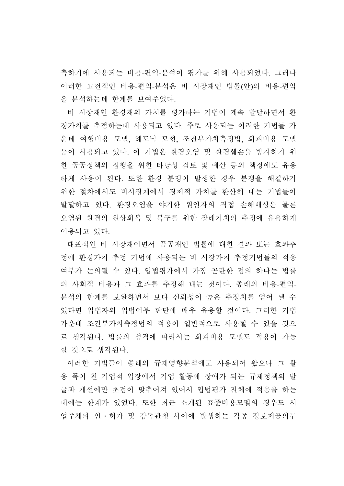측하기에 사용되는 비용-편익-분석이 평가를 위해 사용되었다. 그러나 이러한 고전적인 비용-편익-분석은 비 시장재인 법률(안)의 비용-편익 을 분석하는데 한계를 보여주었다.

비 시장재인 환경재의 가치를 평가하는 기법이 계속 발달하면서 환 경가치를 추정하는데 사용되고 있다. 주로 사용되는 이러한 기법들 가 운데 여행비용 모델, 헤도닉 모형, 조건부가치측정법, 회피비용 모델 등이 시용되고 있다. 이 기법은 환경오염 및 환경훼손을 방지하기 위 한 공공정책의 집행을 위한 타당성 검토 및 예산 등의 책정에도 유용 하게 사용이 된다. 또한 환경 분쟁이 발생한 경우 분쟁을 해결하기 위한 절차에서도 비시장재에서 경제적 가치를 환산해 내는 기법들이 발달하고 있다. 환경오염을 야기한 원인자의 직접 손해배상은 물론 오염된 환경의 원상회복 및 복구를 위한 장래가치의 추정에 유용하게 이용되고 있다.

대표적인 비 시장재이면서 공공재인 법률에 대한 결과 또는 효과추 정에 환경가치 추정 기법에 사용되는 비 시장가치 추정기법들의 적용 여부가 논의될 수 있다. 입법평가에서 가장 곤란한 점의 하나는 법률 의 사회적 비용과 그 효과를 추정해 내는 것이다. 종래의 비용-편익-분석의 한계를 보완하면서 보다 신뢰성이 높은 추정치를 얻어 낼 수 있다면 입법자의 입법여부 판단에 매우 유용할 것이다. 그러한 기법 가운데 조건부가치측정법의 적용이 일반적으로 사용될 수 있을 것으 로 생각된다. 법률의 성격에 따라서는 회피비용 모델도 적용이 가능 할 것으로 생각된다.

이러한 기법들이 종래의 규제영향분석에도 사용되어 왔으나 그 활 용 폭이 친 기업적 입장에서 기업 활동에 장애가 되는 규제정책의 발 굴과 개선에만 초점이 맞추어져 있어서 입법평가 전체에 적용을 하는 데에는 한계가 있었다. 또한 최근 소개된 표준비용모델의 경우도 시 업주체와 인․허가 및 감독관청 사이에 발생하는 각종 정보제공의무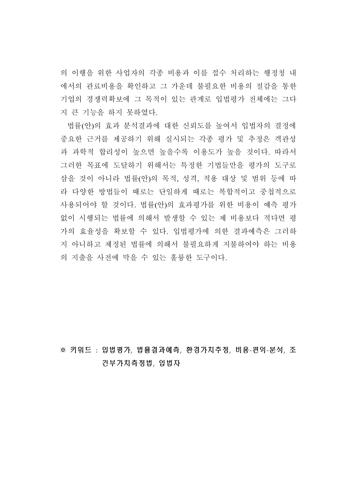의 이행을 위한 사업자의 각종 비용과 이를 접수 처리하는 행정청 내 에서의 관료비용을 확인하고 그 가운데 불필요한 비용의 절감을 통한 기업의 경쟁력확보에 그 목적이 있는 관계로 입법평가 전체에는 그다 지 큰 기능을 하지 못하였다.

법률(안)의 효과 분석결과에 대한 신뢰도를 높여서 입법자의 결정에 중요한 근거를 제공하기 위해 실시되는 각종 평가 및 추정은 객관성 과 과학적 합리성이 높으면 높을수록 이용도가 높을 것이다. 따라서 그러한 목표에 도달하기 위해서는 특정한 기법들만을 평가의 도구로 삼을 것이 아니라 법률(안)의 목적, 성격, 적용 대상 및 범위 등에 따 라 다양한 방법들이 때로는 단일하게 때로는 복합적이고 중첩적으로 사용되어야 할 것이다. 법률(안)의 효과평가를 위한 비용이 예측 평가 없이 시행되는 법률에 의해서 발생할 수 있는 제 비용보다 적다면 평 가의 효율성을 확보할 수 있다. 입법평가에 의한 결과예측은 그러하 지 아니하고 제정된 법률에 의해서 불필요하게 지불하여야 하는 비용 의 지출을 사전에 막을 수 있는 훌륭한 도구이다.

※ 키워드 : 입법평가, 법률결과예측, 환경가치추정, 비용-편익-분석, 조 건부가치측정법, 입법자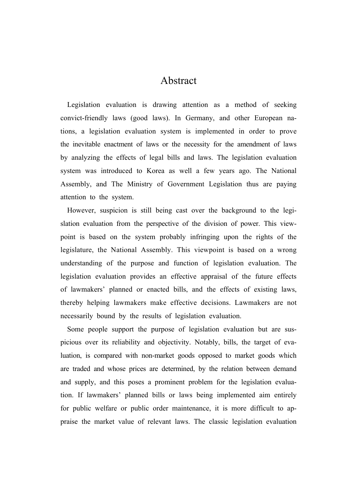# Abstract

Legislation evaluation is drawing attention as a method of seeking convict-friendly laws (good laws). In Germany, and other European nations, a legislation evaluation system is implemented in order to prove the inevitable enactment of laws or the necessity for the amendment of laws by analyzing the effects of legal bills and laws. The legislation evaluation system was introduced to Korea as well a few years ago. The National Assembly, and The Ministry of Government Legislation thus are paying attention to the system.

However, suspicion is still being cast over the background to the legislation evaluation from the perspective of the division of power. This viewpoint is based on the system probably infringing upon the rights of the legislature, the National Assembly. This viewpoint is based on a wrong understanding of the purpose and function of legislation evaluation. The legislation evaluation provides an effective appraisal of the future effects of lawmakers' planned or enacted bills, and the effects of existing laws, thereby helping lawmakers make effective decisions. Lawmakers are not necessarily bound by the results of legislation evaluation.

Some people support the purpose of legislation evaluation but are suspicious over its reliability and objectivity. Notably, bills, the target of evaluation, is compared with non-market goods opposed to market goods which are traded and whose prices are determined, by the relation between demand and supply, and this poses a prominent problem for the legislation evaluation. If lawmakers' planned bills or laws being implemented aim entirely for public welfare or public order maintenance, it is more difficult to appraise the market value of relevant laws. The classic legislation evaluation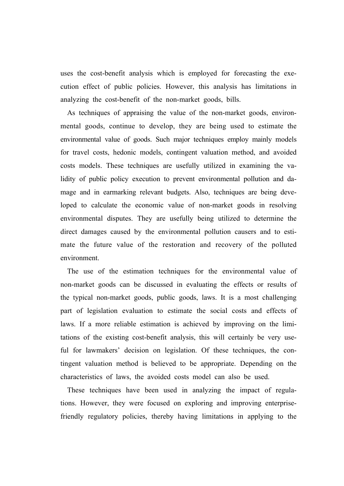uses the cost-benefit analysis which is employed for forecasting the execution effect of public policies. However, this analysis has limitations in analyzing the cost-benefit of the non-market goods, bills.

As techniques of appraising the value of the non-market goods, environmental goods, continue to develop, they are being used to estimate the environmental value of goods. Such major techniques employ mainly models for travel costs, hedonic models, contingent valuation method, and avoided costs models. These techniques are usefully utilized in examining the validity of public policy execution to prevent environmental pollution and damage and in earmarking relevant budgets. Also, techniques are being developed to calculate the economic value of non-market goods in resolving environmental disputes. They are usefully being utilized to determine the direct damages caused by the environmental pollution causers and to estimate the future value of the restoration and recovery of the polluted environment.

The use of the estimation techniques for the environmental value of non-market goods can be discussed in evaluating the effects or results of the typical non-market goods, public goods, laws. It is a most challenging part of legislation evaluation to estimate the social costs and effects of laws. If a more reliable estimation is achieved by improving on the limitations of the existing cost-benefit analysis, this will certainly be very useful for lawmakers' decision on legislation. Of these techniques, the contingent valuation method is believed to be appropriate. Depending on the characteristics of laws, the avoided costs model can also be used.

These techniques have been used in analyzing the impact of regulations. However, they were focused on exploring and improving enterprisefriendly regulatory policies, thereby having limitations in applying to the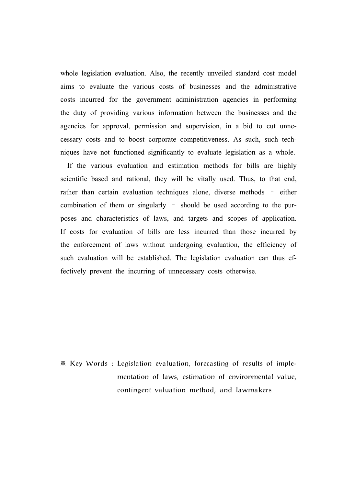whole legislation evaluation. Also, the recently unveiled standard cost model aims to evaluate the various costs of businesses and the administrative costs incurred for the government administration agencies in performing the duty of providing various information between the businesses and the agencies for approval, permission and supervision, in a bid to cut unnecessary costs and to boost corporate competitiveness. As such, such techniques have not functioned significantly to evaluate legislation as a whole.

If the various evaluation and estimation methods for bills are highly scientific based and rational, they will be vitally used. Thus, to that end, rather than certain evaluation techniques alone, diverse methods – either combination of them or singularly – should be used according to the purposes and characteristics of laws, and targets and scopes of application. If costs for evaluation of bills are less incurred than those incurred by the enforcement of laws without undergoing evaluation, the efficiency of such evaluation will be established. The legislation evaluation can thus effectively prevent the incurring of unnecessary costs otherwise.

※ Key Words : Legislation evaluation, forecasting of results of implementation of laws, estimation of environmental value, contingent valuation method, and lawmakers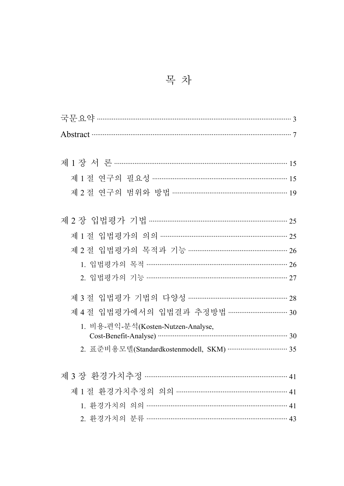목 차

| 제1장서론……………………………………………………………………………………………15          |
|-----------------------------------------------------|
| 제 1 절 연구의 필요성 …………………………………………………………… 15            |
| 제 2 절 연구의 범위와 방법 ……………………………………………………… 19           |
|                                                     |
| 제2장 입법평가 기법 …………………………………………………………………… 25           |
|                                                     |
| 제 2 절 입법평가의 목적과 기능 ……………………………………………… 26            |
| 1. 입법평가의 목적 ………………………………………………………………… 26            |
| 2. 입법평가의 기능 …………………………………………………………… 27              |
| 제 3 절 입법평가 기법의 다양성 ……………………………………………… 28            |
| 제 4 절 입법평가에서의 입법결과 추정방법 …………………………… 30              |
| 1. 비용-편익-분석(Kosten-Nutzen-Analyse,                  |
| 2. 표준비용모델(Standardkostenmodell, SKM) …………………………… 35 |
|                                                     |
|                                                     |
| 제 1 절 환경가치추정의 의의 ……………………………………………………… 41           |
| 1. 환경가치의 의의 ……………………………………………………………………… 41          |
| 2. 환경가치의 분류 ……………………………………………………………… 43             |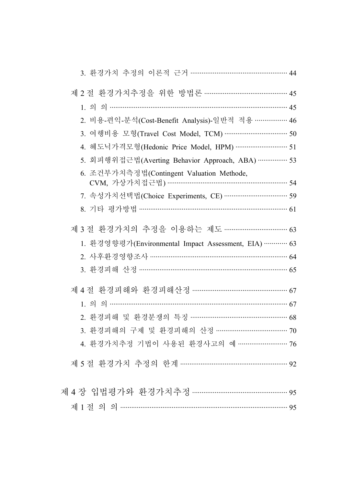| 3. 환경가치 추정의 이론적 근거 …………………………………………… 44                                                            |
|----------------------------------------------------------------------------------------------------|
| 제 2 절 환경가치추정을 위한 방법론 ……………………………………… 45                                                            |
|                                                                                                    |
| 2. 비용-편익-분석(Cost-Benefit Analysis)-일반적 적용 ……………… 46                                                |
| 3. 여행비용 모형(Travel Cost Model, TCM) ……………………………… 50                                                 |
| 4. 헤도닉가격모형(Hedonic Price Model, HPM) ………………………… 51                                                 |
| 5. 회피행위접근법(Averting Behavior Approach, ABA) ……………. 53                                              |
| 6. 조건부가치측정법(Contingent Valuation Methode,<br>CVM, 가상가치접근법) …………………………………………………… 54                 |
| 7. 속성가치선택법(Choice Experiments, CE) …………………………… 59                                                  |
| 8. 기타 평가방법 …………………………………………………………………… 61                                                           |
| 제 3 절 환경가치의 추정을 이용하는 제도 ……………………………… 63<br>1. 환경영향평가(Environmental Impact Assessment, EIA) ………… 63 |
| 2. 사후환경영향조사 ……………………………………………………………… 64                                                            |
| 3. 환경피해 산정 ………………………………………………………………… 65                                                            |
| 제 4 절 환경피해와 환경피해산정 …………………………………………… 67                                                            |
|                                                                                                    |
| 2. 환경피해 및 환경분쟁의 특징 ……………………………………………… 68                                                           |
| 3. 환경피해의 구제 및 환경피해의 산정 ………………………………… 70                                                            |
| 4. 환경가치추정 기법이 사용된 환경사고의 예 ……………………… 76                                                             |
| 제 5 절 환경가치 추정의 한계 ………………………………………………… 92                                                           |
|                                                                                                    |
| 제 1 절 의 의 ……………………………………………………………………………… 95                                                        |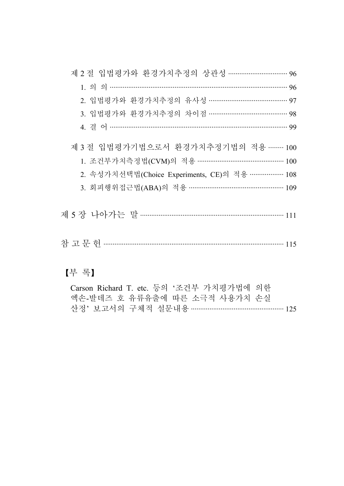| 제 2 절 입법평가와 환경가치추정의 상관성 …………………………… 96            |
|---------------------------------------------------|
| $1.99$ m $0.9$                                    |
| 2. 입법평가와 환경가치추정의 유사성 …………………………………… 97            |
| 3. 입법평가와 환경가치추정의 차이점 …………………………………… 98            |
|                                                   |
| 제 3 절 입법평가기법으로서 환경가치추정기법의 적용 ……… 100              |
|                                                   |
| 2. 속성가치선택법(Choice Experiments, CE)의 적용 ……………… 108 |
|                                                   |
|                                                   |
|                                                   |
| 【부 록】                                             |

| Carson Richard T. etc. 등의 '조건부 가치평가법에 의한 |  |
|------------------------------------------|--|
| 엑손-발데즈 호 유류유출에 따른 소극적 사용가치 손실            |  |
| 산정' 보고서의 구체적 설문내용 ………………………………………… 125   |  |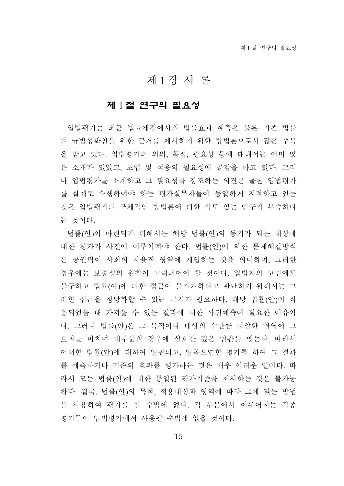# 제 1 장 서 론

## 제 1 절 연구의 필요성

입법평가는 최근 법률제정에서의 법률효과 예측은 물론 기존 법률 의 규범성확인을 위한 근거를 제시하기 위한 방법론으로서 많은 주목 을 받고 있다. 입법평가의 의의, 목적, 필요성 등에 대해서는 이미 많 은 소개가 있었고, 도입 및 적용의 필요성에 공감을 하고 있다. 그러 나 입법평가를 소개하고 그 필요성을 강조하는 의견은 물론 입법평가 를 실제로 수행하여야 하는 평가실무자들이 동일하게 지적하고 있는 것은 입법평가의 구체적인 방법론에 대한 심도 있는 연구가 부족하다 는 것이다.

법률(안)이 마련되기 위해서는 해당 법률(안)의 동기가 되는 대상에 대한 평가가 사전에 이루어져야 한다. 법률(안)에 의한 문제해결방식 은 공권력이 사회의 자율적 영역에 개입하는 것을 의미하며, 그러한 경우에는 보충성의 원칙이 고려되어야 할 것이다. 입법자의 고민에도 불구하고 법률(아)에 의한 접근이 불가피하다고 판단하기 위해서는 그 러한 접근을 정당화할 수 있는 근거가 필요하다. 해당 법률(안)이 적 용되었을 때 가져올 수 있는 결과에 대한 사전예측이 필요한 이유이 다. 그러나 법률(안)은 그 목적이나 대상의 수만큼 다양한 영역에 그 효과를 미치며 대부분의 경우에 상호간 깊은 연관을 맺는다. 따라서 어떠한 법률(안)에 대하여 일관되고, 일목요연한 평가를 하여 그 결과 를 예측하거나 기존의 효과를 평가하는 것은 매우 어려운 일이다. 따 라서 모든 법률(안)에 대한 통일된 평가기준을 제시하는 것은 불가능 하다. 결국, 법률(안)의 목적, 적용대상과 영역에 따라 그에 맞는 방법 을 사용하여 평가를 할 수밖에 없다. 각 부문에서 이루어지는 각종 평가들이 입법평가에서 사용될 수밖에 없을 것이다.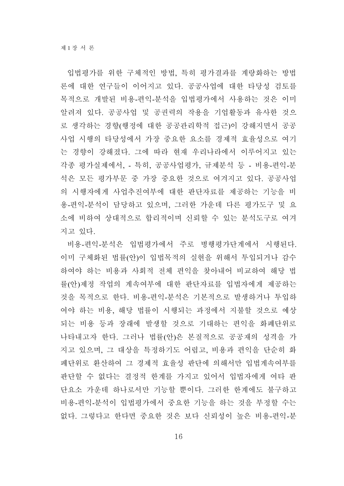입법평가를 위한 구체적인 방법, 특히 평가결과를 계량화하는 방법 론에 대한 연구들이 이어지고 있다. 공공사업에 대한 타당성 검토를 목적으로 개발된 비용-편익-분석을 입법평가에서 사용하는 것은 이미 알려져 있다. 공공사업 및 공권력의 작용을 기업활동과 유사한 것으 로 생각하는 경향(행정에 대한 공공관리학적 접근)이 강해지면서 공공 사업 시행의 타당성에서 가장 중요한 요소를 경제적 효율성으로 여기 는 경향이 강해졌다. 그에 따라 현재 우리나라에서 이루어지고 있는 각종 평가실제에서, - 특히, 공공사업평가, 규제분석 등 - 비용-편익-분 석은 모든 평가부문 중 가장 중요한 것으로 여겨지고 있다. 공공사업 의 시행자에게 사업추진여부에 대한 판단자료를 제공하는 기능을 비 용-편익-분석이 담당하고 있으며, 그러한 가운데 다른 평가도구 및 요 소에 비하여 상대적으로 합리적이며 신뢰할 수 있는 분석도구로 여겨 지고 있다.

비용-편익-분석은 입법평가에서 주로 병행평가단계에서 시행된다. 이미 구체화된 법률(안)이 입법목적의 실현을 위해서 투입되거나 감수 하여야 하는 비용과 사회적 전체 편익을 찾아내어 비교하여 해당 법 률(안)제정 작업의 계속여부에 대한 판단자료를 입법자에게 제공하는 것을 목적으로 한다. 비용-편익-분석은 기본적으로 발생하거나 투입하 여야 하는 비용, 해당 법률이 시행되는 과정에서 지불할 것으로 예상 되는 비용 등과 장래에 발생할 것으로 기대하는 편익을 화폐단위로 나타내고자 한다. 그러나 법률(안)은 본질적으로 공공재의 성격을 가 지고 있으며, 그 대상을 특정하기도 어렵고, 비용과 편익을 단순히 화 폐단위로 환산하여 그 경제적 효율성 판단에 의해서만 입법계속여부를 판단할 수 없다는 결정적 한계를 가지고 있어서 입법자에게 여타 판 단요소 가운데 하나로서만 기능할 뿐이다. 그러한 한계에도 불구하고 비용-편익-분석이 입법평가에서 중요한 기능을 하는 것을 부정할 수는 없다. 그렇다고 한다면 중요한 것은 보다 신뢰성이 높은 비용-편익-분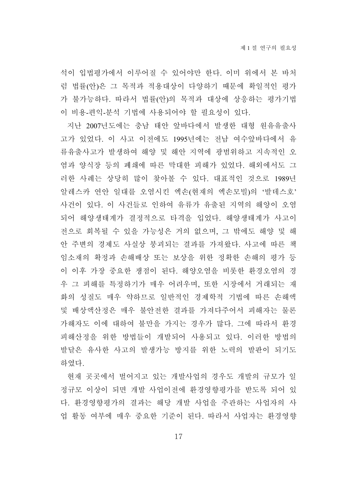석이 입법평가에서 이루어질 수 있어야만 한다. 이미 위에서 본 바처 럼 법률(안)은 그 목적과 적용대상이 다양하기 때문에 확일적인 평가 가 불가능하다. 따라서 법률(안)의 목적과 대상에 상응하는 평가기법 이 비용-편익-분석 기법에 사용되어야 할 필요성이 있다.

지난 2007년도에는 충남 태안 앞바다에서 발생한 대형 원유유출사 고가 있었다. 이 사고 이전에도 1995년에는 전남 여수앞바다에서 유 류유출사고가 발생하여 해양 및 해안 지역에 광범위하고 지속적인 오 염과 양식장 등의 폐쇄에 따른 막대한 피해가 있었다. 해외에서도 그 러한 사례는 상당히 많이 찾아볼 수 있다. 대표적인 것으로 1989년 알레스카 연안 일대를 오염시킨 엑손(현재의 엑손모빌)의 '발데스호' 사건이 있다. 이 사건들로 인하여 유류가 유출된 지역의 해양이 오염 되어 해양생태계가 결정적으로 타격을 입었다. 해양생태계가 사고이 전으로 회복될 수 있을 가능성은 거의 없으며, 그 밖에도 해양 및 해 안 주변의 경제도 사실상 붕괴되는 결과를 가져왔다. 사고에 따른 책 임소재의 확정과 손해배상 또는 보상을 위한 정확한 손해의 평가 등 이 이후 가장 중요한 쟁점이 된다. 해양오염을 비롯한 환경오염의 경 우 그 피해를 특정하기가 매우 어려우며, 또한 시장에서 거래되는 재 화의 성질도 매우 약하므로 일반적인 경제학적 기법에 따른 손해액 및 배상액산정은 매우 불안전한 결과를 가져다주어서 피해자는 물론 가해자도 이에 대하여 불만을 가지는 경우가 많다. 그에 따라서 환경 피해산정을 위한 방법들이 개발되어 사용되고 있다. 이러한 방법의 발달은 유사한 사고의 발생가능 방지를 위한 노력의 발판이 되기도 하였다.

현재 곳곳에서 벌어지고 있는 개발사업의 경우도 개발의 규모가 일 정규모 이상이 되면 개발 사업이전에 환경영향평가를 받도록 되어 있 다. 환경영향평가의 결과는 해당 개발 사업을 주관하는 사업자의 사 업 활동 여부에 매우 중요한 기준이 된다. 따라서 사업자는 환경영향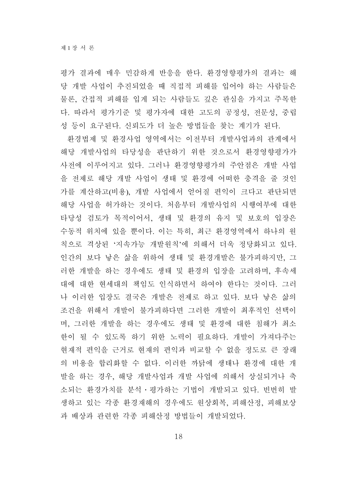평가 결과에 매우 민감하게 반응을 한다. 환경영향평가의 결과는 해 당 개발 사업이 추진되었을 때 직접적 피해를 입어야 하는 사람들은 물론, 간접적 피해를 입게 되는 사람들도 깊은 관심을 가지고 주목한 다. 따라서 평가기준 및 평가자에 대한 고도의 공정성, 전문성, 중립 성 등이 요구된다. 신뢰도가 더 높은 방법들을 찾는 계기가 된다.

환경법제 및 환경사업 영역에서는 이전부터 개발사업과의 관계에서 해당 개발사업의 타당성을 판단하기 위한 것으로서 환경영향평가가 사전에 이루어지고 있다. 그러나 환경영향평가의 주안점은 개발 사업 을 전제로 해당 개발 사업이 생태 및 환경에 어떠한 충격을 줄 것인 가를 계산하고(비용), 개발 사업에서 얻어질 편익이 크다고 판단되면 해당 사업을 허가하는 것이다. 처음부터 개발사업의 시행여부에 대한 타당성 검토가 목적이어서, 생태 및 환경의 유지 및 보호의 입장은 수동적 위치에 있을 뿐이다. 이는 특히, 최근 환경영역에서 하나의 원 칙으로 격상된 '지속가능 개발원칙'에 의해서 더욱 정당화되고 있다. 인간의 보다 낳은 삶을 위하여 생태 및 환경개발은 불가피하지만, 그 러한 개발을 하는 경우에도 생태 및 환경의 입장을 고려하며, 후속세 대에 대한 현세대의 책임도 인식하면서 하여야 한다는 것이다. 그러 나 이러한 입장도 결국은 개발은 전제로 하고 있다. 보다 낳은 삶의 조건을 위해서 개발이 불가피하다면 그러한 개발이 최후적인 선택이 며, 그러한 개발을 하는 경우에도 생태 및 환경에 대한 침해가 최소 한이 될 수 있도록 하기 위한 노력이 필요하다. 개발이 가져다주는 현재적 편익을 근거로 현재의 편익과 비교할 수 없을 정도로 큰 장래 의 비용을 합리화할 수 없다. 이러한 까닭에 생태나 환경에 대한 개 발을 하는 경우, 해당 개발사업과 개발 사업에 의해서 상실되거나 축 소되는 환경가치를 분석․평가하는 기법이 개발되고 있다. 빈번히 발 생하고 있는 각종 환경재해의 경우에도 원상회복, 피해산정, 피해보상 과 배상과 관련한 각종 피해산정 방법들이 개발되었다.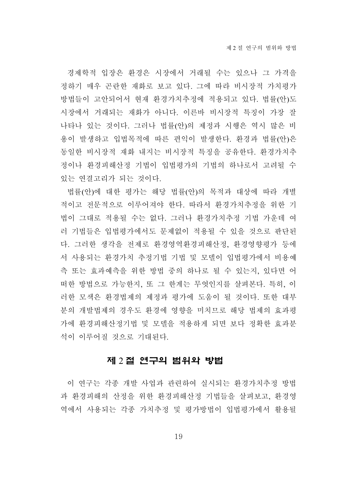경제학적 입장은 환경은 시장에서 거래될 수는 있으나 그 가격을 정하기 매우 곤란한 재화로 보고 있다. 그에 따라 비시장적 가치평가 방법들이 고안되어서 현재 환경가치추정에 적용되고 있다. 법률(안)도 시장에서 거래되는 재화가 아니다. 이른바 비시장적 특징이 가장 잘 나타나 있는 것이다. 그러나 법률(안)의 제정과 시행은 역시 많은 비 용이 발생하고 입법목적에 따른 편익이 발생한다. 환경과 법률(안)은 동일한 비시장적 재화 내지는 비시장적 특징을 공유한다. 환경가치추 정이나 환경피해산정 기법이 입법평가의 기법의 하나로서 고려될 수 있는 연결고리가 되는 것이다.

법률(안)에 대한 평가는 해당 법률(안)의 목적과 대상에 따라 개별 적이고 전문적으로 이루어져야 한다. 따라서 환경가치추정을 위한 기 법이 그대로 적용될 수는 없다. 그러나 환경가치추정 기법 가운데 여 러 기법들은 입법평가에서도 문제없이 적용될 수 있을 것으로 판단된 다. 그러한 생각을 전제로 환경영역환경피해산정, 환경영향평가 등에 서 사용되는 환경가치 추정기법 기법 및 모델이 입법평가에서 비용예 측 또는 효과예측을 위한 방법 중의 하나로 될 수 있는지, 있다면 어 떠한 방법으로 가능한지, 또 그 한계는 무엇인지를 살펴본다. 특히, 이 러한 모색은 환경법제의 제정과 평가에 도움이 될 것이다. 또한 대부 분의 개발법제의 경우도 환경에 영향을 미치므로 해당 법제의 효과평 가에 환경피해산정기법 및 모델을 적용하게 되면 보다 정확한 효과분 석이 이루어질 것으로 기대된다.

#### 제 2 절 연구의 범위와 방법

이 연구는 각종 개발 사업과 관련하여 실시되는 환경가치추정 방법 과 환경피해의 산정을 위한 환경피해산정 기법들을 살펴보고, 환경영 역에서 사용되는 각종 가치추정 및 평가방법이 입법평가에서 활용될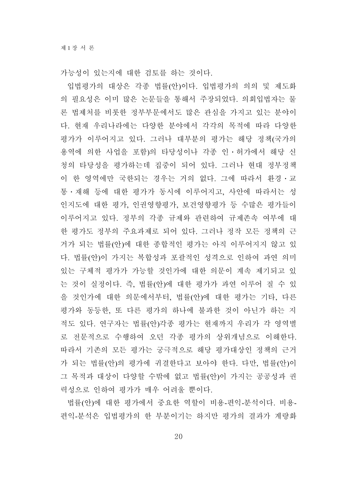가능성이 있는지에 대한 검토를 하는 것이다.

입법평가의 대상은 각종 법률(안)이다. 입법평가의 의의 및 제도화 의 필요성은 이미 많은 논문들을 통해서 주장되었다. 의회입법자는 물 론 법제처를 비롯한 정부부문에서도 많은 관심을 가지고 있는 분야이 다. 현재 우리나라에는 다양한 분야에서 각각의 목적에 따라 다양한 평가가 이루어지고 있다. 그러나 대부분의 평가는 해당 정책(국가의 용역에 의한 사업을 포함)의 타당성이나 각종 인․허가에서 해당 신 청의 타당성을 평가하는데 집중이 되어 있다. 그러나 현대 정부정책 이 한 영역에만 국한되는 경우는 거의 없다. 그에 따라서 환경․교 통․재해 등에 대한 평가가 동시에 이루어지고, 사안에 따라서는 성 인지도에 대한 평가, 인권영향평가, 보건영향평가 등 수많은 평가들이 이루어지고 있다. 정부의 각종 규제와 관련하여 규제존속 여부에 대 한 평가도 정부의 주요과제로 되어 있다. 그러나 정작 모든 정책의 근 거가 되는 법률(안)에 대한 종합적인 평가는 아직 이루어지지 않고 있 다. 법률(안)이 가지는 복합성과 포괄적인 성격으로 인하여 과연 의미 있는 구체적 평가가 가능할 것인가에 대한 의문이 계속 제기되고 있 는 것이 실정이다. 즉, 법률(안)에 대한 평가가 과연 이루어 질 수 있 을 것인가에 대한 의문에서부터, 법률(안)에 대한 평가는 기타, 다른 평가와 동등한, 또 다른 평가의 하나에 불과한 것이 아닌가 하는 지 적도 있다. 연구자는 법률(안)각종 평가는 현재까지 우리가 각 영역별 로 전문적으로 수행하여 오던 각종 평가의 상위개념으로 이해한다. 따라서 기존의 모든 평가는 궁극적으로 해당 평가대상인 정책의 근거 가 되는 법률(안)의 평가에 귀결한다고 보아야 한다. 다만, 법률(안)이 그 목적과 대상이 다양할 수밖에 없고 법률(안)이 가지는 공공성과 권 력성으로 인하여 평가가 매우 어려울 뿐이다.

법률(안)에 대한 평가에서 중요한 역할이 비용-편익-분석이다. 비용-편익-분석은 입법평가의 한 부분이기는 하지만 평가의 결과가 계량화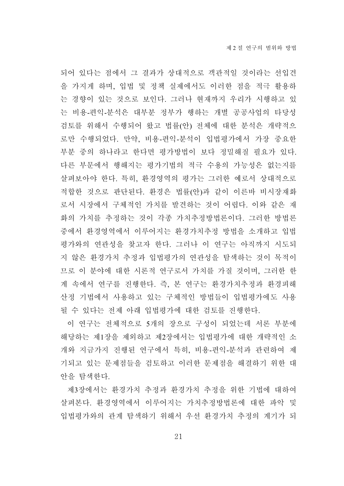되어 있다는 점에서 그 결과가 상대적으로 객관적일 것이라는 선입견 을 가지게 하며, 입법 및 정책 실제에서도 이러한 점을 적극 활용하 는 경향이 있는 것으로 보인다. 그러나 현재까지 우리가 시행하고 있 는 비용-편익-분석은 대부분 정부가 행하는 개별 공공사업의 타당성 검토를 위해서 수행되어 왔고 법률(안) 전체에 대한 분석은 개략적으 로만 수행되었다. 만약, 비용-편익-분석이 입법평가에서 가장 중요한 부분 중의 하나라고 한다면 평가방법이 보다 정밀해질 필요가 있다. 다른 부문에서 행해지는 평가기법의 적극 수용의 가능성은 없는지를 살펴보아야 한다. 특히, 환경영역의 평가는 그러한 예로서 상대적으로 적합한 것으로 판단된다. 환경은 법률(안)과 같이 이른바 비시장재화 로서 시장에서 구체적인 가치를 발견하는 것이 어렵다. 이와 같은 재 화의 가치를 추정하는 것이 각종 가치추정방법론이다. 그러한 방법론 중에서 환경영역에서 이루어지는 환경가치추정 방법을 소개하고 입법 평가와의 연관성을 찾고자 한다. 그러나 이 연구는 아직까지 시도되 지 않은 환경가치 추정과 입법평가의 연관성을 탐색하는 것이 목적이 므로 이 분야에 대한 시론적 연구로서 가치를 가질 것이며, 그러한 한 계 속에서 연구를 진행한다. 즉, 본 연구는 환경가치추정과 환경피해 산정 기법에서 사용하고 있는 구체적인 방법들이 입법평가에도 사용 될 수 있다는 전제 아래 입법평가에 대한 검토를 진행한다.

이 연구는 전체적으로 5개의 장으로 구성이 되었는데 서론 부분에 해당하는 제1장을 제외하고 제2장에서는 입법평가에 대한 개략적인 소 개와 지금가지 진행된 연구에서 특히, 비용-편익-분석과 관련하여 제 기되고 있는 문제점들을 검토하고 이러한 문제점을 해결하기 위한 대 안을 탐색한다.

제3장에서는 환경가치 추정과 환경가치 추정을 위한 기법에 대하여 살펴본다. 환경영역에서 이루어지는 가치추정방법론에 대한 파악 및 입법평가와의 관계 탐색하기 위해서 우선 환경가치 추정의 계기가 되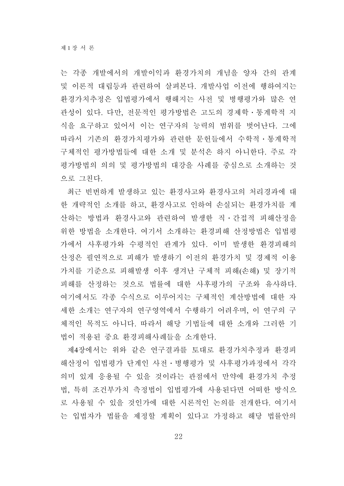는 각종 개발에서의 개발이익과 환경가치의 개념을 양자 간의 관계 및 이론적 대립등과 관련하여 살펴본다. 개발사업 이전에 행하여지는 환경가치추정은 입법평가에서 행해지는 사전 및 병행평가와 많은 연 관성이 있다. 다만, 전문적인 평가방법은 고도의 경제학․통계학적 지 식을 요구하고 있어서 이는 연구자의 능력의 범위를 벗어난다. 그에 따라서 기존의 환경가치평가와 관련한 문헌들에서 수학적․통계학적 구체적인 평가방법들에 대한 소개 및 분석은 하지 아니한다. 주로 각 평가방법의 의의 및 평가방법의 대강을 사례를 중심으로 소개하는 것 으로 그친다.

최근 빈번하게 발생하고 있는 환경사고와 환경사고의 처리경과에 대 한 개략적인 소개를 하고, 환경사고로 인하여 손실되는 환경가치를 계 산하는 방법과 환경사고와 관련하여 발생한 직․간접적 피해산정을 위한 방법을 소개한다. 여기서 소개하는 환경피해 산정방법은 입법평 가에서 사후평가와 수평적인 관계가 있다. 이미 발생한 환경피해의 산정은 필연적으로 피해가 발생하기 이전의 환경가치 및 경제적 이용 가치를 기준으로 피해발생 이후 생겨난 구체적 피해(손해) 및 장기적 피해를 산정하는 것으로 법률에 대한 사후평가의 구조와 유사하다. 여기에서도 각종 수식으로 이루어지는 구체적인 계산방법에 대한 자 세한 소개는 연구자의 연구영역에서 수행하기 어려우며, 이 연구의 구 체적인 목적도 아니다. 따라서 해당 기법들에 대한 소개와 그러한 기 법이 적용된 중요 환경피해사례들을 소개한다.

제4장에서는 위와 같은 연구결과를 토대로 환경가치추정과 환경피 해산정이 입법평가 단계인 사전ㆍ병행평가 및 사후평가과정에서 각각 의미 있게 응용될 수 있을 것이라는 관점에서 만약에 환경가치 추정 법, 특히 조건부가치 측정법이 입법평가에 사용된다면 어떠한 방식으 로 사용될 수 있을 것인가에 대한 시론적인 논의를 전개한다. 여기서 는 입법자가 법률을 제정할 계획이 있다고 가정하고 해당 법률안의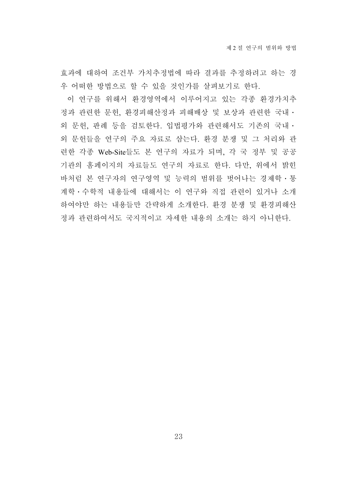효과에 대하여 조건부 가치추정법에 따라 결과를 추정하려고 하는 경 우 어떠한 방법으로 할 수 있을 것인가를 살펴보기로 한다.

이 연구를 위해서 환경영역에서 이루어지고 있는 각종 환경가치추 정과 관련한 문헌, 환경피해산정과 피해배상 및 보상과 관련한 국내․ 외 문헌, 판례 등을 검토한다. 입법평가와 관련해서도 기존의 국내․ 외 문헌들을 연구의 주요 자료로 삼는다. 환경 분쟁 및 그 처리와 관 련한 각종 Web-Site들도 본 연구의 자료가 되며, 각 국 정부 및 공공 기관의 홈페이지의 자료들도 연구의 자료로 한다. 다만, 위에서 밝힌 바처럼 본 연구자의 연구영역 및 능력의 범위를 벗어나는 경제학․통 계학․수학적 내용들에 대해서는 이 연구와 직접 관련이 있거나 소개 하여야만 하는 내용들만 간략하게 소개한다. 환경 분쟁 및 환경피해산 정과 관련하여서도 국지적이고 자세한 내용의 소개는 하지 아니한다.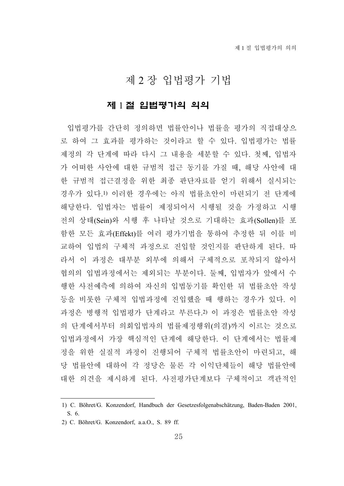# 제 2 장 입법평가 기법

### 제 1 절 입법평가의 의의

입법평가를 간단히 정의하면 법률안이나 법률을 평가의 직접대상으 로 하여 그 효과를 평가하는 것이라고 할 수 있다. 입법평가는 법률 제정의 각 단계에 따라 다시 그 내용을 세분할 수 있다. 첫째, 입법자 가 어떠한 사안에 대한 규범적 접근 동기를 가질 때, 해당 사안에 대 한 규범적 접근결정을 위한 최종 판단자료를 얻기 위해서 실시되는 경우가 있다.1) 이러한 경우에는 아직 법률초안이 마련되기 전 단계에 해당한다. 입법자는 법률이 제정되어서 시행될 것을 가정하고 시행 전의 상태(Sein)와 시행 후 나타날 것으로 기대하는 효과(Sollen)를 포 함한 모든 효과(Effekt)를 여러 평가기법을 통하여 추정한 뒤 이를 비 교하여 입법의 구체적 과정으로 진입할 것인지를 판단하게 된다. 따 라서 이 과정은 대부분 외부에 의해서 구체적으로 포착되지 않아서 협의의 입법과정에서는 제외되는 부분이다. 둘째, 입법자가 앞에서 수 행한 사전예측에 의하여 자신의 입법동기를 확인한 뒤 법률초안 작성 등을 비롯한 구체적 입법과정에 진입했을 때 행하는 경우가 있다. 이 과정은 병행적 입법평가 단계라고 부른다.2) 이 과정은 법률초안 작성 의 단계에서부터 의회입법자의 법률제정행위(의결)까지 이르는 것으로 입법과정에서 가장 핵심적인 단계에 해당한다. 이 단계에서는 법률제 정을 위한 실질적 과정이 진행되어 구체적 법률초안이 마련되고, 해 당 법률안에 대하여 각 정당은 물론 각 이익단체들이 해당 법률안에 대한 의견을 제시하게 된다. 사전평가단계보다 구체적이고 객관적인

<sup>1)</sup> C. Böhret/G. Konzendorf, Handbuch der Gesetzesfolgenabschätzung, Baden-Baden 2001, S. 6.

<sup>2)</sup> C. Böhret/G. Konzendorf, a.a.O., S. 89 ff.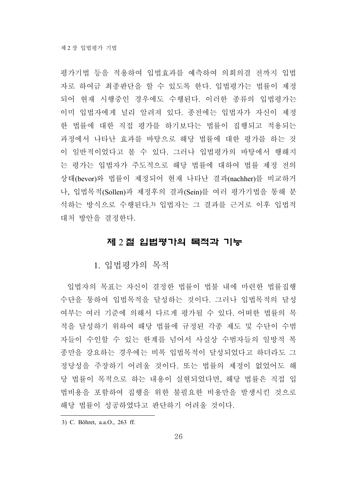평가기법 등을 적용하여 입법효과를 예측하여 의회의결 전까지 입법 자로 하여금 최종판단을 할 수 있도록 한다. 입법평가는 법률이 제정 되어 현재 시행중인 경우에도 수행된다. 이러한 종류의 입법평가는 이미 입법자에게 널리 알려져 있다. 종전에는 입법자가 자신이 제정 한 법률에 대한 직접 평가를 하기보다는 법률이 집행되고 적용되는 과정에서 나타난 효과를 바탕으로 해당 법률에 대한 평가를 하는 것 이 일반적이었다고 볼 수 있다. 그러나 입법평가의 바탕에서 행해지 는 평가는 입법자가 주도적으로 해당 법률에 대하여 법률 제정 전의 상태(bevor)와 법률이 제정되어 현재 나타난 결과(nachher)를 비교하거 나, 입법목적(Sollen)과 제정후의 결과(Sein)를 여러 평가기법을 통해 분 석하는 방식으로 수행된다.3) 입법자는 그 결과를 근거로 이후 입법적 대처 방안을 결정한다.

## 제 2 절 입법평가의 목적과 기능

1. 입법평가의 목적

입법자의 목표는 자신이 결정한 법률이 법불 내에 마련한 법률집행 수단을 통하여 입법목적을 달성하는 것이다. 그러나 입법목적의 달성 여부는 여러 기준에 의해서 다르게 평가될 수 있다. 어떠한 법률의 목 적을 달성하기 위하여 해당 법률에 규정된 각종 제도 및 수단이 수범 자들이 수인할 수 있는 한계를 넘어서 사실상 수범자들의 일방적 복 종만을 강요하는 경우에는 비록 입법목적이 달성되었다고 하더라도 그 정당성을 주장하기 어려울 것이다. 또는 법률의 제정이 없었어도 해 당 법률이 목적으로 하는 내용이 실현되었다면, 해당 법률은 직접 입 법비용을 포함하여 집행을 위한 불필요한 비용만을 발생시킨 것으로 해당 법률이 성공하였다고 판단하기 어려울 것이다.

3) C. Böhret, a.a.O., 263 ff.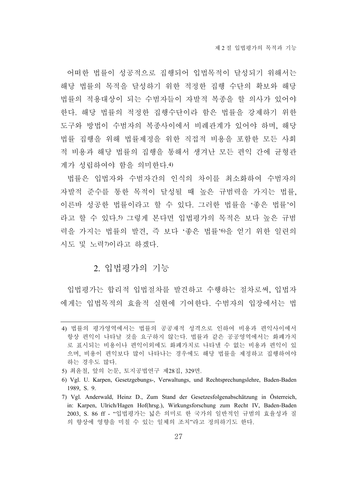어떠한 법률이 성공적으로 집행되어 입법목적이 달성되기 위해서는 해당 법률의 목적을 달성하기 위한 적정한 집행 수단의 확보와 해당 법률의 적용대상이 되는 수범자들이 자발적 복종을 할 의사가 있어야 한다. 해당 법률의 적정한 집행수단이라 함은 법률을 강제하기 위한 도구와 방법이 수범자의 복종사이에서 비례관계가 있어야 하며, 해당 법률 집행을 위해 법률제정을 위한 직접적 비용을 포함한 모든 사회 적 비용과 해당 법률의 집행을 통해서 생겨난 모든 편익 간에 균형관 계가 성립하여야 함을 의미한다.4)

법률은 입법자와 수범자간의 인식의 차이를 최소화하여 수범자의 자발적 준수를 통한 목적이 달성될 때 높은 규범력을 가지는 법률, 이른바 성공한 법률이라고 할 수 있다. 그러한 법률을 '좋은 법률'이 라고 할 수 있다.5) 그렇게 본다면 입법평가의 목적은 보다 높은 규범 력을 가지는 법률의 발견, 즉 보다 '좋은 법률'6)을 얻기 위한 일련의 시도 및 노력7)이라고 하겠다.

## 2. 입법평가의 기능

입법평가는 합리적 입법절차를 발견하고 수행하는 절차로써, 입법자 에게는 입법목적의 효율적 실현에 기여한다. 수범자의 입장에서는 법

<sup>4)</sup> 법률의 평가영역에서는 법률의 공공재적 성격으로 인하여 비용과 편익사이에서 항상 편익이 나타날 것을 요구하지 않는다. 법률과 같은 공공영역에서는 화폐가치 로 표시되는 비용이나 편익이외에도 화폐가치로 나타낼 수 없는 비용과 편익이 있 으며, 비용이 편익보다 많이 나타나는 경우에도 해당 법률을 제정하고 집행하여야 하는 경우도 많다.

<sup>5)</sup> 최윤철, 앞의 논문, 토지공법연구 제28집, 329면.

<sup>6)</sup> Vgl. U. Karpen, Gesetzgebungs-, Verwaltungs, und Rechtsprechungslehre, Baden-Baden 1989, S. 9.

<sup>7)</sup> Vgl. Anderwald, Heinz D., Zum Stand der Gesetzesfolgenabschätzung in Österreich, in: Karpen, Ulrich/Hagen Hof(hrsg.), Wirkungsforschung zum Recht IV, Baden-Baden 2003, S. 86 ff - "입법평가는 넓은 의미로 한 국가의 일반적인 규범의 효율성과 질 의 향상에 영향을 미칠 수 있는 일체의 조치"라고 정의하기도 한다.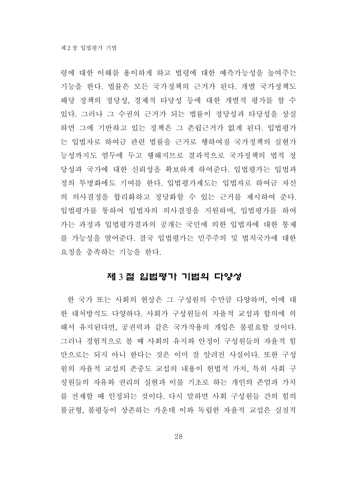령에 대한 이해를 용이하게 하고 법령에 대한 예측가능성을 높여주는 기능을 한다. 법률은 모든 국가정책의 근거가 된다. 개별 국가정책도 해당 정책의 정당성, 경제적 타당성 등에 대한 개별적 평가를 할 수 있다. 그러나 그 수권의 근거가 되는 법률이 정당성과 타당성을 상실 하면 그에 기반하고 있는 정책은 그 존립근거가 없게 된다. 입법평가 는 입법자로 하여금 관련 법률을 근거로 행하여질 국가정책의 실현가 능성까지도 염두에 두고 행해지므로 결과적으로 국가정책의 법적 정 당성과 국가에 대한 신뢰성을 확보하게 하여준다. 입법평가는 입법과 정의 투명화에도 기여를 한다. 입법평가제도는 입법자로 하여금 자신 의 의사결정을 합리화하고 정당화할 수 있는 근거를 제시하여 준다. 입법평가를 통하여 입법자의 의사결정을 지원하며, 입법평가를 하여 가는 과정과 입법평가결과의 공개는 국민에 의한 입법자에 대한 통제 를 가능성을 열어준다. 결국 입법평가는 민주주의 및 법치국가에 대한 요청을 충족하는 기능을 한다.

## 제 3 절 입법평가 기법의 다양성

한 국가 또는 사회의 현상은 그 구성원의 수만큼 다양하며, 이에 대 한 대처방식도 다양하다. 사회가 구성원들의 자율적 교섭과 합의에 의 해서 유지된다면, 공권력과 같은 국가작용의 개입은 불필요할 것이다. 그러나 경험적으로 볼 때 사회의 유지와 안정이 구성원들의 자율적 힘 만으로는 되지 아니 한다는 것은 이미 잘 알려진 사실이다. 또한 구성 원의 자율적 교섭의 존중도 교섭의 내용이 헌법적 가치, 특히 사회 구 성원들의 자유와 권리의 실현과 이를 기초로 하는 개인의 존엄과 가치 를 전제할 때 인정되는 것이다. 다시 말하면 사회 구성원들 간의 힘의 불균형, 불평등이 상존하는 가운데 이와 독립한 자율적 교섭은 실질적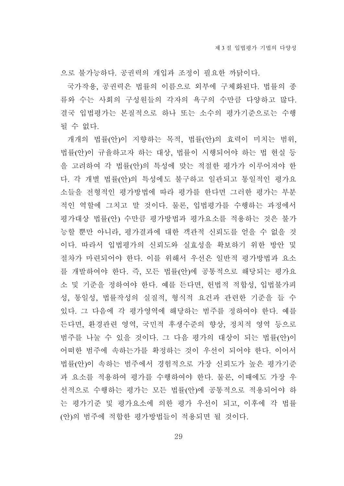으로 불가능하다. 공권력의 개입과 조정이 필요한 까닭이다.

국가작용, 공권력은 법률의 이름으로 외부에 구체화된다. 법률의 종 류와 수는 사회의 구성원들의 각자의 욕구의 수만큼 다양하고 많다. 결국 입법평가는 본질적으로 하나 또는 소수의 평가기준으로는 수행 될 수 없다.

개개의 법률(안)이 지향하는 목적, 법률(안)의 효력이 미치는 범위, 법률(안)이 규율하고자 하는 대상, 법률이 시행되어야 하는 법 현실 등 을 고려하여 각 법률(안)의 특성에 맞는 적절한 평가가 이루어져야 한 다. 각 개별 법률(안)의 특성에도 불구하고 일관되고 통일적인 평가요 소들을 전형적인 평가방법에 따라 평가를 한다면 그러한 평가는 부분 적인 역할에 그치고 말 것이다. 물론, 입법평가를 수행하는 과정에서 평가대상 법률(안) 수만큼 평가방법과 평가요소를 적용하는 것은 불가 능할 뿐만 아니라, 평가결과에 대한 객관적 신뢰도를 얻을 수 없을 것 이다. 따라서 입법평가의 신뢰도와 실효성을 확보하기 위한 방안 및 절차가 마련되어야 한다. 이를 위해서 우선은 일반적 평가방법과 요소 를 개발하여야 한다. 즉, 모든 법률(안)에 공통적으로 해당되는 평가요 소 및 기준을 정하여야 한다. 예를 든다면, 헌법적 적합성, 입법불가피 성, 통일성, 법률작성의 실질적, 형식적 요건과 관련한 기준을 들 수 있다. 그 다음에 각 평가영역에 해당하는 범주를 정하여야 한다. 예를 든다면, 환경관련 영역, 국민적 후생수준의 향상, 정치적 영역 등으로 범주를 나눌 수 있을 것이다. 그 다음 평가의 대상이 되는 법률(안)이 어떠한 범주에 속하는가를 확정하는 것이 우선이 되어야 한다. 이어서 법률(안)이 속하는 범주에서 경험적으로 가장 신뢰도가 높은 평가기준 과 요소를 적용하여 평가를 수행하여야 한다. 물론, 이때에도 가장 우 선적으로 수행하는 평가는 모든 법률(안)에 공통적으로 적용되어야 하 는 평가기준 및 평가요소에 의한 평가 우선이 되고, 이후에 각 법률 (안)의 범주에 적합한 평가방법들이 적용되면 될 것이다.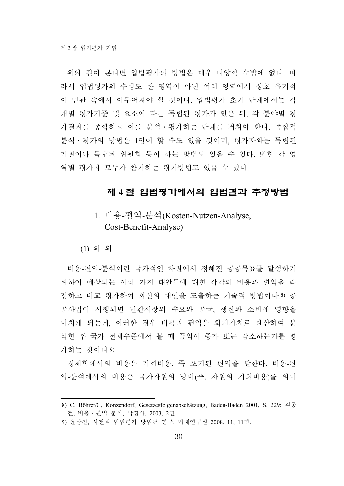위와 같이 본다면 입법평가의 방법은 매우 다양할 수밖에 없다. 따 라서 입법평가의 수행도 한 영역이 아닌 여러 영역에서 상호 유기적 이 연관 속에서 이루어져야 할 것이다. 입법평가 초기 단계에서는 각 개별 평가기준 및 요소에 따른 독립된 평가가 있은 뒤, 각 분야별 평 가결과를 종합하고 이를 분석․평가하는 단계를 거쳐야 한다. 종합적 분석․평가의 방법은 1인이 할 수도 있을 것이며, 평가자와는 독립된 기관이나 독립된 위원회 등이 하는 방법도 있을 수 있다. 또한 각 영 역별 평가자 모두가 참가하는 평가방법도 있을 수 있다.

### 제 4 절 입법평가에서의 입법결과 추정방법

# 1. 비용-편익-분석(Kosten-Nutzen-Analyse, Cost-Benefit-Analyse)

(1) 의 의

비용-편익-분석이란 국가적인 차원에서 정해진 공공목표를 달성하기 위하여 예상되는 여러 가지 대안들에 대한 각각의 비용과 편익을 측 정하고 비교 평가하여 최선의 대안을 도출하는 기술적 방법이다.8) 공 공사업이 시행되면 민간시장의 수요와 공급, 생산과 소비에 영향을 미치게 되는데, 이러한 경우 비용과 편익을 화폐가치로 환산하여 분 석한 후 국가 전체수준에서 볼 때 공익이 증가 또는 감소하는가를 평 가하는 것이다.9)

경제학에서의 비용은 기회비용, 즉 포기된 편익을 말한다. 비용-편 익-분석에서의 비용은 국가자원의 낭비(즉, 자원의 기회비용)를 의미

<sup>8)</sup> C. Böhret/G, Konzendorf, Gesetzesfolgenabschätzung, Baden-Baden 2001, S. 229; 김동 건, 비용․편익 분석, 박영사, 2003, 2면.

<sup>9)</sup> 윤광진, 사전적 입법평가 방법론 연구, 법제연구원 2008. 11, 11면.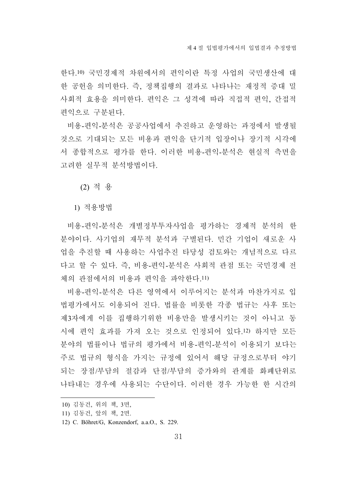한다.10) 국민경제적 차원에서의 편익이란 특정 사업의 국민생산에 대 한 공헌을 의미한다. 즉, 정책집행의 결과로 나타나는 재정적 증대 밀 사회적 효용을 의미한다. 편익은 그 성격에 따라 직접적 편익, 간접적 편익으로 구분된다.

비용-편익-분석은 공공사업에서 추진하고 운영하는 과정에서 발생될 것으로 기대되는 모든 비용과 편익을 단기적 입장이나 장기적 시각에 서 종합적으로 평가를 한다. 이러한 비용-편익-분석은 현실적 측면을 고려한 실무적 분석방법이다.

(2) 적 용

1) 적용방법

비용-편익-분석은 개별정부투자사업을 평가하는 경제적 분석의 한 분야이다. 사기업의 재무적 분석과 구별된다. 민간 기업이 새로운 사 업을 추진할 때 사용하는 사업추진 타당성 검토와는 개념적으로 다르 다고 할 수 있다. 즉, 비용-편익-분석은 사회적 관점 또는 국민경제 전 체의 관점에서의 비용과 편익을 파악한다.11)

비용-편익-분석은 다른 영역에서 이루어지는 분석과 마찬가지로 입 법평가에서도 이용되어 진다. 법률을 비롯한 각종 법규는 사후 또는 제3자에게 이를 집행하기위한 비용만을 발생시키는 것이 아니고 동 시에 편익 효과를 가져 오는 것으로 인정되어 있다.12) 하지만 모든 분야의 법률이나 법규의 평가에서 비용-편익-분석이 이용되기 보다는 주로 법규의 형식을 가지는 규정에 있어서 해당 규정으로부터 야기 되는 장점/부담의 절감과 단점/부담의 증가와의 관계를 화폐단위로 나타내는 경우에 사용되는 수단이다. 이러한 경우 가능한 한 시간의

<sup>10)</sup> 김동건, 위의 책, 3면,

<sup>11)</sup> 김동건, 앞의 책, 2면.

<sup>12)</sup> C. Böhret/G, Konzendorf, a.a.O., S. 229.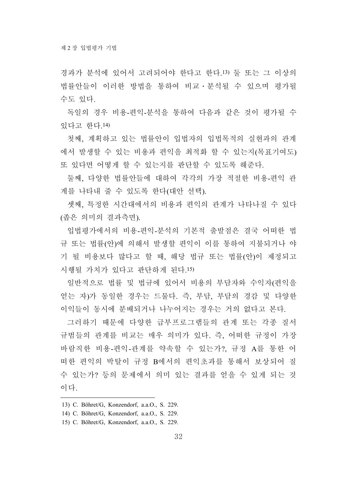경과가 분석에 있어서 고려되어야 한다고 한다.13) 둘 또는 그 이상의 법률안들이 이러한 방법을 통하여 비교․분석될 수 있으며 평가될 수도 있다.

독일의 경우 비용-편익-분석을 통하여 다음과 같은 것이 평가될 수 있다고 한다.14)

첫째, 계획하고 있는 법률안이 입법자의 입법목적의 실현과의 관계 에서 발생할 수 있는 비용과 편익을 최적화 할 수 있는지(목표기여도) 또 있다면 어떻게 할 수 있는지를 판단할 수 있도록 해준다.

둘째, 다양한 법률안들에 대하여 각각의 가장 적절한 비용-편익 관 계를 나타내 줄 수 있도록 한다(대안 선택).

셋째, 특정한 시간대에서의 비용과 편익의 관계가 나타나질 수 있다 (좁은 의미의 결과측면).

입법평가에서의 비용-편익-분석의 기본적 출발점은 결국 어떠한 법 규 또는 법률(안)에 의해서 발생할 편익이 이를 통하여 지불되거나 야 기 될 비용보다 많다고 할 때, 해당 법규 또는 법률(안)이 제정되고 시행될 가치가 있다고 판단하게 된다.15)

일반적으로 법률 및 법규에 있어서 비용의 부담자와 수익자(편익을 얻는 자)가 동일한 경우는 드물다. 즉, 부담, 부담의 경감 및 다양한 이익들이 동시에 분배되거나 나누어지는 경우는 거의 없다고 본다.

그러하기 때문에 다양한 급부프로그램들의 관계 또는 각종 질서 규범들의 관계를 비교는 매우 의미가 있다. 즉, 어떠한 규정이 가장 바람직한 비용-편익-관계를 약속할 수 있는가?, 규정 A를 통한 어 떠한 편익의 박탈이 규정 B에서의 편익초과를 통해서 보상되어 질 수 있는가? 등의 문제에서 의미 있는 결과를 얻을 수 있게 되는 것 이다.

- 13) C. Böhret/G, Konzendorf, a.a.O., S. 229.
- 14) C. Böhret/G, Konzendorf, a.a.O., S. 229.
- 15) C. Böhret/G, Konzendorf, a.a.O., S. 229.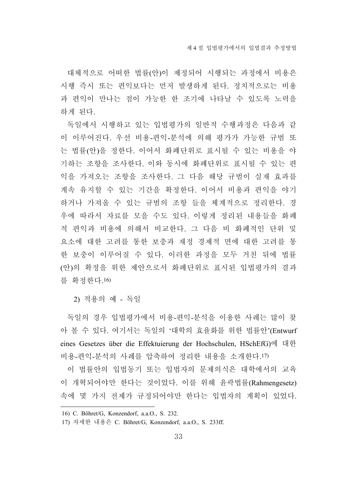대체적으로 어떠한 법률(안)이 제정되어 시행되는 과정에서 비용은 시행 즉시 또는 편익보다는 먼저 발생하게 된다. 정치적으로는 비용 과 편익이 만나는 점이 가능한 한 조기에 나타날 수 있도록 노력을 하게 된다.

독일에서 시행하고 있는 입법평가의 일반적 수행과정은 다음과 같 이 이루어진다. 우선 비용-편익-분석에 의해 평가가 가능한 규범 또 는 법률(안)을 정한다. 이어서 화폐단위로 표시될 수 있는 비용을 야 기하는 조항을 조사한다. 이와 동시에 화폐단위로 표시될 수 있는 편 익을 가져오는 조항을 조사한다. 그 다음 해당 규범이 실재 효과를 계속 유지할 수 있는 기간을 확정한다. 이어서 비용과 편익을 야기 하거나 가져올 수 있는 규범의 조항 들을 체계적으로 정리한다. 경 우에 따라서 자료를 모을 수도 있다. 이렇게 정리된 내용들을 화폐 적 편익과 비용에 의해서 비교한다. 그 다음 비 화폐적인 단위 및 요소에 대한 고려를 통한 보충과 재정 경제적 면에 대한 고려를 통 한 보충이 이루어질 수 있다. 이러한 과정을 모두 거친 뒤에 법률 (안)의 확정을 위한 제안으로서 화폐단위로 표시된 입법평가의 결과 를 확정한다.16)

2) 적용의 예 - 독일

독일의 경우 입법평가에서 비용-편익-분석을 이용한 사례는 많이 찾 아 볼 수 있다. 여기서는 독일의 '대학의 효율화를 위한 법률안'(Entwurf eines Gesetzes über die Effektuierung der Hochschulen, HSchEfG)에 대한 비용-편익-분석의 사례를 압축하여 정리한 내용을 소개한다.17)

이 법률안의 입법동기 또는 입법자의 문제의식은 대학에서의 교육 이 개혁되어야만 한다는 것이었다. 이를 위해 윤곽법률(Rahmengesetz) 속에 몇 가지 전제가 규정되어야만 한다는 입법자의 계획이 있었다.

<sup>16)</sup> C. Böhret/G, Konzendorf, a.a.O., S. 232.

<sup>17)</sup> 자세한 내용은 C. Böhret/G, Konzendorf, a.a.O., S. 233ff.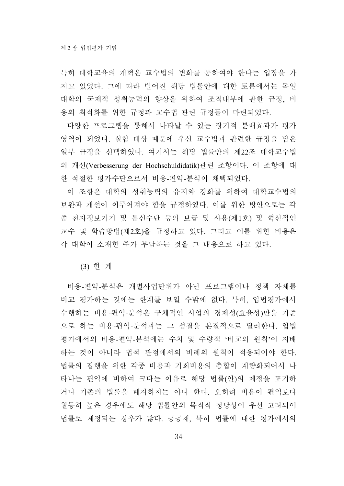특히 대학교육의 개혁은 교수법의 변화를 통하여야 한다는 입장을 가 지고 있었다. 그에 따라 벌어진 해당 법률안에 대한 토론에서는 독일 대학의 국제적 성취능력의 향상을 위하여 조직내부에 관한 규정, 비 용의 최적화를 위한 규정과 교수법 관련 규정들이 마련되었다.

다양한 프로그램을 통해서 나타날 수 있는 장기적 분배효과가 평가 영역이 되었다. 실험 대상 때문에 우선 교수법과 관련한 규정을 담은 일부 규정을 선택하였다. 여기서는 해당 법률안의 제22조 대학교수법 의 개선(Verbesserung der Hochschuldidatik)관련 조항이다. 이 조항에 대 한 적절한 평가수단으로서 비용-편익-분석이 채택되었다.

이 조항은 대학의 성취능력의 유지와 강화를 위하여 대학교수법의 보완과 개선이 이루어져야 함을 규정하였다. 이를 위한 방안으로는 각 종 전자정보기기 및 통신수단 등의 보급 및 사용(제1호) 및 혁신적인 교수 및 학습방법(제2호)을 규정하고 있다. 그리고 이를 위한 비용은 각 대학이 소재한 주가 부담하는 것을 그 내용으로 하고 있다.

(3) 한 계

비용-편익-분석은 개별사업단위가 아닌 프로그램이나 정책 자체를 비교 평가하는 것에는 한계를 보일 수밖에 없다. 특히, 입법평가에서 수행하는 비용-편익-분석은 구체적인 사업의 경제성(효율성)만을 기준 으로 하는 비용-편익-분석과는 그 성질을 본질적으로 달리한다. 입법 평가에서의 비용-편익-분석에는 수치 및 수량적 '비교의 원칙'이 지배 하는 것이 아니라 법적 관점에서의 비례의 원칙이 적용되어야 한다. 법률의 집행을 위한 각종 비용과 기회비용의 총합이 계량화되어서 나 타나는 편익에 비하여 크다는 이유로 해당 법률(안)의 제정을 포기하 거나 기존의 법률을 폐지하지는 아니 한다. 오히려 비용이 편익보다 월등히 높은 경우에도 해당 법률안의 목적적 정당성이 우선 고려되어 법률로 제정되는 경우가 많다. 공공재, 특히 법률에 대한 평가에서의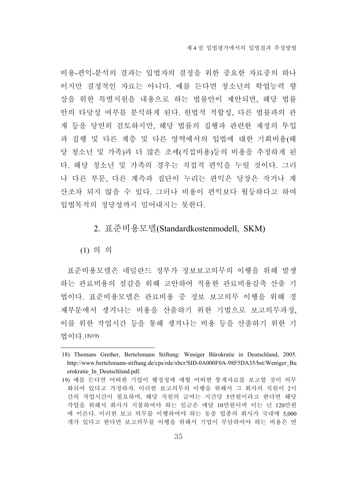비용-편익-분석의 결과는 입법자의 결정을 위한 중요한 자료중의 하나 이지만 결정적인 자료는 아니다. 예를 든다면 청소년의 학업능력 향 상을 위한 특별지원을 내용으로 하는 법률안이 제안되면, 해당 법률 안의 타당성 여부를 분석하게 된다. 헌법적 적합성, 다른 법률과의 관 계 등을 당연히 검토하지만, 해당 법률의 집행과 관련한 재정의 투입 과 집행 및 다른 계층 및 다른 영역에서의 입법에 대한 기회비용(해 당 청소년 및 가족)과 더 많은 조세(직접비용)등의 비용을 추정하게 된 다. 해당 청소년 및 가족의 경우는 직접적 편익을 누릴 것이다. 그러 나 다른 부문, 다른 계측과 집단이 누리는 편익은 당장은 작거나 계 산조차 되지 않을 수 있다. 그러나 비용이 편익보다 월등하다고 하여 입법목적의 정당성까지 밀어내지는 못한다.

# 2. 표준비용모델(Standardkostenmodell, SKM)

(1) 의 의

표준비용모델은 네덜란드 정부가 정보보고의무의 이행을 위해 발생 하는 관료비용의 절감을 위해 고안하여 적용한 관료비용감축 산출 기 법이다. 표준비용모델은 관료비용 중 정보 보고의무 이행을 위해 경 제부문에서 생겨나는 비용을 산출하기 위한 기법으로 보고의무과정, 이를 위한 작업시간 등을 통해 생겨나는 비용 등을 산출하기 위한 기 법이다.18)19)

<sup>18)</sup> Thomans Grether, Bertelsmann Stiftung: Weniger Bürokratie in Deutschland, 2005. http://www.bertelsmann-stiftung.de/cps/rde/xbcr/SID-0A000F0A-98F5DA35/bst/Weniger\_Bu erokratie\_In\_Deutschland.pdf.

<sup>19)</sup> 예를 든다면 어떠한 기업이 행정청에 매월 어떠한 통계자료를 보고할 것이 의무 화되어 있다고 가정하자. 이러한 보고의무의 이행을 위해서 그 회사의 직원이 2시 간의 작업시간이 필요하며, 해당 직원의 급여는 시간당 5만원이라고 한다면 해당 작업을 위해서 회사가 지불하여야 하는 임금은 매달 10만원이며 이는 년 120만원 에 이른다. 이러한 보고 의무를 이행하여야 하는 동종 업종의 회사가 국내에 5,000 개가 있다고 한다면 보고의무를 이행을 위해서 기업이 부담하여야 하는 비용은 연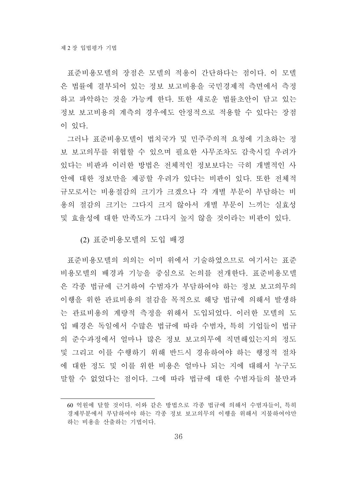표준비용모델의 장점은 모델의 적용이 간단하다는 점이다. 이 모델 은 법률에 결부되어 있는 정보 보고비용을 국민경제적 측면에서 측정 하고 파악하는 것을 가능케 한다. 또한 새로운 법률초안이 담고 있는 정보 보고비용의 계측의 경우에도 안정적으로 적용할 수 있다는 장점 이 있다.

그러나 표준비용모델이 법치국가 및 민주주의적 요청에 기초하는 정 보 보고의무를 위협할 수 있으며 필요한 사무조차도 감축시킬 우려가 있다는 비판과 이러한 방법은 전체적인 정보보다는 극히 개별적인 사 안에 대한 정보만을 제공할 우려가 있다는 비판이 있다. 또한 전체적 규모로서는 비용절감의 크기가 크겠으나 각 개별 부문이 부담하는 비 용의 절감의 크기는 그다지 크지 않아서 개별 부문이 느끼는 실효성 및 효율성에 대한 만족도가 그다지 높지 않을 것이라는 비판이 있다.

(2) 표준비용모델의 도입 배경

표준비용모델의 의의는 이미 위에서 기술하였으므로 여기서는 표준 비용모델의 배경과 기능을 중심으로 논의를 전개한다. 표준비용모델 은 각종 법규에 근거하여 수범자가 부담하여야 하는 정보 보고의무의 이행을 위한 관료비용의 절감을 목적으로 해당 법규에 의해서 발생하 는 관료비용의 계량적 측정을 위해서 도입되었다. 이러한 모델의 도 입 배경은 독일에서 수많은 법규에 따라 수범자, 특히 기업들이 법규 의 준수과정에서 얼마나 많은 정보 보고의무에 직면해있는지의 정도 및 그리고 이를 수행하기 위해 반드시 경유하여야 하는 행정적 절차 에 대한 정도 및 이를 위한 비용은 얼마나 되는 지에 대해서 누구도 말할 수 없었다는 점이다. 그에 따라 법규에 대한 수범자들의 불만과

<sup>60</sup> 억원에 달할 것이다. 이와 같은 방법으로 각종 법규에 의해서 수범자들이, 특히 경제부분에서 부담하여야 하는 각종 정보 보고의무의 이행을 위해서 지불하여야만 하는 비용을 산출하는 기법이다.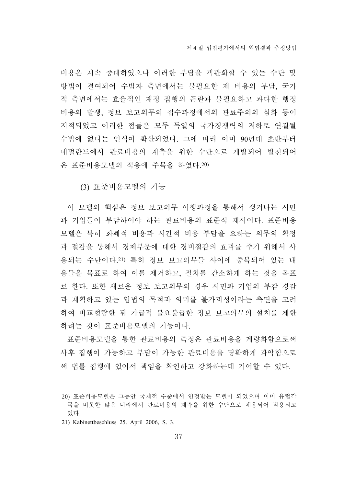비용은 계속 증대하였으나 이러한 부담을 객관화할 수 있는 수단 및 방법이 결여되어 수범자 측면에서는 불필요한 제 비용의 부담, 국가 적 측면에서는 효율적인 재정 집행의 곤란과 불필요하고 과다한 행정 비용의 발생, 정보 보고의무의 접수과정에서의 관료주의의 심화 등이 지적되었고 이러한 점들은 모두 독일의 국가경쟁력의 저하로 연결될 수밖에 없다는 인식이 확산되었다. 그에 따라 이미 90년대 초반부터 네덜란드에서 관료비용의 계측을 위한 수단으로 개발되어 발전되어 온 표준비용모델의 적용에 주목을 하였다.20)

(3) 표준비용모델의 기능

이 모델의 핵심은 정보 보고의무 이행과정을 통해서 생겨나는 시민 과 기업들이 부담하여야 하는 관료비용의 표준적 제시이다. 표준비용 모델은 특히 화폐적 비용과 시간적 비용 부담을 요하는 의무의 확정 과 절감을 통해서 경제부문에 대한 경비절감의 효과를 주기 위해서 사 용되는 수단이다.21) 특히 정보 보고의무들 사이에 중복되어 있는 내 용들을 목표로 하여 이를 제거하고, 절차를 간소하게 하는 것을 목표 로 한다. 또한 새로운 정보 보고의무의 경우 시민과 기업의 부감 경감 과 계획하고 있는 입법의 목적과 의미를 불가피성이라는 측면을 고려 하여 비교형량한 뒤 가급적 불요불급한 정보 보고의무의 설치를 제한 하려는 것이 표준비용모델의 기능이다.

표준비용모델을 통한 관료비용의 측정은 관료비용을 계량화함으로써 사후 집행이 가능하고 부담이 가능한 관료비용을 명확하게 파악함으로 써 법률 집행에 있어서 책임을 확인하고 강화하는데 기여할 수 있다.

<sup>20)</sup> 표준비용모델은 그동안 국제적 수준에서 인정받는 모델이 되었으며 이미 유럽각 국을 비롯한 많은 나라에서 관료비용의 계측을 위한 수단으로 채용되어 적용되고 있다.

<sup>21)</sup> Kabinettbeschluss 25. April 2006, S. 3.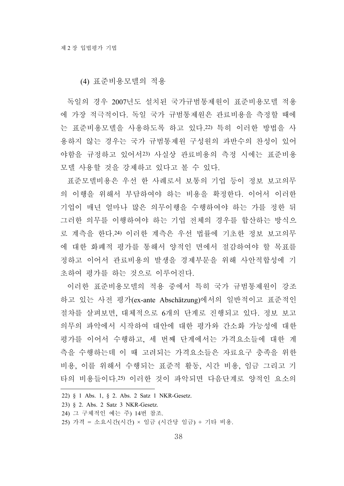(4) 표준비용모델의 적용

독일의 경우 2007년도 설치된 국가규범통제원이 표준비용모델 적용 에 가장 적극적이다. 독일 국가 규범통제원은 관료비용을 측정할 때에 는 표준비용모델을 사용하도록 하고 있다.22) 특히 이러한 방법을 사 용하지 않는 경우는 국가 규범통제원 구성원의 과반수의 찬성이 있어 야함을 규정하고 있어서23) 사실상 관료비용의 측정 시에는 표준비용 모델 사용할 것을 강제하고 있다고 볼 수 있다.

표준모델비용은 우선 한 사례로서 보통의 기업 등이 정보 보고의무 의 이행을 위해서 부담하여야 하는 비용을 확정한다. 이어서 이러한 기업이 매년 얼마나 많은 의무이행을 수행하여야 하는 가를 정한 뒤 그러한 의무를 이행하여야 하는 기업 전체의 경우를 합산하는 방식으 로 계측을 한다.24) 이러한 계측은 우선 법률에 기초한 정보 보고의무 에 대한 화폐적 평가를 통해서 양적인 면에서 절감하여야 할 목표를 정하고 이어서 관료비용의 발생을 경제부문을 위해 사안적합성에 기 초하여 평가를 하는 것으로 이루어진다.

이러한 표준비용모델의 적용 중에서 특히 국가 규범통제원이 강조 하고 있는 사전 평가(ex-ante Abschätzung)에서의 일반적이고 표준적인 절차를 살펴보면, 대체적으로 6개의 단계로 진행되고 있다. 정보 보고 의무의 파악에서 시작하여 대안에 대한 평가와 간소화 가능성에 대한 평가를 이어서 수행하고, 세 번째 단계에서는 가격요소들에 대한 계 측을 수행하는데 이 때 고려되는 가격요소들은 자료요구 충족을 위한 비용, 이를 위해서 수행되는 표준적 활동, 시간 비용, 임금 그리고 기 타의 비용들이다.25) 이러한 것이 파악되면 다음단계로 양적인 요소의

<sup>22) § 1</sup> Abs. 1, § 2. Abs. 2 Satz 1 NKR-Gesetz.

<sup>23) § 2.</sup> Abs. 2 Satz 3 NKR-Gesetz.

<sup>24)</sup> 그 구체적인 예는 주) 14번 참조.

<sup>25)</sup> 가격 = 소요시간(시간) × 임금 (시간당 임금) + 기타 비용.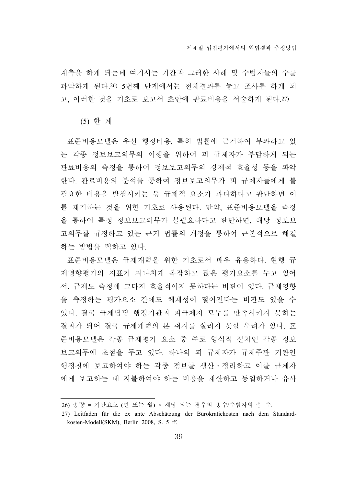계측을 하게 되는데 여기서는 기간과 그러한 사례 및 수범자들의 수를 파악하게 된다.26) 5번째 단계에서는 전체결과를 놓고 조사를 하게 되 고, 이러한 것을 기초로 보고서 초안에 관료비용을 서술하게 된다.27)

(5) 한 계

표준비용모델은 우선 행정비용, 특히 법률에 근거하여 부과하고 있 는 각종 정보보고의무의 이행을 위하여 피 규제자가 부담하게 되는 관료비용의 측정을 통하여 정보보고의무의 경제적 효율성 등을 파악 한다. 관료비용의 분석을 통하여 정보보고의무가 피 규제자들에게 불 필요한 비용을 발생시키는 등 규제적 요소가 과다하다고 판단하면 이 를 제거하는 것을 위한 기초로 사용된다. 만약, 표준비용모델을 측정 을 통하여 특정 정보보고의무가 불필요하다고 판단하면, 해당 정보보 고의무를 규정하고 있는 근거 법률의 개정을 통하여 근본적으로 해결 하는 방법을 택하고 있다.

표준비용모델은 규제개혁을 위한 기초로서 매우 유용하다. 현행 규 제영향평가의 지표가 지나치게 복잡하고 많은 평가요소를 두고 있어 서, 규제도 측정에 그다지 효율적이지 못하다는 비판이 있다. 규제영향 을 측정하는 평가요소 간에도 체계성이 떨어진다는 비판도 있을 수 있다. 결국 규제담당 행정기관과 피규제자 모두를 만족시키지 못하는 결과가 되어 결국 규제개혁의 본 취지를 살리지 못할 우려가 있다. 표 준비용모델은 각종 규제평가 요소 중 주로 형식적 절차인 각종 정보 보고의무에 초점을 두고 있다. 하나의 피 규제자가 규제주관 기관인 행정청에 보고하여야 하는 각종 정보를 생산․정리하고 이를 규제자 에게 보고하는 데 지불하여야 하는 비용을 계산하고 동일하거나 유사

<sup>26)</sup> 총량 = 기간요소 (연 또는 월) × 해당 되는 경우의 총수/수범자의 총 수.

<sup>27)</sup> Leitfaden für die ex ante Abschätzung der Bürokratiekosten nach dem Standardkosten-Modell(SKM), Berlin 2008, S. 5 ff.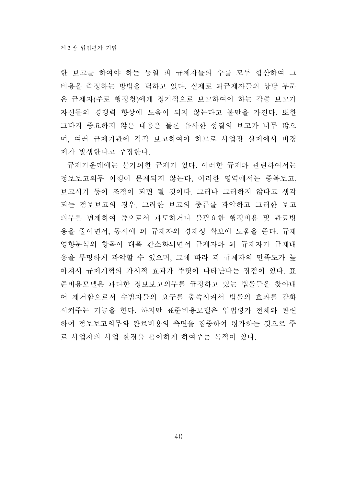한 보고를 하여야 하는 동일 피 규제자들의 수를 모두 합산하여 그 비용을 측정하는 방법을 택하고 있다. 실제로 피규제자들의 상당 부문 은 규제자(주로 행정청)에게 정기적으로 보고하여야 하는 각종 보고가 자신들의 경쟁력 향상에 도움이 되지 않는다고 불만을 가진다. 또한 그다지 중요하지 않은 내용은 물론 유사한 성질의 보고가 너무 많으 며, 여러 규제기관에 각각 보고하여야 하므로 사업장 실제에서 비경 제가 발생한다고 주장한다.

규제가운데에는 불가피한 규제가 있다. 이러한 규제와 관련하여서는 정보보고의무 이행이 문제되지 않는다, 이러한 영역에서는 중복보고, 보고시기 등이 조정이 되면 될 것이다. 그러나 그러하지 않다고 생각 되는 정보보고의 경우, 그러한 보고의 종류를 파악하고 그러한 보고 의무를 면제하여 줌으로서 과도하거나 불필요한 행정비용 및 관료빙 용을 줄이면서, 동시에 피 규제자의 경제성 확보에 도움을 준다. 규제 영향분석의 항목이 대폭 간소화되면서 규제자와 피 규제자가 규제내 용을 투명하게 파악할 수 있으며, 그에 따라 피 규제자의 만족도가 높 아져서 규제개혁의 가시적 효과가 뚜렷이 나타난다는 장점이 있다. 표 준비용모델은 과다한 정보보고의무를 규정하고 있는 법률들을 찾아내 어 제거함으로서 수범자들의 요구를 충족시켜서 법률의 효과를 강화 시켜주는 기능을 한다. 하지만 표준비용모델은 입법평가 전체와 관련 하여 정보보고의무와 관료비용의 측면을 집중하여 평가하는 것으로 주 로 사업자의 사업 환경을 용이하게 하여주는 목적이 있다.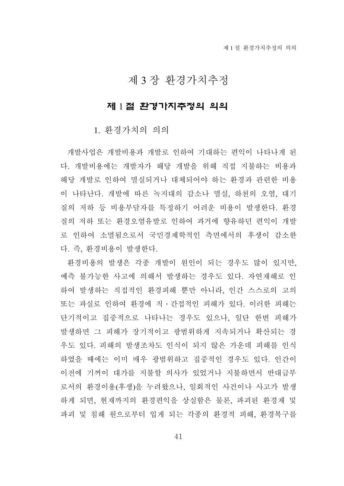# 제 3 장 환경가치추정

#### 제 1 절 환경가치추정의 의의

#### 1. 환경가치의 의의

개발사업은 개발비용과 개발로 인하여 기대하는 편익이 나타나게 된 다. 개발비용에는 개발자가 해당 개발을 위해 직접 지불하는 비용과 해당 개발로 인하여 멸실되거나 대체되어야 하는 환경과 관련한 비용 이 나타난다. 개발에 따른 녹지대의 감소나 멸실, 하천의 오염, 대기 질의 저하 등 비용부담자를 특정하기 어려운 비용이 발생한다. 환경 질의 저하 또는 환경오염유발로 인하여 과거에 향유하던 편익이 개발 로 인하여 소멸됨으로서 국민경제학적인 측면에서의 후생이 감소한 다. 즉, 환경비용이 발생한다.

환경비용의 발생은 각종 개발이 원인이 되는 경우도 많이 있지만, 예측 불가능한 사고에 의해서 발생하는 경우도 있다. 자연재해로 인 하여 발생하는 직접적인 환경피해 뿐만 아니라, 인간 스스로의 고의 또는 과실로 인하여 환경에 직․간접적인 피해가 있다. 이러한 피해는 단기적이고 집중적으로 나타나는 경우도 있으나, 일단 한번 피해가 발생하면 그 피해가 장기적이고 광범위하게 지속되거나 확산되는 경 우도 있다. 피해의 발생조차도 인식이 되지 않은 가운데 피해를 인식 하였을 때에는 이미 매우 광범위하고 집중적인 경우도 있다. 인간이 이전에 기꺼이 대가를 지불할 의사가 있었거나 지불하면서 반대급부 로서의 환경이용(후생)을 누려왔으나, 일회적인 사건이나 사고가 발생 하게 되면, 현재까지의 환경편익을 상실함은 물론, 파괴된 환경재 및 파괴 및 침해 원으로부터 입게 되는 각종의 환경적 피해, 환경복구를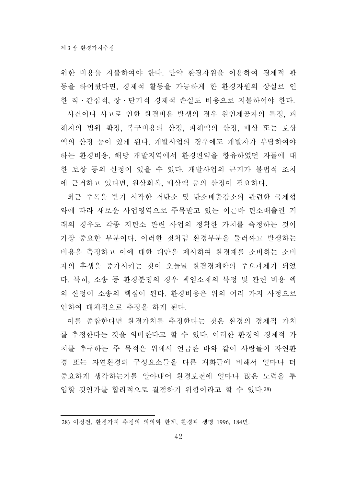위한 비용을 지불하여야 한다. 만약 환경자원을 이용하여 경제적 활 동을 하여왔다면, 경제적 활동을 가능하게 한 환경자원의 상실로 인 한 직․간접적, 장․단기적 경제적 손실도 비용으로 지불하여야 한다.

사건이나 사고로 인한 환경비용 발생의 경우 원인제공자의 특정, 피 해자의 범위 확정, 복구비용의 산정, 피해액의 산정, 배상 또는 보상 액의 산정 등이 있게 된다. 개발사업의 경우에도 개발자가 부담하여야 하는 환경비용, 해당 개발지역에서 환경편익을 향유하였던 자들에 대 한 보상 등의 산정이 있을 수 있다. 개발사업의 근거가 불법적 조치 에 근거하고 있다면, 원상회복, 배상액 등의 산정이 필요하다.

최근 주목을 받기 시작한 저탄소 및 탄소배출감소와 관련한 국제협 약에 따라 새로운 사업영역으로 주목받고 있는 이른바 탄소배출권 거 래의 경우도 각종 저탄소 관련 사업의 정확한 가치를 측정하는 것이 가장 중요한 부분이다. 이러한 것처럼 환경부분을 둘러싸고 발생하는 비용을 측정하고 이에 대한 대안을 제시하여 환경재를 소비하는 소비 자의 후생을 증가시키는 것이 오늘날 환경경제학의 주요과제가 되었 다. 특히, 소송 등 환경분쟁의 경우 책임소재의 특정 및 관련 비용 액 의 산정이 소송의 핵심이 된다. 환경비용은 위의 여러 가지 사정으로 인하여 대체적으로 추정을 하게 된다.

이를 종합한다면 환경가치를 추정한다는 것은 환경의 경제적 가치 를 추정한다는 것을 의미한다고 할 수 있다. 이러한 환경의 경제적 가 치를 추구하는 주 목적은 위에서 언급한 바와 같이 사람들이 자연환 경 또는 자연환경의 구성요소들을 다른 재화들에 비해서 얼마나 더 중요하게 생각하는가를 알아내어 환경보전에 얼마나 많은 노력을 투 입할 것인가를 합리적으로 결정하기 위함이라고 할 수 있다.28)

<sup>28)</sup> 이정전, 환경가치 추정의 의의와 한계, 환경과 생명 1996, 184면.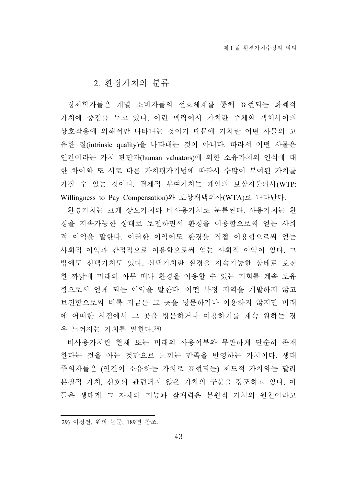## 2. 환경가치의 분류

경제학자들은 개별 소비자들의 선호체계를 통해 표현되는 화폐적 가치에 중점을 두고 있다. 이런 맥락에서 가치란 주체와 객체사이의 상호작용에 의해서만 나타나는 것이기 때문에 가치란 어떤 사물의 고 유한 질(intrinsic quality)을 나타내는 것이 아니다. 따라서 어떤 사물은 인간이라는 가치 판단자(human valuators)에 의한 소유가치의 인식에 대 한 차이와 또 서로 다른 가치평가기법에 따라서 수많이 부여된 가치를 가질 수 있는 것이다. 경제적 부여가치는 개인의 보상지불의사(WTP: Willingness to Pay Compensation)와 보상채택의사(WTA)로 나타난다.

환경가치는 크게 상요가치와 비사용가치로 분류된다. 사용가치는 환 경을 지속가능한 상태로 보전하면서 환경을 이용함으로써 얻는 사회 적 이익을 말한다. 이러한 이익에도 환경을 직접 이용함으로써 얻는 사회적 이익과 간접적으로 이용함으로써 얻는 사회적 이익이 있다. 그 밖에도 선택가치도 있다. 선택가치란 환경을 지속가능한 상태로 보전 한 까닭에 미래의 아무 때나 환경을 이용할 수 있는 기회를 계속 보유 함으로서 얻게 되는 이익을 말한다. 어떤 특정 지역을 개발하지 않고 보전함으로써 비록 지금은 그 곳을 방문하거나 이용하지 않지만 미래 에 어떠한 시점에서 그 곳을 방문하거나 이용하기를 계속 원하는 경 우 느껴지는 가치를 말한다.29)

비사용가치란 현재 또는 미래의 사용여부와 무관하게 단순히 존재 한다는 것을 아는 것만으로 느끼는 만족을 반영하는 가치이다. 생태 주의자들은 (인간이 소유하는 가치로 표현되는) 제도적 가치와는 달리 본질적 가치, 선호와 관련되지 않은 가치의 구분을 강조하고 있다. 이 들은 생태계 그 자체의 기능과 잠재력은 본원적 가치의 원천이라고

<sup>29)</sup> 이정전, 위의 논문, 189면 참조.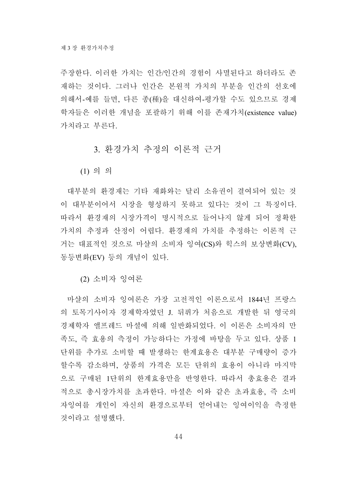주장한다. 이러한 가치는 인간/인간의 경험이 사멸된다고 하더라도 존 재하는 것이다. 그러나 인간은 본원적 가치의 부분을 인간의 선호에 의해서-예를 들면, 다른 종(種)을 대신하여-평가할 수도 있으므로 경제 학자들은 이러한 개념을 포괄하기 위해 이를 존재가치(existence value) 가치라고 부른다.

### 3. 환경가치 추정의 이론적 근거

(1) 의 의

대부분의 환경재는 기타 재화와는 달리 소유권이 결여되어 있는 것 이 대부분이어서 시장을 형성하지 못하고 있다는 것이 그 특징이다. 따라서 환경재의 시장가격이 명시적으로 들어나지 않게 되어 정확한 가치의 추정과 산정이 어렵다. 환경재의 가치를 추정하는 이론적 근 거는 대표적인 것으로 마샬의 소비자 잉여(CS)와 힉스의 보상변화(CV), 동등변화(EV) 등의 개념이 있다.

(2) 소비자 잉여론

마샬의 소비자 잉여론은 가장 고전적인 이론으로서 1844년 프랑스 의 토목기사이자 경제학자였던 J. 뒤퓌가 처음으로 개발한 뒤 영국의 경제학자 앨프레드 마셜에 의해 일반화되었다. 이 이론은 소비자의 만 족도, 즉 효용의 측정이 가능하다는 가정에 바탕을 두고 있다. 상품 1 단위를 추가로 소비할 때 발생하는 한계효용은 대부분 구매량이 증가 할수록 감소하며, 상품의 가격은 모든 단위의 효용이 아니라 마지막 으로 구매된 1단위의 한계효용만을 반영한다. 따라서 총효용은 결과 적으로 총시장가치를 초과한다. 마셜은 이와 같은 초과효용, 즉 소비 자잉여를 개인이 자신의 환경으로부터 얻어내는 잉여이익을 측정한 것이라고 설명했다.

44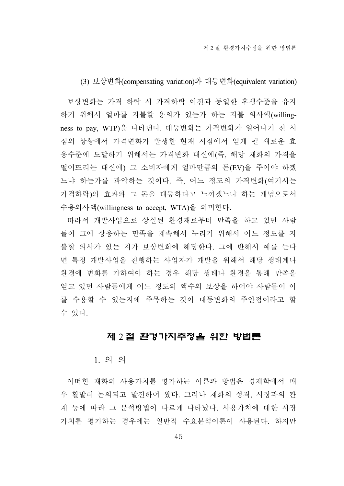(3) 보상변화(compensating variation)와 대등변화(equivalent variation)

보상변화는 가격 하락 시 가격하락 이전과 동일한 후생수준을 유지 하기 위해서 얼마를 지불할 용의가 있는가 하는 지불 의사액(willingness to pay, WTP)을 나타낸다. 대등변화는 가격변화가 일어나기 전 시 점의 상황에서 가격변화가 발생한 현재 시점에서 얻게 될 새로운 효 용수준에 도달하기 위해서는 가격변화 대신에(즉, 해당 재화의 가격을 떨어뜨리는 대신에) 그 소비자에게 얼마만큼의 돈(EV)을 주어야 하겠 느냐 하는가를 파악하는 것이다. 즉, 어느 정도의 가격변화(여기서는 가격하락)의 효과와 그 돈을 대등하다고 느끼겠느냐 하는 개념으로서 수용의사액(willingness to accept, WTA)을 의미한다.

따라서 개발사업으로 상실된 환경재로부터 만족을 하고 있던 사람 들이 그에 상응하는 만족을 계속해서 누리기 위해서 어느 정도를 지 불할 의사가 있는 지가 보상변화에 해당한다. 그에 반해서 예를 든다 면 특정 개발사업을 진행하는 사업자가 개발을 위해서 해당 생태계나 환경에 변화를 가하여야 하는 경우 해당 생태나 환경을 통해 만족을 얻고 있던 사람들에게 어느 정도의 액수의 보상을 하여야 사람들이 이 를 수용할 수 있는지에 주목하는 것이 대등변화의 주안점이라고 할 수 있다.

#### 제 2 절 환경가치추정을 위한 방법론

#### 1. 의 의

어떠한 재화의 사용가치를 평가하는 이론과 방법은 경제학에서 매 우 활발히 논의되고 발전하여 왔다. 그러나 재화의 성격, 시장과의 관 계 등에 따라 그 분석방법이 다르게 나타났다. 사용가치에 대한 시장 가치를 평가하는 경우에는 일반적 수요분석이론이 사용된다. 하지만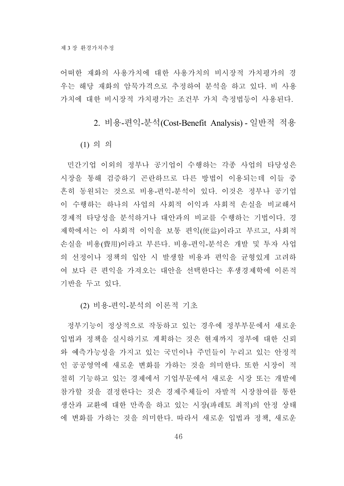어떠한 재화의 사용가치에 대한 사용가치의 비시장적 가치평가의 경 우는 해당 재화의 암묵가격으로 추정하여 분석을 하고 있다. 비 사용 가치에 대한 비시장적 가치평가는 조건부 가치 측정법등이 사용된다.

2. 비용-편익-분석(Cost-Benefit Analysis) - 일반적 적용

(1) 의 의

민간기업 이외의 정부나 공기업이 수행하는 각종 사업의 타당성은 시장을 통해 검증하기 곤란하므로 다른 방법이 이용되는데 이들 중 흔히 동원되는 것으로 비용-편익-분석이 있다. 이것은 정부나 공기업 이 수행하는 하나의 사업의 사회적 이익과 사회적 손실을 비교해서 경제적 타당성을 분석하거나 대안과의 비교를 수행하는 기법이다. 경 제학에서는 이 사회적 이익을 보통 편익(便益)이라고 부르고, 사회적 손실을 비용(費用)이라고 부른다. 비용-편익-분석은 개발 및 투자 사업 의 선정이나 정책의 입안 시 발생할 비용과 편익을 균형있게 고려하 여 보다 큰 편익을 가져오는 대안을 선택한다는 후생경제학에 이론적 기반을 두고 있다.

(2) 비용-편익-분석의 이론적 기초

정부기능이 정상적으로 작동하고 있는 경우에 정부부문에서 새로운 입법과 정책을 실시하기로 계획하는 것은 현재까지 정부에 대한 신뢰 와 예측가능성을 가지고 있는 국민이나 주민들이 누리고 있는 안정적 인 공공영역에 새로운 변화를 가하는 것을 의미한다. 또한 시장이 적 절히 기능하고 있는 경제에서 기업부문에서 새로운 시장 또는 개발에 참가할 것을 결정한다는 것은 경제주체들이 자발적 시장참여를 통한 생산과 교환에 대한 만족을 하고 있는 시장(파레토 최적)의 안정 상태 에 변화를 가하는 것을 의미한다. 따라서 새로운 입법과 정책, 새로운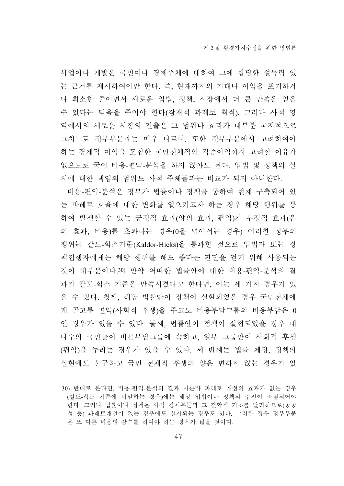사업이나 개발은 국민이나 경제주체에 대하여 그에 합당한 설득력 있 는 근거를 제시하여야만 한다. 즉, 현재까지의 기대나 이익을 포기하거 나 최소한 줄이면서 새로운 입법, 정책, 시장에서 더 큰 만족을 얻을 수 있다는 믿음을 주어야 한다(잠재적 파레토 최적). 그러나 사적 영 역에서의 새로운 시장의 진출은 그 범위나 효과가 대부분 국지적으로 그치므로 정부부문과는 매우 다르다. 또한 정부부분에서 고려하여야 하는 경제적 이익을 포함한 국민전체적인 각종이익까지 고려할 이유가 없으므로 굳이 비용-편익-분석을 하지 않아도 된다. 입법 및 정책의 실 시에 대한 책임의 범위도 사적 주체들과는 비교가 되지 아니한다.

비용-편익-분석은 정부가 법률이나 정책을 통하여 현재 구축되어 있 는 파레토 효율에 대한 변화를 일으키고자 하는 경우 해당 행위를 통 하여 발생할 수 있는 긍정적 효과(양의 효과, 편익)가 부정적 효과(음 의 효과, 비용)를 초과하는 경우(0을 넘어서는 경우) 이러한 정부의 행위는 칼도-힉스기준(Kaldor-Hicks)을 통과한 것으로 입법자 또는 정 책집행자에게는 해당 행위를 해도 좋다는 판단을 얻기 위해 사용되는 것이 대부분이다.30) 만약 어떠한 법률안에 대한 비용-편익-분석의 결 과가 칼도-힉스 기준을 만족시켰다고 한다면, 이는 세 가지 경우가 있 을 수 있다. 첫째, 해당 법률안이 정책이 실현되었을 경우 국민전체에 게 골고루 편익(사회적 후생)을 주고도 비용부담그룹의 비용부담은 0 인 경우가 있을 수 있다. 둘째, 법률안이 정책이 실현되었을 경우 대 다수의 국민들이 비용부담그룹에 속하고, 일부 그룹만이 사회적 후생 (편익)을 누리는 경우가 있을 수 있다. 세 번째는 법률 제정, 정책의 실현에도 불구하고 국민 전체적 후생의 양은 변하지 않는 경우가 있

<sup>30)</sup> 반대로 본다면, 비용-편익-분석의 결과 이른바 파레토 개선의 효과가 없는 경우 (칼도-힉스 기준에 미달하는 경우)에는 해당 입법이나 정책의 추진이 좌절되어야 한다. 그러나 법률이나 정책은 사적 경제부문과 그 철학적 기초를 달리하므로(공공 성 등) 파레토개선이 없는 경우에도 실시되는 경우도 있다. 그러한 경우 정부부문 은 또 다른 비용의 감수를 하여야 하는 경우가 많을 것이다.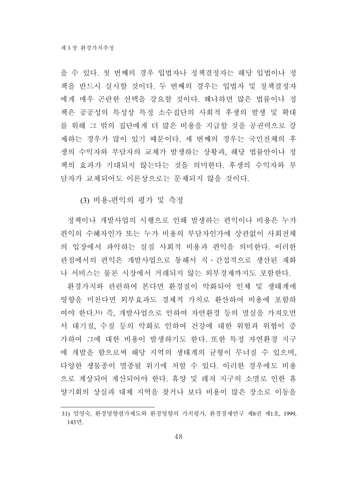을 수 있다. 첫 번째의 경우 입법자나 정책결정자는 해당 입법이나 정 책을 반드시 실시할 것이다. 두 번째의 경우는 입법자 및 정책결정자 에게 매우 곤란한 선택을 강요할 것이다. 왜냐하면 많은 법률이나 정 책은 공공성의 특성상 특정 소수집단의 사회적 후생의 발생 및 확대 를 위해 그 밖의 집단에게 더 많은 비용을 지급할 것을 공권력으로 강 제하는 경우가 많이 있기 때문이다. 세 번째의 경우는 국민전체의 후 생의 수익자와 부담자의 교체가 발생하는 상황과, 해당 법률안이나 정 책의 효과가 기대되지 않는다는 것을 의미한다. 후생의 수익자와 부 담자가 교체되어도 이론상으로는 문제되지 않을 것이다.

(3) 비용-편익의 평가 및 측정

정책이나 개발사업의 시행으로 인해 발생하는 편익이나 비용은 누가 편익의 수혜자인가 또는 누가 비용의 부담자인가에 상관없이 사회전체 의 입장에서 파악하는 실질 사회적 비용과 편익을 의미한다. 이러한 관점에서의 편익은 개발사업으로 통해서 직․간접적으로 생산된 재화 나 서비스는 물론 시장에서 거래되지 않는 외부경제까지도 포함한다.

환경가치와 관련하여 본다면 환경질이 악화되어 인체 및 생태계에 영향을 미친다면 외부효과도 경제적 가치로 환산하여 비용에 포함하 여야 한다.31) 즉, 개발사업으로 인하여 자연환경 등의 멸실을 가져오면 서 대기질, 수질 등의 악화로 인하여 건강에 대한 위험과 위협이 증 가하여 그에 대한 비용이 발생하기도 한다. 또한 특정 자연환경 지구 에 개발을 함으로써 해당 지역의 생태계의 균형이 무너질 수 있으며, 다양한 생물종이 멸종될 위기에 처할 수 있다. 이러한 경우에도 비용 으로 계상되어 계산되어야 한다. 휴양 및 레져 지구의 소멸로 인한 휴 양기회의 상실과 대체 지역을 찾거나 보다 비용이 많은 장소로 이동을

<sup>31)</sup> 엄영숙, 환경영향평가제도와 환경영향의 가치평가, 환경경제연구 제8권 제1호, 1999, 143면.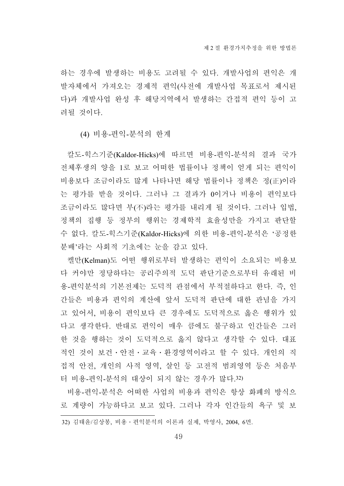하는 경우에 발생하는 비용도 고려될 수 있다. 개발사업의 편익은 개 발자체에서 가져오는 경제적 편익(사전에 개발사업 목표로서 제시된 다)과 개발사업 완성 후 해당지역에서 발생하는 간접적 편익 등이 고 려될 것이다.

(4) 비용-편익-분석의 한계

칼도-힉스기준(Kaldor-Hicks)에 따르면 비용-편익-분석의 결과 국가 전체후생의 양을 1로 보고 어떠한 법률이나 정책이 얻게 되는 편익이 비용보다 조금이라도 많게 나타나면 해당 법률이나 정책은 정(正)이라 는 평가를 받을 것이다. 그러나 그 결과가 0이거나 비용이 편익보다 조금이라도 많다면 부(不)라는 평가를 내리게 될 것이다. 그러나 입법, 정책의 집행 등 정부의 행위는 경제학적 효율성만을 가지고 판단할 수 없다. 칼도-힉스기준(Kaldor-Hicks)에 의한 비용-편익-분석은 '공정한 분배'라는 사회적 기초에는 눈을 감고 있다.

켈만(Kelman)도 어떤 행위로부터 발생하는 편익이 소요되는 비용보 다 커야만 정당하다는 공리주의적 도덕 판단기준으로부터 유래된 비 용-편익분석의 기본전제는 도덕적 관점에서 부적절하다고 한다. 즉, 인 간들은 비용과 편익의 계산에 앞서 도덕적 판단에 대한 관념을 가지 고 있어서, 비용이 편익보다 큰 경우에도 도덕적으로 옳은 행위가 있 다고 생각한다. 반대로 편익이 매우 큼에도 불구하고 인간들은 그러 한 것을 행하는 것이 도덕적으로 옳지 않다고 생각할 수 있다. 대표 적인 것이 보건․안전․교육․환경영역이라고 할 수 있다. 개인의 직 접적 안전, 개인의 사적 영역, 살인 등 고전적 범죄영역 등은 처음부 터 비용-편익-분석의 대상이 되지 않는 경우가 많다.32)

비용-편익-분석은 어떠한 사업의 비용과 편익은 항상 화폐의 방식으 로 계량이 가능하다고 보고 있다. 그러나 각자 인간들의 욕구 및 보

<sup>32)</sup> 김태윤/김상봉, 비용․편익분석의 이론과 실제, 박영사, 2004, 6면.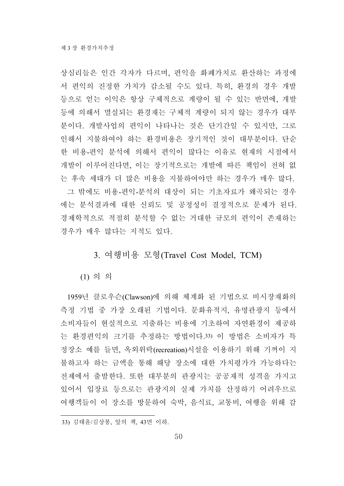상심리들은 인간 각자가 다르며, 편익을 화폐가치로 환산하는 과정에 서 편익의 진정한 가치가 감소될 수도 있다. 특히, 환경의 경우 개발 등으로 얻는 이익은 항상 구체적으로 계량이 될 수 있는 반면에, 개발 등에 의해서 멸실되는 환경재는 구체적 계량이 되지 않는 경우가 대부 분이다. 개발사업의 편익이 나타나는 것은 단기간일 수 있지만, 그로 인해서 지불하여야 하는 환경비용은 장기적인 것이 대부분이다. 단순 한 비용-편익 분석에 의해서 편익이 많다는 이유로 현재의 시점에서 개발이 이루어진다면, 이는 장기적으로는 개발에 따른 책임이 전혀 없 는 후속 세대가 더 많은 비용을 지불하여야만 하는 경우가 매우 많다. 그 밖에도 비용-편익-분석의 대상이 되는 기초자료가 왜곡되는 경우 에는 분석결과에 대한 신뢰도 및 공정성이 결정적으로 문제가 된다. 경제학적으로 적절히 분석할 수 없는 거대한 규모의 편익이 존재하는 경우가 매우 많다는 지적도 있다.

# 3. 여행비용 모형(Travel Cost Model, TCM)

(1) 의 의

1959년 클로우슨(Clawson)에 의해 체계화 된 기법으로 비시장재화의 측정 기법 중 가장 오래된 기법이다. 문화유적지, 유명관광지 등에서 소비자들이 현실적으로 지출하는 비용에 기초하여 자연환경이 제공하 는 환경편익의 크기를 추정하는 방법이다.33) 이 방법은 소비자가 특 정장소 예를 들면, 옥외위락(recreation)시설을 이용하기 위해 기꺼이 지 불하고자 하는 금액을 통해 해당 장소에 대한 가치평가가 가능하다는 전제에서 출발한다. 또한 대부분의 관광지는 공공재적 성격을 가지고 있어서 입장료 등으로는 관광지의 실제 가치를 산정하기 어려우므로 여행객들이 이 장소를 방문하여 숙박, 음식료, 교통비, 여행을 위해 감

<sup>33)</sup> 김태윤/김상봉, 앞의 책, 43면 이하.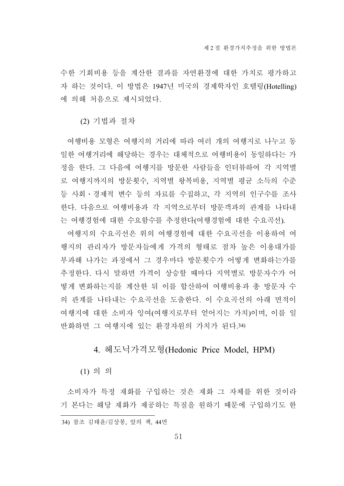수한 기회비용 등을 계산한 결과를 자연환경에 대한 가치로 평가하고 자 하는 것이다. 이 방법은 1947년 미국의 경제학자인 호텔링(Hotelling) 에 의해 처음으로 제시되었다.

(2) 기법과 절차

여행비용 모형은 여행지의 거리에 따라 여러 개의 여행지로 나누고 동 일한 여행거리에 해당하는 경우는 대체적으로 여행비용이 동일하다는 가 정을 한다. 그 다음에 여행지를 방문한 사람들을 인터뷰하여 각 지역별 로 여행지까지의 방문횟수, 지역별 왕복비용, 지역별 평균 소득의 수준 등 사회․경제적 변수 등의 자료를 수집하고, 각 지역의 인구수를 조사 한다. 다음으로 여행비용과 각 지역으로부터 방문객과의 관계를 나타내 는 여행경험에 대한 수요함수를 추정한다(여행경험에 대한 수요곡선).

여행지의 수요곡선은 위의 여행경험에 대한 수요곡선을 이용하여 여 행지의 관리자가 방문자들에게 가격의 형태로 점차 높은 이용대가를 부과해 나가는 과정에서 그 경우마다 방문횟수가 어떻게 변화하는가를 추정한다. 다시 말하면 가격이 상승할 때마다 지역별로 방문자수가 어 떻게 변화하는지를 계산한 뒤 이를 합산하여 여행비용과 총 방문자 수 의 관계를 나타내는 수요곡선을 도출한다. 이 수요곡선의 아래 면적이 여행지에 대한 소비자 잉여(여행지로부터 얻어지는 가치)이며, 이를 일 반화하면 그 여행지에 있는 환경자원의 가치가 된다.34)

## 4. 헤도닉가격모형(Hedonic Price Model, HPM)

(1) 의 의

소비자가 특정 재화를 구입하는 것은 재화 그 자체를 위한 것이라 기 본다는 해당 재화가 제공하는 특질을 원하기 때문에 구입하기도 한

<sup>34)</sup> 참조 김태윤/김상봉, 앞의 책, 44면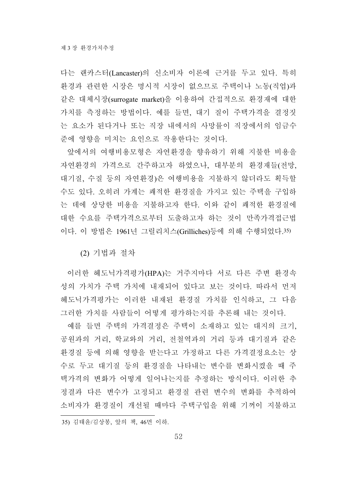다는 랜카스터(Lancaster)의 신소비자 이론에 근거를 두고 있다. 특히 환경과 관련한 시장은 명시적 시장이 없으므로 주택이나 노동(직업)과 같은 대체시장(surrogate market)을 이용하여 간접적으로 환경재에 대한 가치를 측정하는 방법이다. 예를 들면, 대기 질이 주택가격을 결정짓 는 요소가 된다거나 또는 직장 내에서의 사망률이 직장에서의 임금수 준에 영향을 미치는 요인으로 작용한다는 것이다.

앞에서의 여행비용모형은 자연환경을 향유하기 위해 지불한 비용을 자연환경의 가격으로 간주하고자 하였으나, 대부분의 환경재들(전망, 대기질, 수질 등의 자연환경)은 여행비용을 지불하지 않더라도 획득할 수도 있다. 오히려 가계는 쾌적한 환경질을 가지고 있는 주택을 구입하 는 데에 상당한 비용을 지불하고자 한다. 이와 같이 쾌적한 환경질에 대한 수요를 주택가격으로부터 도출하고자 하는 것이 만족가격접근법 이다. 이 방법은 1961년 그릴리치스(Grilliches)등에 의해 수행되었다.35)

(2) 기법과 절차

이러한 헤도닉가격평가(HPA)는 거주지마다 서로 다른 주변 환경속 성의 가치가 주택 가치에 내재되어 있다고 보는 것이다. 따라서 먼저 헤도닉가격평가는 이러한 내재된 환경질 가치를 인식하고, 그 다음 그러한 가치를 사람들이 어떻게 평가하는지를 추론해 내는 것이다.

예를 들면 주택의 가격결정은 주택이 소재하고 있는 대지의 크기, 공원과의 거리, 학교와의 거리, 전철역과의 거리 등과 대기질과 같은 환경질 등에 의해 영향을 받는다고 가정하고 다른 가격결정요소는 상 수로 두고 대기질 등의 환경질을 나타내는 변수를 변화시켰을 때 주 택가격의 변화가 어떻게 일어나는지를 추정하는 방식이다. 이러한 추 정결과 다른 변수가 고정되고 환경질 관련 변수의 변화를 추적하여 소비자가 환경질이 개선될 때마다 주택구입을 위해 기꺼이 지불하고

<sup>35)</sup> 김태윤/김상봉, 앞의 책, 46면 이하.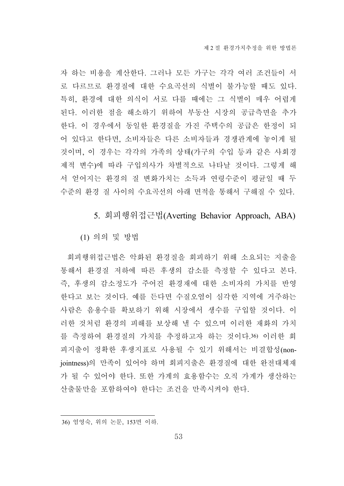자 하는 비용을 계산한다. 그러나 모든 가구는 각각 여러 조건들이 서 로 다르므로 환경질에 대한 수요곡선의 식별이 불가능할 때도 있다. 특히, 환경에 대한 의식이 서로 다를 때에는 그 식별이 매우 어렵게 된다. 이러한 점을 해소하기 위하여 부동산 시장의 공급측면을 추가 한다. 이 경우에서 동일한 환경질을 가진 주택수의 공급은 한정이 되 어 있다고 한다면, 소비자들은 다른 소비자들과 경쟁관계에 놓이게 될 것이며, 이 경우는 각각의 가족의 상태(가구의 수입 등과 같은 사회경 제적 변수)에 따라 구입의사가 차별적으로 나타날 것이다. 그렇게 해 서 얻어지는 환경의 질 변화가치는 소득과 연령수준이 평균일 때 두 수준의 환경 질 사이의 수요곡선의 아래 면적을 통해서 구해질 수 있다.

# 5. 회피행위접근법(Averting Behavior Approach, ABA)

(1) 의의 및 방법

회피행위접근법은 악화된 환경질을 회피하기 위해 소요되는 지출을 통해서 환경질 저하에 따른 후생의 감소를 측정할 수 있다고 본다. 즉, 후생의 감소정도가 주어진 환경재에 대한 소비자의 가치를 반영 한다고 보는 것이다. 예를 든다면 수질오염이 심각한 지역에 거주하는 사람은 음용수를 확보하기 위해 시장에서 생수를 구입할 것이다. 이 러한 것처럼 환경의 피해를 보상해 낼 수 있으며 이러한 재화의 가치 를 측정하여 환경질의 가치를 추정하고자 하는 것이다.36) 이러한 회 피지출이 정확한 후생지표로 사용될 수 있기 위해서는 비결합성(nonjointness)의 만족이 있어야 하며 회피지출은 환경질에 대한 완전대체재 가 될 수 있어야 한다. 또한 가계의 효용함수는 오직 가계가 생산하는 산출물만을 포함하여야 한다는 조건을 만족시켜야 한다.

<sup>36)</sup> 엄영숙, 위의 논문, 153면 이하.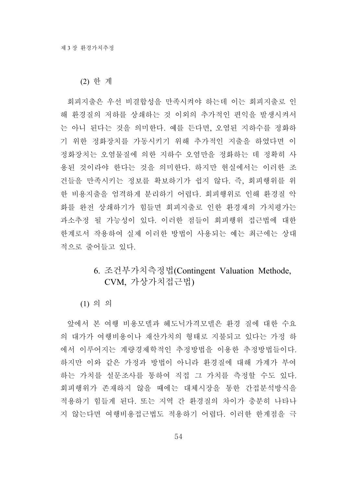(2) 한 계

회피지출은 우선 비결합성을 만족시켜야 하는데 이는 회피지출로 인 해 환경질의 저하를 상쇄하는 것 이외의 추가적인 편익을 발생시켜서 는 아니 된다는 것을 의미한다. 예를 든다면, 오염된 지하수를 정화하 기 위한 정화장치를 가동시키기 위해 추가적인 지출을 하였다면 이 정화장치는 오염물질에 의한 지하수 오염만을 정화하는 데 정확히 사 용된 것이라야 한다는 것을 의미한다. 하지만 현실에서는 이러한 조 건들을 만족시키는 정보를 확보하기가 쉽지 않다. 즉, 회피행위를 위 한 비용지출을 엄격하게 분리하기 어렵다. 회피행위로 인해 환경질 악 화를 완전 상쇄하기가 힘들면 회피지출로 인한 환경재의 가치평가는 과소추정 될 가능성이 있다. 이러한 점들이 회피행위 접근법에 대한 한계로서 작용하여 실제 이러한 방법이 사용되는 예는 최근에는 상대 적으로 줄어들고 있다.

# 6. 조건부가치측정법(Contingent Valuation Methode, CVM, 가상가치접근법)

(1) 의 의

앞에서 본 여행 비용모델과 헤도닉가격모델은 환경 질에 대한 수요 의 대가가 여행비용이나 재산가치의 형태로 지불되고 있다는 가정 하 에서 이루어지는 계량경제학적인 추정방법을 이용한 추정방법들이다. 하지만 이와 같은 가정과 방법이 아니라 환경질에 대해 가계가 부여 하는 가치를 설문조사를 통하여 직접 그 가치를 측정할 수도 있다. 회피행위가 존재하지 않을 때에는 대체시장을 통한 간접분석방식을 적용하기 힘들게 된다. 또는 지역 간 환경질의 차이가 충분히 나타나 지 않는다면 여행비용접근법도 적용하기 어렵다. 이러한 한계점을 극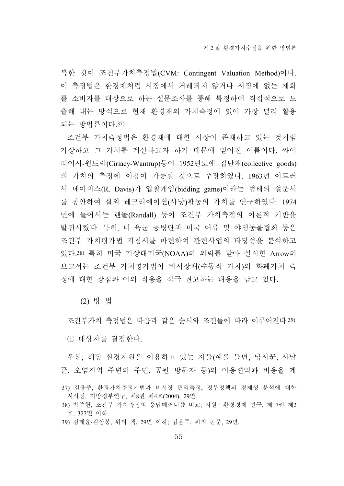복한 것이 조건부가치측정법(CVM: Contingent Valuation Method)이다. 이 측정법은 환경재처럼 시장에서 거래되지 않거나 시장에 없는 재화 를 소비자를 대상으로 하는 설문조사를 통해 특정하여 직접적으로 도 출해 내는 방식으로 현재 환경재의 가치측정에 있어 가장 널리 활용 되는 방법론이다.37)

조건부 가치측정법은 환경재에 대한 시장이 존재하고 있는 것처럼 가상하고 그 가치를 계산하고자 하기 때문에 얻어진 이름이다. 싸이 리어시-원트럽(Ciriacy-Wantrup)등이 1952년도에 집단재(collective goods) 의 가치의 측정에 이용이 가능할 것으로 주장하였다. 1963년 이르러 서 데이비스(R. Davis)가 입찰게임(bidding game)이라는 형태의 설문서 를 창안하여 실외 레크리에이션(사냥)활동의 가치를 연구하였다. 1974 년에 들어서는 랜돌(Randall) 등이 조건부 가치측정의 이론적 기반을 발전시켰다. 특히, 미 육군 공병단과 미국 어류 및 야생동물협회 등은 조건부 가치평가법 지침서를 마련하여 관련사업의 타당성을 분석하고 있다.38) 특히 미국 기상대기국(NOAA)의 의뢰를 받아 실시한 Arrow의 보고서는 조건부 가치평가법이 비시장재(수동적 가치)의 화폐가치 측 정에 대한 장점과 이의 적용을 적극 권고하는 내용을 담고 있다.

(2) 방 법

조건부가치 측정법은 다음과 같은 순서와 조건들에 따라 이루어진다.39) ① 대상자를 결정한다.

우선, 해당 환경자원을 이용하고 있는 자들(예를 들면, 낚시꾼, 사냥 꾼, 오염지역 주변의 주민, 공원 방문자 등)의 이용편익과 비용을 계

<sup>37)</sup> 김용주, 환경가치추정기법과 비시장 편익측정, 정부정책의 경제성 분석에 대한 시사점, 지방정부연구, 제8권 제4호(2004), 29면.

<sup>38)</sup> 박주헌, 조건부 가치측정의 응답메커니즘 비교, 자원․환경경제 연구, 제17권 제2 호, 327면 이하.

<sup>39)</sup> 김태윤/김상봉, 위의 책, 29면 이하; 김용주, 위의 논문, 29면.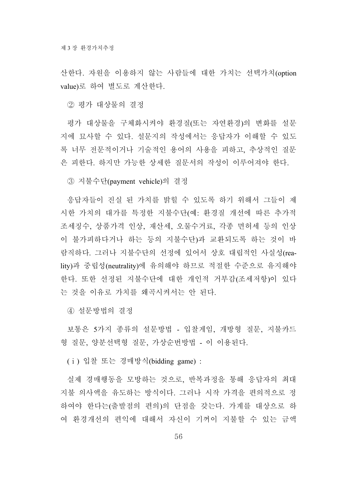산한다. 자원을 이용하지 않는 사람들에 대한 가치는 선택가치(option value)로 하여 별도로 계산한다.

② 평가 대상물의 결정

평가 대상물을 구체화시켜야 환경질(또는 자연환경)의 변화를 설문 지에 묘사할 수 있다. 설문지의 작성에서는 응답자가 이해할 수 있도 록 너무 전문적이거나 기술적인 용어의 사용을 피하고, 추상적인 질문 은 피한다. 하지만 가능한 상세한 질문서의 작성이 이루어져야 한다.

③ 지불수단(payment vehicle)의 결정

응답자들이 진실 된 가치를 밝힐 수 있도록 하기 위해서 그들이 제 시한 가치의 대가를 특정한 지불수단(예: 환경질 개선에 따른 추가적 조세징수, 상품가격 인상, 재산세, 오물수거료, 각종 면허세 등의 인상 이 불가피하다거나 하는 등의 지불수단)과 교환되도록 하는 것이 바 람직하다. 그러나 지불수단의 선정에 있어서 상호 대립적인 사실성(reality)과 중립성(neutrality)에 유의해야 하므로 적절한 수준으로 유지해야 한다. 또한 선정된 지불수단에 대한 개인적 거부감(조세저항)이 있다 는 것을 이유로 가치를 왜곡시켜서는 안 된다.

④ 설문방법의 결정

보통은 5가지 종류의 설문방법 - 입찰게임, 개방형 질문, 지불카드 형 질문, 양분선택형 질문, 가상순번방법 - 이 이용된다.

(ⅰ) 입찰 또는 경매방식(bidding game) :

실제 경매행동을 모방하는 것으로, 반복과정을 통해 응답자의 최대 지불 의사액을 유도하는 방식이다. 그러나 시작 가격을 편의적으로 정 하여야 한다는(출발점의 편의)의 단점을 갖는다. 가계를 대상으로 하 여 환경개선의 편익에 대해서 자신이 기꺼이 지불할 수 있는 금액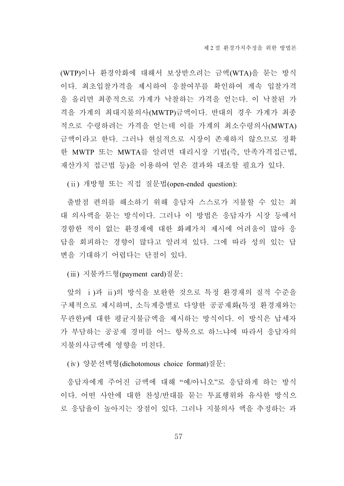(WTP)이나 환경악화에 대해서 보상받으려는 금액(WTA)을 묻는 방식 이다. 최초입찰가격을 제시하여 응찰여부를 확인하여 계속 입찰가격 을 올리면 최종적으로 가계가 낙찰하는 가격을 얻는다. 이 낙찰된 가 격을 가계의 최대지불의사(MWTP)금액이다. 반대의 경우 가계가 최종 적으로 수령하려는 가격을 얻는데 이를 가계의 최소수령의사(MWTA) 금액이라고 한다. 그러나 현실적으로 시장이 존재하지 않으므로 정확 한 MWTP 또는 MWTA를 알려면 대리시장 기법(즉, 만족가격접근법, 재산가치 접근법 등)을 이용하여 얻은 결과와 대조할 필요가 있다.

(ⅱ) 개방형 또는 직접 질문법(open-ended question):

출발점 편의를 해소하기 위해 응답자 스스로가 지불할 수 있는 최 대 의사액을 묻는 방식이다. 그러나 이 방법은 응답자가 시장 등에서 경함한 적이 없는 환경재에 대한 화폐가치 제시에 어려움이 많아 응 답을 회피하는 경향이 많다고 알려져 있다. 그에 따라 성의 있는 답 변을 기대하기 어렵다는 단점이 있다.

(ⅲ) 지불카드형(payment card)질문:

앞의 ⅰ)과 ⅱ)의 방식을 보완한 것으로 특정 환경재의 질적 수준을 구체적으로 제시하며, 소득계층별로 다양한 공공재화(특정 환경재와는 무관한)에 대한 평균지불금액을 제시하는 방식이다. 이 방식은 납세자 가 부담하는 공공재 경비를 어느 항목으로 하느냐에 따라서 응답자의 지불의사금액에 영향을 미친다.

(ⅳ) 양분선택형(dichotomous choice format)질문:

응답자에게 주어진 금액에 대해 "예/아니오"로 응답하게 하는 방식 이다. 어떤 사안에 대한 찬성/반대를 묻는 투표행위와 유사한 방식으 로 응답율이 높아지는 장점이 있다. 그러나 지불의사 액을 추정하는 과

57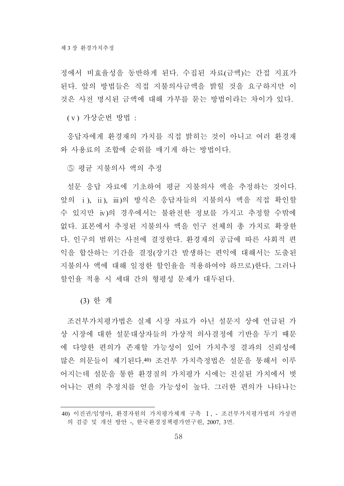정에서 비효율성을 동반하게 된다. 수집된 자료(금액)는 간접 지표가 된다. 앞의 방법들은 직접 지불의사금액을 밝힐 것을 요구하지만 이 것은 사전 명시된 금액에 대해 가부를 묻는 방법이라는 차이가 있다.

(ⅴ) 가상순번 방법 :

응답자에게 환경재의 가치를 직접 밝히는 것이 아니고 여러 환경재 와 사용료의 조합에 순위를 매기게 하는 방법이다.

⑤ 평균 지불의사 액의 추정

설문 응답 자료에 기초하여 평균 지불의사 액을 추정하는 것이다. 앞의 ⅰ), ⅱ), ⅲ)의 방식은 응답자들의 지불의사 액을 직접 확인할 수 있지만 ⅳ)의 경우에서는 불완전한 정보를 가지고 추정할 수밖에 없다. 표본에서 추정된 지불의사 액을 인구 전체의 총 가치로 확장한 다. 인구의 범위는 사전에 결정한다. 환경재의 공급에 따른 사회적 편 익을 합산하는 기간을 결정(장기간 발생하는 편익에 대해서는 도출된 지불의사 액에 대해 일정한 할인율을 적용하여야 하므로)한다. 그러나 할인율 적용 시 세대 간의 형평성 문제가 대두된다.

(3) 한 계

조건부가치평가법은 실제 시장 자료가 아닌 설문지 상에 언급된 가 상 시장에 대한 설문대상자들의 가상적 의사결정에 기반을 두기 때문 에 다양한 편의가 존재할 가능성이 있어 가치추정 결과의 신뢰성에 많은 의문들이 제기된다.40) 조건부 가치측정법은 설문을 통해서 이루 어지는데 설문을 통한 환경질의 가치평가 시에는 진실된 가치에서 벗 어나는 편의 추정치를 얻을 가능성이 높다. 그러한 편의가 나타나는

<sup>40)</sup> 이진권/임영아, 환경자원의 가치평가체계 구축 Ⅰ, - 조건부가치평가법의 가상편 의 검증 및 개선 방안 -, 한국환경정책평가연구원, 2007, 3면.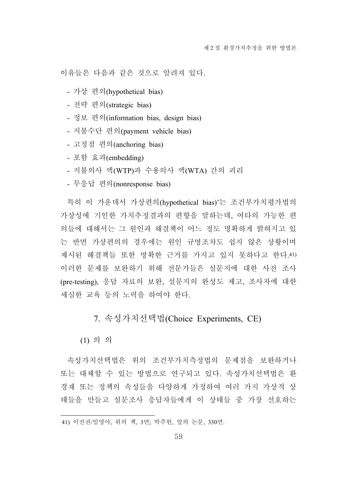이유들은 다음과 같은 것으로 알려져 있다.

- 가상 편의(hypothetical bias)
- 전략 편의(strategic bias)
- 정보 편의(information bias, design bias)
- 지불수단 편의(payment vehicle bias)
- 고정점 편의(anchoring bias)
- 포함 효과(embedding)
- 지불의사 액(WTP)과 수용의사 액(WTA) 간의 괴리
- 무응답 편의(nonresponse bias)

특히 이 가운데서 가상편의(hypothetical bias)'는 조건부가치평가법의 가상성에 기인한 가치추정결과의 편향을 말하는데, 여타의 가능한 편 의들에 대해서는 그 원인과 해결책이 어느 정도 명확하게 밝혀지고 있 는 반면 가상편의의 경우에는 원인 규명조차도 쉽지 않은 상황이며 제시된 해결책들 또한 명확한 근거를 가지고 있지 못하다고 한다.41) 이러한 문제를 보완하기 위해 전문가들은 설문지에 대한 사전 조사 (pre-testing), 응답 자료의 보완, 설문지의 완성도 제고, 조사자에 대한 세심한 교육 등의 노력을 하여야 한다.

7. 속성가치선택법(Choice Experiments, CE)

(1) 의 의

속성가치선택법은 위의 조건부가치측정법의 문제점을 보완하거나 또는 대체할 수 있는 방법으로 연구되고 있다. 속성가치선택법은 환 경재 또는 정책의 속성들을 다양하게 가정하여 여러 가지 가상적 상 태들을 만들고 설문조사 응답자들에게 이 상태들 중 가장 선호하는

<sup>41)</sup> 이진권/임영아, 위의 책, 3면; 박주헌, 앞의 논문, 330면.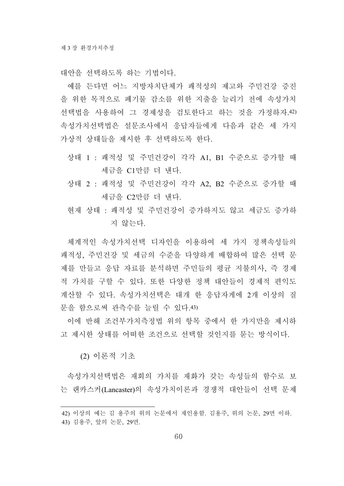대안을 선택하도록 하는 기법이다.

예를 든다면 어느 지방자치단체가 쾌적성의 제고와 주민건강 증진 을 위한 목적으로 폐기물 감소를 위한 지출을 늘리기 전에 속성가치 선택법을 사용하여 그 경제성을 검토한다고 하는 것을 가정하자.42) 속성가치선택법은 설문조사에서 응답자들에게 다음과 같은 세 가지 가상적 상태들을 제시한 후 선택하도록 한다.

- 상태 1 : 쾌적성 및 주민건강이 각각 A1, B1 수준으로 증가할 때 세금을 C1만큼 더 낸다.
- 상태 2 : 쾌적성 및 주민건강이 각각 A2, B2 수준으로 증가할 때 세금을 C2만큼 더 낸다.
- 현재 상태 : 쾌적성 및 주민건강이 증가하지도 않고 세금도 증가하 지 않는다.

체계적인 속성가치선택 디자인을 이용하여 세 가지 정책속성들의 쾌적성, 주민건강 및 세금의 수준을 다양하게 배합하여 많은 선택 문 제를 만들고 응답 자료를 분석하면 주민들의 평균 지불의사, 즉 경제 적 가치를 구할 수 있다. 또한 다양한 정책 대안들이 경제적 편익도 계산할 수 있다. 속성가치선택은 대개 한 응답자게에 2개 이상의 질 문을 함으로써 관측수를 늘릴 수 있다.43)

이에 반해 조건부가치측정법 위의 항목 중에서 한 가지만을 제시하 고 제시한 상태를 어떠한 조건으로 선택할 것인지를 묻는 방식이다.

(2) 이론적 기초

속성가치선택법은 재회의 가치를 재화가 갖는 속성들의 함수로 보 는 랜카스커(Lancaster)의 속성가치이론과 경쟁적 대안들이 선택 문제

<sup>42)</sup> 이상의 예는 김 용주의 위의 논문에서 재인용함. 김용주, 위의 논문, 29면 이하. 43) 김용주, 앞의 논문, 29면.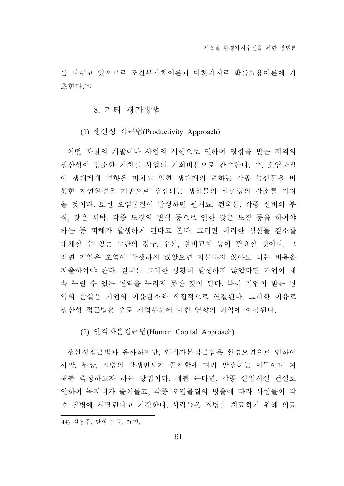를 다루고 있으므로 조건부가치이론과 마찬가지로 확률효용이론에 기 초한다.44)

### 8. 기타 평가방법

#### (1) 생산성 접근법(Productivity Approach)

어떤 자원의 개발이나 사업의 시행으로 인하여 영향을 받는 지역의 생산성이 감소한 가치를 사업의 기회비용으로 간주한다. 즉, 오염물질 이 생태계에 영향을 미치고 일한 생태개의 변화는 각종 농산물을 비 롯한 자연환경을 기반으로 생산되는 생산물의 산출량의 감소를 가져 올 것이다. 또한 오염물질이 발생하면 원재료, 건축물, 각종 설비의 부 식, 잦은 세탁, 각종 도장의 변색 등으로 인한 잦은 도장 등을 하여야 하는 등 피해가 발생하게 된다고 본다. 그러면 이러한 생산물 감소를 대체할 수 있는 수단의 강구, 수선, 설비교체 등이 필요할 것이다. 그 러면 기업은 오염이 발생하지 않았으면 지불하지 않아도 되는 비용을 지출하여야 한다. 결국은 그러한 상황이 발생하지 않았다면 기업이 계 속 누릴 수 있는 편익을 누리지 못한 것이 된다. 특히 기업이 받는 편 익의 손실은 기업의 이윤감소와 직접적으로 연결된다. 그러한 이유로 생산성 접근법은 주로 기업부문에 미친 영향의 파악에 이용된다.

### (2) 인적자본접근법(Human Capital Approach)

생산성접근법과 유사하지만, 인적자본접근법은 환경오염으로 인하여 사망, 부상, 질병의 발생빈도가 증가함에 따라 발생하는 이득이나 피 해를 측정하고자 하는 방법이다. 예를 든다면, 각종 산업시설 건설로 인하여 녹지대가 줄어들고, 각종 오염물질의 방출에 따라 사람들이 각 종 질병에 시달린다고 가정한다. 사람들은 질병을 치료하기 위해 의료

<sup>44)</sup> 김용주, 앞의 논문, 30면,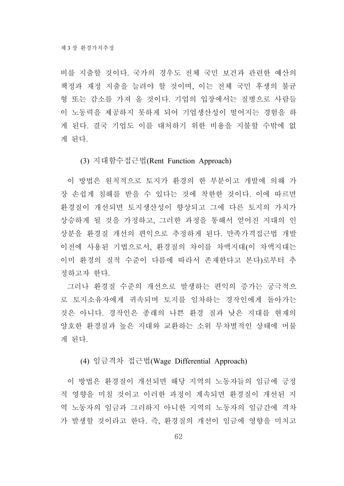비를 지출할 것이다. 국가의 경우도 전체 국민 보건과 관련한 예산의 책정과 재정 지출을 늘려야 할 것이며, 이는 전체 국민 후생의 불균 형 또는 감소를 가져 올 것이다. 기업의 입장에서는 질병으로 사람들 이 노동력을 제공하지 못하게 되어 기업생산성이 떨어지는 경험을 하 게 된다. 결국 기업도 이를 대처하기 위한 비용을 지불할 수밖에 없 게 된다.

(3) 지대함수접근법(Rent Function Approach)

이 방법은 원칙적으로 토지가 환경의 한 부분이고 개발에 의해 가 장 손쉽게 침해를 받을 수 있다는 것에 착한한 것이다. 이에 따르면 환경질이 개선되면 토지생산성이 향상되고 그에 다른 토지의 가치가 상승하게 될 것을 가정하고, 그러한 과정을 통해서 얻어진 지대의 인 상분을 환경질 개선의 편익으로 추정하게 된다. 만족가격접근법 개발 이전에 사용된 기법으로서, 환경질의 차이를 차액지대(이 차액지대는 이미 환경의 질적 수준이 다름에 따라서 존재한다고 본다)로부터 추 정하고자 한다.

그러나 환경질 수준의 개선으로 발생하는 편익의 증가는 궁극적으 로 토지소유자에게 귀속되며 토지를 임차하는 경작인에게 돌아가는 것은 아니다. 경작인은 종래의 나쁜 환경 질과 낮은 지대를 현재의 양호한 환경질과 높은 지대와 교환하는 소위 무차별적인 상태에 머물 게 된다.

(4) 임금격차 접근법(Wage Differential Approach)

이 방법은 환경질이 개선되면 해당 지역의 노동자들의 임금에 긍정 적 영향을 미칠 것이고 이러한 과정이 계속되면 환경질이 개선된 지 역 노동자의 임금과 그러하지 아니한 지역의 노동자의 임금간에 격차 가 발생할 것이라고 한다. 즉, 환경질의 개선이 임금에 영향을 미치고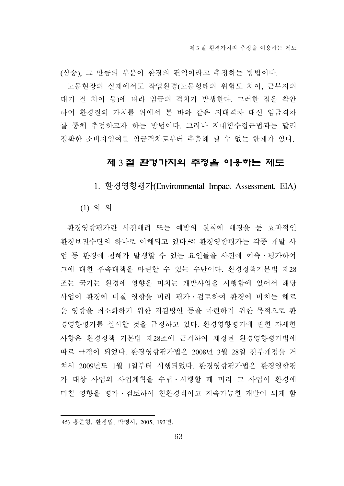(상승), 그 만큼의 부분이 환경의 편익이라고 추정하는 방법이다. 노동현장의 실제에서도 작업환경(노동형태의 위험도 차이, 근무지의 대기 질 차이 등)에 따라 임금의 격차가 발생한다. 그러한 점을 착안 하여 환경질의 가치를 위에서 본 바와 같은 지대격차 대신 임금격차 를 통해 추정하고자 하는 방법이다. 그러나 지대함수접근법과는 달리 정확한 소비자잉여를 임금격차로부터 추출해 낼 수 없는 한계가 있다.

# 제 3 절 환경가치의 추정을 이용하는 제도

1. 환경영향평가(Environmental Impact Assessment, EIA)

(1) 의 의

환경영향평가란 사전배려 또는 예방의 원칙에 배경을 둔 효과적인 환경보전수단의 하나로 이해되고 있다.45) 환경영향평가는 각종 개발 사 업 등 환경에 침해가 발생할 수 있는 요인들을 사전에 예측․평가하여 그에 대한 후속대책을 마련할 수 있는 수단이다. 환경정책기본법 제28 조는 국가는 환경에 영향을 미치는 개발사업을 시행함에 있어서 해당 사업이 환경에 미칠 영향을 미리 평가․검토하여 환경에 미치는 해로 운 영향을 최소화하기 위한 저감방안 등을 마련하기 위한 목적으로 환 경영향평가를 실시할 것을 규정하고 있다. 환경영향평가에 관한 자세한 사항은 환경정책 기본법 제28조에 근거하여 제정된 환경영향평가법에 따로 규정이 되었다. 환경영향평가법은 2008년 3월 28일 전부개정을 거 쳐서 2009년도 1월 1일부터 시행되었다. 환경영향평가법은 환경영향평 가 대상 사업의 사업계획을 수립․시행할 때 미리 그 사업이 환경에 미칠 영향을 평가․검토하여 친환경적이고 지속가능한 개발이 되게 함

<sup>45)</sup> 홍준형, 환경법, 박영사, 2005, 193면.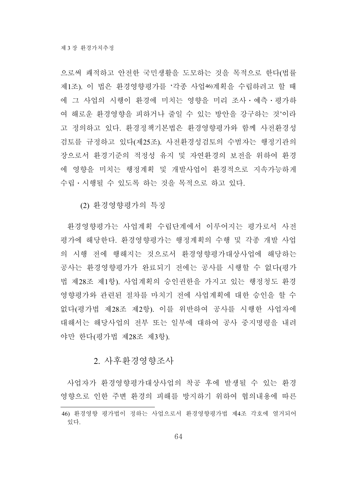으로써 쾌적하고 안전한 국민생활을 도모하는 것을 목적으로 한다(법률 제1조). 이 법은 환경영향평가를 '각종 사업46)계획을 수립하려고 할 때 에 그 사업의 시행이 환경에 미치는 영향을 미리 조사․예측․평가하 여 해로운 환경영향을 피하거나 줄일 수 있는 방안을 강구하는 것'이라 고 정의하고 있다. 환경정책기본법은 환경영향평가와 함께 사전환경성 검토를 규정하고 있다(제25조). 사전환경성검토의 수범자는 행정기관의 장으로서 환경기준의 적정성 유지 및 자연환경의 보전을 위하여 환경 에 영향을 미치는 행정계획 및 개발사업이 환경적으로 지속가능하게 수립․시행될 수 있도록 하는 것을 목적으로 하고 있다.

(2) 환경영향평가의 특징

환경영향평가는 사업계획 수립단계에서 이루어지는 평가로서 사전 평가에 해당한다. 환경영향평가는 행정계획의 수행 및 각종 개발 사업 의 시행 전에 행해지는 것으로서 환경영향평가대상사업에 해당하는 공사는 환경영향평가가 완료되기 전에는 공사를 시행할 수 없다(평가 법 제28조 제1항). 사업계획의 승인권한을 가지고 있는 행정청도 환경 영향평가와 관련된 절차를 마치기 전에 사업계획에 대한 승인을 할 수 없다(평가법 제28조 제2항). 이를 위반하여 공사를 시행한 사업자에 대해서는 해당사업의 전부 또는 일부에 대하여 공사 중지명령을 내려 야만 한다(평가법 제28조 제3항).

#### 2. 사후환경영향조사

사업자가 환경영향평가대상사업의 착공 후에 발생될 수 있는 환경 영향으로 인한 주변 환경의 피해를 방지하기 위하여 협의내용에 따른

<sup>46)</sup> 환경영향 평가법이 정하는 사업으로서 환경영향평가법 제4조 각호에 열거되어 있다.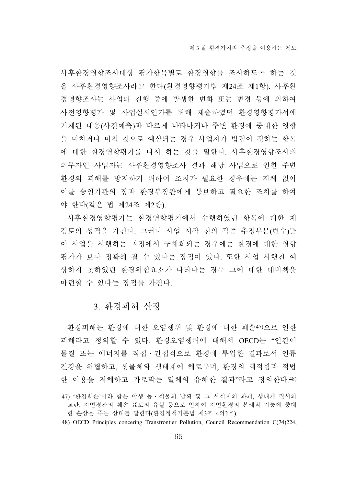사후환경영향조사대상 평가항목별로 환경영향을 조사하도록 하는 것 을 사후환경영향조사라고 한다(환경영향평가법 제24조 제1항). 사후환 경영향조사는 사업의 진행 중에 발생한 변화 또는 변경 등에 의하여 사전영향평가 및 사업실시인가를 위해 제출하였던 환경영향평가서에 기재된 내용(사전예측)과 다르게 나타나거나 주변 환경에 중대한 영향 을 미치거나 미칠 것으로 예상되는 경우 사업자가 법령이 정하는 항목 에 대한 환경영향평가를 다시 하는 것을 말한다. 사후환경영향조사의 의무자인 사업자는 사후환경영향조사 결과 해당 사업으로 인한 주변 환경의 피해를 방지하기 위하여 조치가 필요한 경우에는 지체 없이 이를 승인기관의 장과 환경부장관에게 통보하고 필요한 조치를 하여 야 한다(같은 법 제24조 제2항).

사후환경영향평가는 환경영향평가에서 수행하였던 항목에 대한 재 검토의 성격을 가진다. 그러나 사업 시작 전의 각종 추정부분(변수)들 이 사업을 시행하는 과정에서 구체화되는 경우에는 환경에 대한 영향 평가가 보다 정확해 질 수 있다는 장점이 있다. 또한 사업 시행전 예 상하지 못하였던 환경위험요소가 나타나는 경우 그에 대한 대비책을 마련할 수 있다는 장점을 가진다.

#### 3. 환경피해 산정

환경피해는 환경에 대한 오염행위 및 환경에 대한 훼손47)으로 인한 피해라고 정의할 수 있다. 환경오염행위에 대해서 OECD는 "인간이 물질 또는 에너지를 직접․간접적으로 환경에 투입한 결과로서 인류 건강을 위협하고, 생물체와 생태계에 해로우며, 환경의 쾌적함과 적법 한 이용을 저해하고 가로막는 일체의 유해한 결과"라고 정의한다.48)

<sup>47) &#</sup>x27;환경훼손'이라 함은 야생 동․식물의 남획 및 그 서식지의 파괴, 생태계 질서의 교란, 자연경관의 훼손 표토의 유실 등으로 인하여 자연환경의 본래적 기능에 중대 한 손상을 주는 상태를 말한다(환경정책기본법 제3조 4의2호).

<sup>48)</sup> OECD Principles concering Transfrontier Pollution, Council Recommendation C(74)224,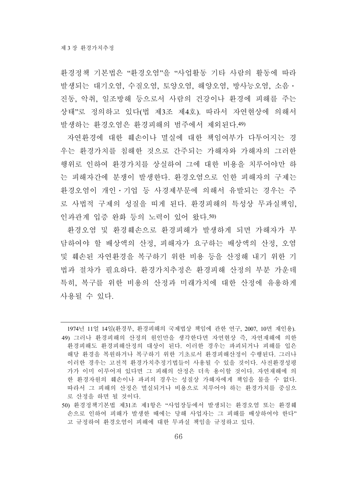환경정책 기본법은 "환경오염"을 "사업활동 기타 사람의 활동에 따라 발생되는 대기오염, 수질오염, 토양오염, 해양오염, 방사능오염, 소음․ 진동, 악취, 일조방해 등으로서 사람의 건강이나 환경에 피해를 주는 상태"로 정의하고 있다(법 제3조 제4호). 따라서 자연현상에 의해서 발생하는 환경오염은 환경피해의 범주에서 제외된다.49)

자연환경에 대한 훼손이나 멸실에 대한 책임여부가 다투어지는 경 우는 환경가치를 침해한 것으로 간주되는 가해자와 가해자의 그러한 행위로 인하여 환경가치를 상실하여 그에 대한 비용을 치루어야만 하 는 피해자간에 분쟁이 발생한다. 환경오염으로 인한 피해자의 구제는 환경오염이 개인․기업 등 사경제부문에 의해서 유발되는 경우는 주 로 사법적 구제의 성질을 띠게 된다. 환경피해의 특성상 무과실책임, 인과관계 입증 완화 등의 노력이 있어 왔다.50)

환경오염 및 환경훼손으로 환경피해가 발생하게 되면 가해자가 부 담하여야 할 배상액의 산정, 피해자가 요구하는 배상액의 산정, 오염 및 훼손된 자연환경을 복구하기 위한 비용 등을 산정해 내기 위한 기 법과 절차가 필요하다. 환경가치추정은 환경피해 산정의 부분 가운데 특히, 복구를 위한 비용의 산정과 미래가치에 대한 산정에 유용하게 사용될 수 있다.

<sup>1974</sup>년 11얼 14일(환경부, 환경피해의 국제법상 책임에 관한 연구, 2007, 10면 재인용). 49) 그러나 환경피해의 산정의 원인만을 생각한다면 자연현상 즉, 자연재해에 의한 환경피해도 환경피해산정의 대상이 된다. 이러한 경우는 파괴되거나 피해를 입은 해당 환경을 복원하거나 복구하기 위한 기초로서 환경피해산정이 수행된다. 그러나 이러한 경우는 고전적 환경가치추정기법들이 사용될 수 있을 것이다. 사전환경성평 가가 이미 이루어져 있다면 그 피해의 산정은 더욱 용이할 것이다. 자연재해에 의 한 환경자원의 훼손이나 파괴의 경우는 성질상 가해자에게 책임을 물을 수 없다. 따라서 그 피해의 산정은 멸실되거나 비용으로 치루어야 하는 환경가치를 중심으 로 산정을 하면 될 것이다.

<sup>50)</sup> 환경정책기본법 제31조 제1항은 "사업장등에서 발생되는 환경오염 또는 환경훼 손으로 인하여 피해가 발생한 때에는 당해 사업자는 그 피해를 배상하여야 한다" 고 규정하여 환경오염이 피해에 대한 무과실 책임을 규정하고 있다.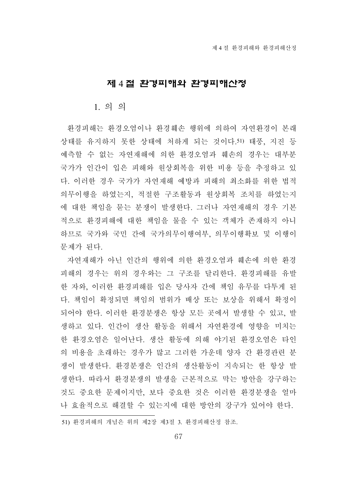### 제 4 절 환경피해와 환경피해산정

#### 1. 의 의

환경피해는 환경오염이나 환경훼손 행위에 의하여 자연환경이 본래 상태를 유지하지 못한 상태에 처하게 되는 것이다.51) 태풍, 지진 등 예측할 수 없는 자연재해에 의한 환경오염과 훼손의 경우는 대부분 국가가 인간이 입은 피해와 원상회복을 위한 비용 등을 추정하고 있 다. 이러한 경우 국가가 자연재해 예방과 피해의 최소화를 위한 법적 의무이행을 하였는지, 적절한 구조활동과 원상회복 조치를 하였는지 에 대한 책임을 묻는 분쟁이 발생한다. 그러나 자연재해의 경우 기본 적으로 환경피해에 대한 책임을 물을 수 있는 객체가 존재하지 아니 하므로 국가와 국민 간에 국가의무이행여부, 의무이행확보 및 이행이 문제가 된다.

자연재해가 아닌 인간의 행위에 의한 환경오염과 훼손에 의한 환경 피해의 경우는 위의 경우와는 그 구조를 달리한다. 환경피해를 유발 한 자와, 이러한 환경피해를 입은 당사자 간에 책임 유무를 다투게 된 다. 책임이 확정되면 책임의 범위가 배상 또는 보상을 위해서 확정이 되어야 한다. 이러한 환경분쟁은 항상 모든 곳에서 발생할 수 있고, 발 생하고 있다. 인간이 생산 활동을 위해서 자연환경에 영향을 미치는 한 환경오염은 일어난다. 생산 활동에 의해 야기된 환경오염은 타인 의 비용을 초래하는 경우가 많고 그러한 가운데 양자 간 환경관련 분 쟁이 발생한다. 환경분쟁은 인간의 생산활동이 지속되는 한 항상 발 생한다. 따라서 환경분쟁의 발생을 근본적으로 막는 방안을 강구하는 것도 중요한 문제이지만, 보다 중요한 것은 이러한 환경분쟁을 얼마 나 효율적으로 해결할 수 있는지에 대한 방안의 강구가 있어야 한다.

<sup>51)</sup> 환경피해의 개념은 위의 제2장 제3절 3. 환경피해산정 참조.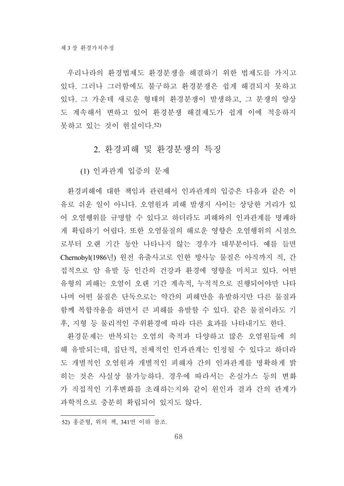우리나라의 환경법제도 환경분쟁을 해결하기 위한 법제도를 가지고 있다. 그러나 그러함에도 불구하고 환경분쟁은 쉽게 해결되지 못하고 있다. 그 가운데 새로운 형태의 환경분쟁이 발생하고, 그 분쟁의 양상 도 계속해서 변하고 있어 환경분쟁 해결제도가 쉽게 이에 적응하지 못하고 있는 것이 현실이다.52)

#### 2. 환경피해 및 환경분쟁의 특징

(1) 인과관계 입증의 문제

환경피해에 대한 책임과 관련해서 인과관계의 입증은 다음과 같은 이 유로 쉬운 일이 아니다. 오염원과 피해 발생지 사이는 상당한 거리가 있 어 오염행위를 규명할 수 있다고 하더라도 피해와의 인과관계를 명쾌하 게 확립하기 어렵다. 또한 오염물질의 해로운 영향은 오염행위의 시점으 로부터 오랜 기간 동안 나타나지 않는 경우가 대부분이다. 예를 들면 Chernobyl(1986년) 원전 유출사고로 인한 방사능 물질은 아직까지 직, 간 접적으로 암 유발 등 인간의 건강과 환경에 영향을 미치고 있다. 어떤 유형의 피해는 오염이 오랜 기간 계속적, 누적적으로 진행되어야만 나타 나며 어떤 물질은 단독으로는 약간의 피해만을 유발하지만 다른 물질과 함께 복합작용을 하면서 큰 피해를 유발할 수 있다. 같은 물질이라도 기 후, 지형 등 물리적인 주위환경에 따라 다른 효과를 나타내기도 한다.

환경문제는 반복되는 오염의 축적과 다양하고 많은 오염원들에 의 해 유발되는데, 집단적, 전체적인 인과관계는 인정될 수 있다고 하더라 도 개별적인 오염원과 개별적인 피해자 간의 인과관계를 명확하게 밝 히는 것은 사실상 불가능하다. 경우에 따라서는 온실가스 등의 변화 가 직접적인 기후변화를 초래하는지와 같이 원인과 결과 간의 관계가 과학적으로 충분히 확립되어 있지도 않다.

<sup>52)</sup> 홍준형, 위의 책, 341면 이하 참조.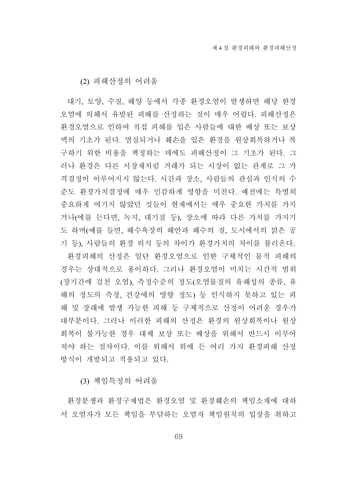(2) 피해산정의 어려움

대기, 토양, 수질, 해양 등에서 각종 환경오염이 발생하면 해당 한경 오염에 의해서 유발된 피해를 산정하는 것이 매우 어렵다. 피해산정은 환경오염으로 인하여 직접 피해를 입은 사람들에 대한 배상 또는 보상 액의 기초가 된다. 멸실되거나 훼손을 입은 환경을 원상회복하거나 복 구하기 위한 비용을 책정하는 데에도 피해산정이 그 기초가 된다. 그 러나 환경은 다른 시장재처럼 거래가 되는 시장이 없는 관계로 그 가 격결정이 이루어지지 않는다. 시간과 장소, 사람들의 관심과 인식의 수 준도 환경가치결정에 매우 민감하게 영향을 미친다. 예전에는 특별히 중요하게 여기지 않았던 것들이 현재에서는 매우 중요한 가치를 가지 거나(에를 든다면, 녹지, 대기질 등), 장소에 따라 다른 가치를 가지기 도 하며(예를 들면, 해수욕장의 해안과 해수의 질, 도시에서의 맑은 공 기 등), 사람들의 환경 의식 등의 차이가 환경가치의 차이를 불러온다.

환경피해의 산정은 일단 환경오염으로 인한 구체적인 물적 피해의 경우는 상대적으로 용이하다. 그러나 환경오염이 미치는 시간적 범위 (장기간에 걸친 오염), 측정수준의 정도(오염물질의 유해성의 종류, 유 해의 정도의 측정, 건강에의 영향 정도) 등 인식하지 못하고 있는 피 해 및 장래에 발생 가능한 피해 등 구체적으로 산정이 어려운 경우가 대부분이다. 그러나 이러한 피해의 산정은 환경의 원상회복이나 원상 회복이 불가능한 경우 대체 보상 또는 배상을 위해서 반드시 이루어 져야 하는 절차이다. 이를 위해서 위에 든 여러 가지 환경피해 산정 방식이 개발되고 적용되고 있다.

(3) 책임특정의 어려움

환경분쟁과 환경구제법은 환경오염 및 환경훼손의 책임소재에 대하 서 오염자가 모든 책임을 부담하는 오염자 책임원칙의 입장을 취하고

69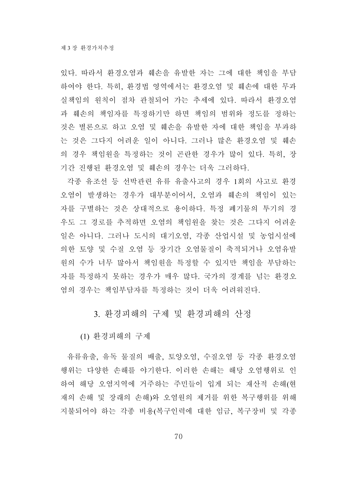있다. 따라서 환경오염과 훼손을 유발한 자는 그에 대한 책임을 부담 하여야 한다. 특히, 환경법 영역에서는 환경오염 및 훼손에 대한 무과 실책임의 원칙이 점차 관철되어 가는 추세에 있다. 따라서 환경오염 과 훼손의 책임자를 특정하기만 하면 책임의 범위와 정도를 정하는 것은 별론으로 하고 오염 및 훼손을 유발한 자에 대한 책임을 부과하 는 것은 그다지 어려운 일이 아니다. 그러나 많은 환경오염 및 훼손 의 경우 책임원을 특정하는 것이 곤란한 경우가 많이 있다. 특히, 장 기간 진행된 환경오염 및 훼손의 경우는 더욱 그러하다.

각종 유조선 등 선박관련 유류 유출사고의 경우 1회의 사고로 환경 오염이 발생하는 경우가 대부분이어서, 오염과 훼손의 책임이 있는 자를 구별하는 것은 상대적으로 용이하다. 특정 폐기물의 투기의 경 우도 그 경로를 추적하면 오염의 책임원을 찾는 것은 그다지 어려운 일은 아니다. 그러나 도시의 대기오염, 각종 산업시설 및 농업시설에 의한 토양 및 수질 오염 등 장기간 오염물질이 축적되거나 오염유발 원의 수가 너무 많아서 책임원을 특정할 수 있지만 책임을 부담하는 자를 특정하지 못하는 경우가 매우 많다. 국가의 경계를 넘는 환경오 염의 경우는 책임부담자를 특정하는 것이 더욱 어려워진다.

3. 환경피해의 구제 및 환경피해의 산정

(1) 환경피해의 구제

유류유출, 유독 물질의 배출, 토양오염, 수질오염 등 각종 환경오염 행위는 다양한 손해를 야기한다. 이러한 손해는 해당 오염행위로 인 하여 해당 오염지역에 거주하는 주민들이 입게 되는 재산적 손해(현 재의 손해 및 장래의 손해)와 오염원의 제거를 위한 복구행위를 위해 지불되어야 하는 각종 비용(복구인력에 대한 임금, 복구장비 및 각종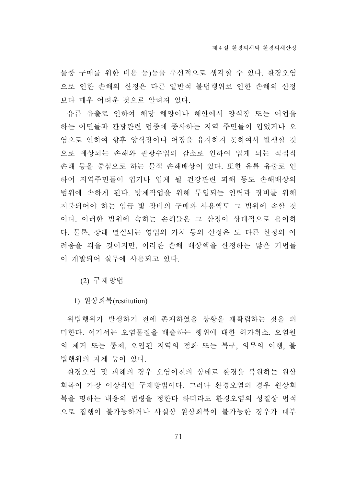물품 구매를 위한 비용 등)등을 우선적으로 생각할 수 있다. 환경오염 으로 인한 손해의 산정은 다른 일반적 불법행위로 인한 손해의 산정 보다 매우 어려운 것으로 알려져 있다.

유류 유출로 인하여 해당 해양이나 해안에서 양식장 또는 어업을 하는 어민들과 관광관련 업종에 종사하는 지역 주민들이 입었거나 오 염으로 인하여 향후 양식장이나 어장을 유지하지 못하여서 발생할 것 으로 예상되는 손해와 관광수입의 감소로 인하여 입게 되는 직접적 손해 등을 중심으로 하는 물적 손해배상이 있다. 또한 유류 유출로 인 하여 지역주민들이 입거나 입게 될 건강관련 피해 등도 손해배상의 범위에 속하게 된다. 방제작업을 위해 투입되는 인력과 장비를 위해 지불되어야 하는 임금 빛 장비의 구매와 사용액도 그 범위에 속할 것 이다. 이러한 범위에 속하는 손해들은 그 산정이 상대적으로 용이하 다. 물론, 장래 멸실되는 영업의 가치 등의 산정은 도 다른 산정의 어 려움을 겪을 것이지만, 이러한 손해 배상액을 산정하는 많은 기법들 이 개발되어 실무에 사용되고 있다.

(2) 구제방법

1) 원상회복(restitution)

위법행위가 발생하기 전에 존재하였을 상황을 재확립하는 것을 의 미한다. 여기서는 오염물질을 배출하는 행위에 대한 허가취소, 오염원 의 제거 또는 통제, 오염된 지역의 정화 또는 복구, 의무의 이행, 불 법행위의 자제 등이 있다.

환경오염 및 피해의 경우 오염이전의 상태로 환경을 복원하는 원상 회복이 가장 이상적인 구제방법이다. 그러나 환경오염의 경우 원상회 복을 명하는 내용의 법령을 정한다 하더라도 환경오염의 성질상 법적 으로 집행이 불가능하거나 사실상 원상회복이 불가능한 경우가 대부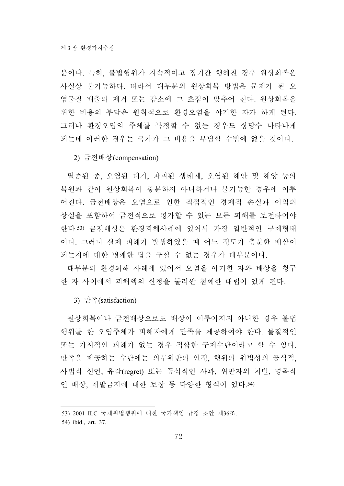분이다. 특히, 불법행위가 지속적이고 장기간 행해진 경우 원상회복은 사실상 불가능하다. 따라서 대부분의 원상회복 방법은 문제가 된 오 염물질 배출의 제거 또는 감소에 그 초점이 맞추어 진다. 원상회복을 위한 비용의 부담은 원칙적으로 환경오염을 야기한 자가 하게 된다. 그러나 환경오염의 주체를 특정할 수 없는 경우도 상당수 나타나게 되는데 이러한 경우는 국가가 그 비용을 부담할 수밖에 없을 것이다.

#### 2) 금전배상(compensation)

멸종된 종, 오염된 대기, 파괴된 생태계, 오염된 해안 및 해양 등의 복원과 같이 원상회복이 충분하지 아니하거나 불가능한 경우에 이루 어진다. 금전배상은 오염으로 인한 직접적인 경제적 손실과 이익의 상실을 포함하여 금전적으로 평가할 수 있는 모든 피해를 보전하여야 한다.53) 금전배상은 환경피해사례에 있어서 가장 일반적인 구제형태 이다. 그러나 실제 피해가 발생하였을 때 어느 정도가 충분한 배상이 되는지에 대한 명쾌한 답을 구할 수 없는 경우가 대부분이다.

대부분의 환경피해 사례에 있어서 오염을 야기한 자와 배상을 청구 한 자 사이에서 피해액의 산정을 둘러싼 첨예한 대립이 있게 된다.

#### 3) 만족(satisfaction)

원상회복이나 금전배상으로도 배상이 이루어지지 아니한 경우 불법 행위를 한 오염주체가 피해자에게 만족을 제공하여야 한다. 물질적인 또는 가시적인 피해가 없는 경우 적합한 구제수단이라고 할 수 있다. 만족을 제공하는 수단에는 의무위반의 인정, 행위의 위법성의 공식적, 사법적 선언, 유감(regret) 또는 공식적인 사과, 위반자의 처벌, 명목적 인 배상, 재발금지에 대한 보장 등 다양한 형식이 있다.54)

<sup>53) 2001</sup> ILC 국제위법행위에 대한 국가책임 규정 초안 제36조.

<sup>54)</sup> ibid., art. 37.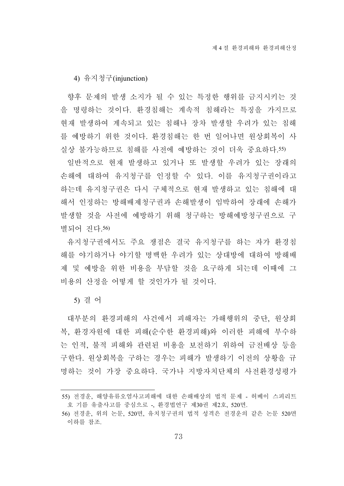4) 유지청구(injunction)

향후 문제의 발생 소지가 될 수 있는 특정한 행위를 금지시키는 것 을 명령하는 것이다. 환경침해는 계속적 침해라는 특징을 가지므로 현재 발생하여 계속되고 있는 침해나 장차 발생할 우려가 있는 침해 를 예방하기 위한 것이다. 환경침해는 한 번 일어나면 원상회복이 사 실상 불가능하므로 침해를 사전에 예방하는 것이 더욱 중요하다.55)

일반적으로 현재 발생하고 있거나 또 발생할 우려가 있는 장래의 손해에 대하여 유지청구를 인정할 수 있다. 이를 유지청구권이라고 하는데 유지청구권은 다시 구체적으로 현재 발생하고 있는 침해에 대 해서 인정하는 방해배제청구권과 손해발생이 임박하여 장래에 손해가 발생할 것을 사전에 예방하기 위해 청구하는 방해예방청구권으로 구 별되어 진다.56)

유지청구권에서도 주요 쟁점은 결국 유지청구를 하는 자가 환경침 해를 야기하거나 야기할 명백한 우려가 있는 상대방에 대하여 방해배 제 및 예방을 위한 비용을 부담할 것을 요구하게 되는데 이때에 그 비용의 산정을 어떻게 할 것인가가 될 것이다.

5) 결 어

대부분의 환경피해의 사건에서 피해자는 가해행위의 중단, 원상회 복, 환경자원에 대한 피해(순수한 환경피해)와 이러한 피해에 부수하 는 인적, 불적 피해와 관련된 비용을 보전하기 위하여 금전배상 등을 구한다. 원상회복을 구하는 경우는 피해가 발생하기 이전의 상황을 규 명하는 것이 가장 중요하다. 국가나 지방자치단체의 사전환경성평가

<sup>55)</sup> 전경운, 해양유류오염사고피해에 대한 손해배상의 법적 문제 - 허베이 스피리트 호 기름 유출사고를 중심으로 -, 환경법연구 제30권 제2호, 520면.

<sup>56)</sup> 전경운, 위의 논문, 520면, 유치청구권의 법적 성격은 전경운의 같은 논문 520면 이하를 참조.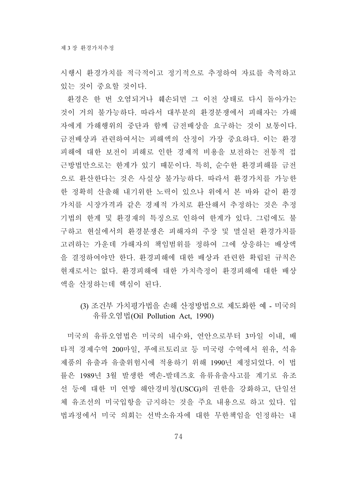시행시 환경가치를 적극적이고 정기적으로 추정하여 자료를 축적하고 있는 것이 중요할 것이다.

환경은 한 번 오염되거나 훼손되면 그 이전 상태로 다시 돌아가는 것이 거의 불가능하다. 따라서 대부분의 환경분쟁에서 피해자는 가해 자에게 가해행위의 중단과 함께 금전배상을 요구하는 것이 보통이다. 금전배상과 관련하여서는 피해액의 산정이 가장 중요하다. 이는 환경 피해에 대한 보전이 피해로 인한 경제적 비용을 보전하는 전통적 접 근방법만으로는 한계가 있기 때문이다. 특히, 순수한 환경피해를 금전 으로 환산한다는 것은 사실상 불가능하다. 따라서 환경가치를 가능한 한 정확히 산출해 내기위한 노력이 있으나 위에서 본 바와 같이 환경 가치를 시장가격과 같은 경제적 가치로 환산해서 추정하는 것은 추정 기법의 한계 및 환경재의 특징으로 인하여 한계가 있다. 그럼에도 불 구하고 현실에서의 환경분쟁은 피해자의 주장 및 멸실된 환경가치를 고려하는 가운데 가해자의 책임범위를 정하여 그에 상응하는 배상액 을 결정하여야만 한다. 환경피해에 대한 배상과 관련한 확립된 규칙은 현재로서는 없다. 환경피해에 대한 가치측정이 환경피해에 대한 배상 액을 산정하는데 핵심이 된다.

(3) 조건부 가치평가법을 손해 산정방법으로 제도화한 예 - 미국의 유류오염법(Oil Pollution Act, 1990)

미국의 유류오염법은 미국의 내수와, 연안으로부터 3마일 이내, 배 타적 경제수역 200마일, 푸에르토리코 등 미국령 수역에서 원유, 석유 제품의 유출과 유출위험시에 적용하기 위해 1990년 제정되었다. 이 법 률은 1989년 3월 발생한 엑손-발데즈호 유류유출사고를 계기로 유조 선 등에 대한 미 연방 해안경비청(USCG)의 권한을 강화하고, 단일선 체 유조선의 미국입항을 금지하는 것을 주요 내용으로 하고 있다. 입 법과정에서 미국 의회는 선박소유자에 대한 무한책임을 인정하는 내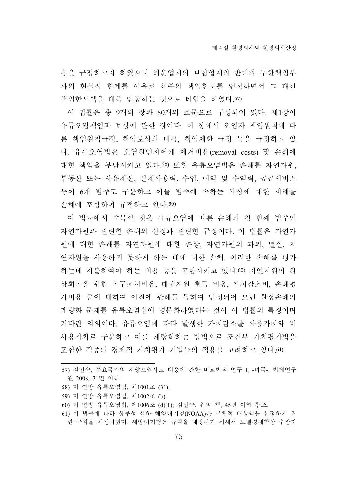용을 규정하고자 하였으나 해운업계와 보험업계의 반대와 무한책임부 과의 현실적 한계를 이유로 선주의 책임한도를 인정하면서 그 대신 책임한도액을 대폭 인상하는 것으로 타협을 하였다.57)

이 법률은 총 9개의 장과 80개의 조문으로 구성되어 있다. 제1장이 유류오염책임과 보상에 관한 장이다. 이 장에서 오염자 책임원칙에 따 른 책임원칙규정, 책임보상의 내용, 책임제한 규정 등을 규정하고 있 다. 유류오염법은 오염원인자에게 제거비용(removal costs) 및 손해에 대한 책임을 부담시키고 있다.58) 또한 유류오염법은 손해를 자연자원, 부동산 또는 사유재산, 실재사용력, 수입, 이익 및 수익력, 공공서비스 등이 6개 범주로 구분하고 이들 범주에 속하는 사항에 대한 피해를 손해에 포함하여 규정하고 있다.59)

이 법률에서 주목할 것은 유류오염에 따른 손해의 첫 번째 범주인 자연자원과 관련한 손해의 산정과 관련한 규정이다. 이 법률은 자연자 원에 대한 손해를 자연자원에 대한 손상, 자연자원의 파괴, 멸실, 지 연자원을 사용하지 못하게 하는 데에 대한 손해, 이러한 손해를 평가 하는데 지불하여야 하는 비용 등을 포함시키고 있다.60) 자연자원의 원 상회복을 위한 복구조치비용, 대체자원 취득 비용, 가치감소비, 손해평 가비용 등에 대하여 이전에 판례를 통하여 인정되어 오던 환경손해의 계량화 문제를 유류오염법에 명문화하였다는 것이 이 법률의 특징이며 커다란 의의이다. 유류오염에 따라 발생한 가치감소를 사용가치와 비 사용가치로 구분하고 이를 계량화하는 방법으로 조건부 가치평가법을 포함한 각종의 경제적 가치평가 기법들의 적용을 고려하고 있다.61)

- 58) 미 연방 유류오염법, 제1001조 (31).
- 59) 미 연방 유류오염법, 제1002조 (b).
- 60) 미 연방 유류오염법, 제1006조 (d)(1); 김인숙, 위의 책, 45면 이하 참조.
- 61) 이 법률에 따라 상무성 산하 해양대기청(NOAA)은 구체적 배상액을 산정하기 위 한 규칙을 제정하였다. 해양대기청은 규칙을 제정하기 위해서 노벨경제학상 수장자

<sup>57)</sup> 김인숙, 주요국가의 해양오염사고 대응에 관한 비교법적 연구 I, -미국-, 법제연구 원 2008, 31면 이하.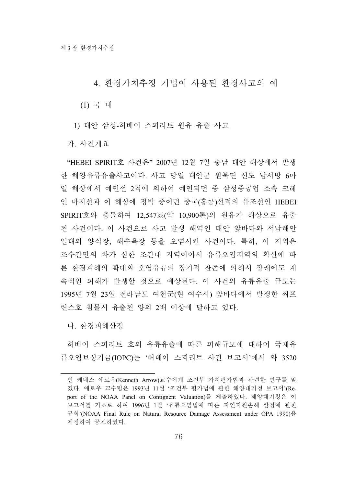### 4. 환경가치추정 기법이 사용된 환경사고의 예

(1) 국 내

1) 태안 삼성-허베이 스피리트 원유 유출 사고

가. 사건개요

"HEBEI SPIRIT호 사건은" 2007년 12월 7일 충남 태안 해상에서 발생 한 해양유류유출사고이다. 사고 당일 태안군 원북면 신도 남서방 6마 일 해상에서 예인선 2척에 의하여 예인되던 중 삼성중공업 소속 크레 인 바지선과 이 해상에 정박 중이던 중국(홍콩)선적의 유조선인 HEBEI SPIRIT호와 충돌하여 12,547㎘(약 10,900톤)의 원유가 해상으로 유출 된 사건이다. 이 사건으로 사고 발생 해역인 태안 앞바다와 서남해안 일대의 양식장, 해수욕장 등을 오염시킨 사건이다. 특히, 이 지역은 조수간만의 차가 심한 조간대 지역이어서 유류오염지역의 확산에 따 른 환경피해의 확대와 오염유류의 장기적 잔존에 의해서 장래에도 계 속적인 피해가 발생할 것으로 예상된다. 이 사건의 유류유출 규모는 1995년 7월 23일 전라남도 여천군(현 여수시) 앞바다에서 발생한 씨프 린스호 침몰시 유출된 양의 2배 이상에 달하고 있다.

나. 환경피해산정

허베이 스피리트 호의 유류유출에 따른 피해규모에 대하여 국제유 류오염보상기금(IOPC)는 '허베이 스피리트 사건 보고서'에서 약 3520

인 케네스 애로우(Kenneth Arrow)교수에게 조건부 가치평가법과 관련한 연구를 맡 겼다. 애로우 교수팀은 1993년 11월 '조건부 평가법에 관한 해양대기청 보고서'(Report of the NOAA Panel on Contignent Valuation)를 제출하였다. 해양대기청은 이 보고서를 기초로 하여 1996년 1월 '유류오염법에 따른 자연자원손해 산정에 관한 규칙'(NOAA Final Rule on Natural Resource Damage Assessment under OPA 1990)을 제정하여 공포하였다.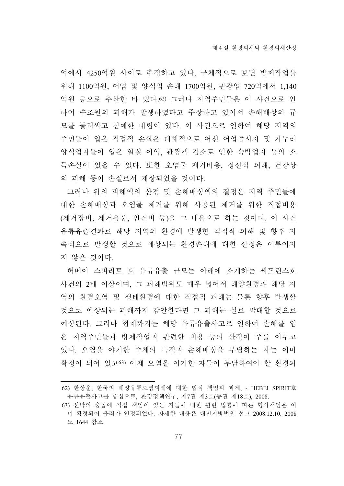억에서 4250억원 사이로 추정하고 있다. 구체적으로 보면 방제작업을 위해 1100억원, 어업 및 양식업 손해 1700억원, 관광업 720억에서 1,140 억원 등으로 추산한 바 있다.62) 그러나 지역주민들은 이 사건으로 인 하여 수조원의 피해가 발생하였다고 주장하고 있어서 손해배상의 규 모를 둘러싸고 첨예한 대립이 있다. 이 사건으로 인하여 해당 지역의 주민들이 입은 직접적 손실은 대체적으로 어선 어업종사자 및 가두리 양식업자들이 입은 일실 이익, 관광객 감소로 인한 숙박업자 등의 소 득손실이 있을 수 있다. 또한 오염물 제거비용, 정신적 피해, 건강상 의 피해 등이 손실로서 계상되었을 것이다.

그러나 위의 피해액의 산정 및 손해배상액의 결정은 지역 주민들에 대한 손해배상과 오염물 제거를 위해 사용된 제거를 위한 직접비용 (제거장비, 제거용품, 인건비 등)을 그 내용으로 하는 것이다. 이 사건 유류유출결과로 해당 지역의 환경에 발생한 직접적 피해 및 향후 지 속적으로 발생할 것으로 예상되는 환경손해에 대한 산정은 이루어지 지 않은 것이다.

허베이 스피리트 호 유류유출 규모는 아래에 소개하는 씨프린스호 사건의 2배 이상이며, 그 피해범위도 매우 넓어서 해양환경과 해당 지 역의 환경오염 및 생태환경에 대한 직접적 피해는 물론 향후 발생할 것으로 예상되는 피해까지 감안한다면 그 피해는 실로 막대할 것으로 예상된다. 그러나 현재까지는 해당 유류유출사고로 인하여 손해를 입 은 지역주민들과 방제작업과 관련한 비용 등의 산정이 주를 이루고 있다. 오염을 야기한 주체의 특정과 손해배상을 부담하는 자는 이미 확정이 되어 있고63) 이제 오염을 야기한 자들이 부담하여야 할 환경피

<sup>62)</sup> 한상운, 한국의 해양유류오염피해에 대한 법적 책임과 과제, - HEBEI SPIRIT호 유류유출사고를 중심으로, 환경정책연구, 제7권 제3호(통권 제18호), 2008.

<sup>63)</sup> 선박의 충돌에 직접 책임이 있는 자들에 대한 관련 법률에 따른 형사책임은 이 미 확정되어 유죄가 인정되었다. 자세한 내용은 대전지방법원 선고 2008.12.10. 2008 노 1644 참조.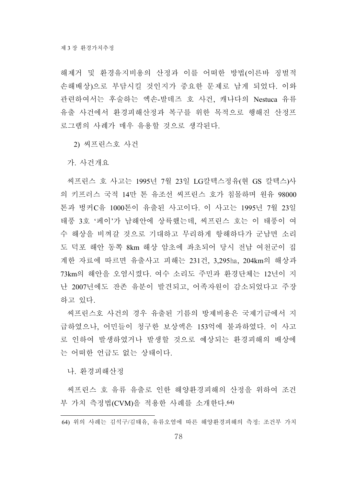해제거 및 환경유지비용의 산정과 이를 어떠한 방법(이른바 징벌적 손해배상)으로 부담시킬 것인지가 중요한 문제로 남게 되었다. 이와 관련하여서는 후술하는 엑손-발데즈 호 사건, 캐나다의 Nestuca 유류 유출 사건에서 환경피해산정과 복구를 위한 목적으로 행해진 산정프 로그램의 사례가 매우 유용할 것으로 생각된다.

2) 씨프린스호 사건

가. 사건개요

씨프린스 호 사고는 1995년 7월 23일 LG칼텍스정유(현 GS 칼텍스)사 의 키프러스 국적 14만 톤 유조선 씨프린스 호가 침몰하며 원유 98000 톤과 벙커C유 1000톤이 유출된 사고이다. 이 사고는 1995년 7월 23일 태풍 3호 '페이'가 남해안에 상륙했는데, 씨프린스 호는 이 태풍이 여 수 해상을 비껴갈 것으로 기대하고 무리하게 항해하다가 군남면 소리 도 덕포 해안 동쪽 8km 해상 암초에 좌초되어 당시 전남 여천군이 집 계한 자료에 따르면 유출사고 피해는 231건, 3,295ha, 204km의 해상과 73km의 해안을 오염시켰다. 여수 소리도 주민과 환경단체는 12년이 지 난 2007년에도 잔존 유분이 발견되고, 어족자원이 감소되었다고 주장 하고 있다.

씨프린스호 사건의 경우 유출된 기름의 방제비용은 국제기금에서 지 급하였으나, 어민들이 청구한 보상액은 153억에 불과하였다. 이 사고 로 인하여 발생하였거나 발생할 것으로 예상되는 환경피해의 배상에 는 어떠한 언급도 없는 상태이다.

나. 환경피해산정

씨프린스 호 유류 유출로 인한 해양환경피해의 산정을 위하여 조건 부 가치 측정법(CVM)을 적용한 사례를 소개한다.64)

<sup>64)</sup> 위의 사례는 김석구/김태유, 유류오염에 따른 해양환경피해의 측정: 조건부 가치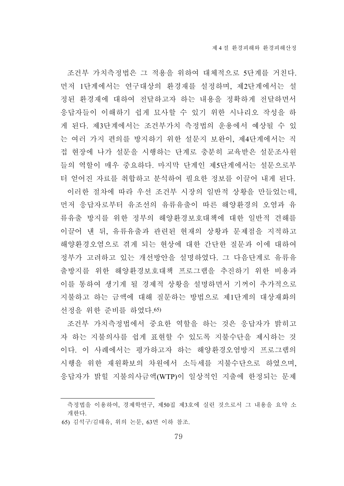조건부 가치측정법은 그 적용을 위하여 대체적으로 5단계를 거친다. 먼저 1단계에서는 연구대상의 환경재를 설정하며, 제2단계에서는 설 정된 환경재에 대하여 전달하고자 하는 내용을 정확하게 전달하면서 응답자들이 이해하기 쉽게 묘사할 수 있기 위한 시나리오 작성을 하 게 된다. 제3단계에서는 조건부가치 측정법의 운용에서 예상될 수 있 는 여러 가지 편의를 방지하기 위한 설문지 보완이, 제4단계에서는 직 접 현장에 나가 설문을 시행하는 단계로 충분히 교육받은 설문조사원 들의 역할이 매우 중요하다. 마지막 단계인 제5단계에서는 설문으로부 터 얻어진 자료를 취합하고 분석하여 필요한 정보를 이끌어 내게 된다. 이러한 절차에 따라 우선 조건부 시장의 일반적 상황을 만들었는데, 먼저 응답자로부터 유조선의 유류유출이 따른 해양환경의 오염과 유 류유출 방지를 위한 정부의 해양환경보호대책에 대한 일반적 견해를 이끌어 낸 뒤, 유류유출과 관련된 현재의 상황과 문제점을 지적하고 해양환경오염으로 겪게 되는 현상에 대한 간단한 질문과 이에 대하여 정부가 고려하고 있는 개선방안을 설명하였다. 그 다음단계로 유류유 출방지를 위한 해양환경보호대책 프로그램을 추진하기 위한 비용과 이를 통하여 생기게 될 경제적 상황을 설명하면서 기꺼이 추가적으로 지불하고 하는 금액에 대해 질문하는 방법으로 제1단계의 대상재화의 선정을 위한 준비를 하였다.65)

조건부 가치측정법에서 중요한 역할을 하는 것은 응답자가 밝히고 자 하는 지불의사를 쉽게 표현할 수 있도록 지불수단을 제시하는 것 이다. 이 사례에서는 평가하고자 하는 해양환경오염방지 프로그램의 시행을 위한 재원확보의 차원에서 소득세를 지불수단으로 하였으며, 응답자가 밝힐 지불의사금액(WTP)이 일상적인 지출에 한정되는 문제

65) 김석구/김태유, 위의 논문, 63면 이하 참조.

측정법을 이용하여, 경제학연구, 제50집 제3호에 실린 것으로서 그 내용을 요약 소 개한다.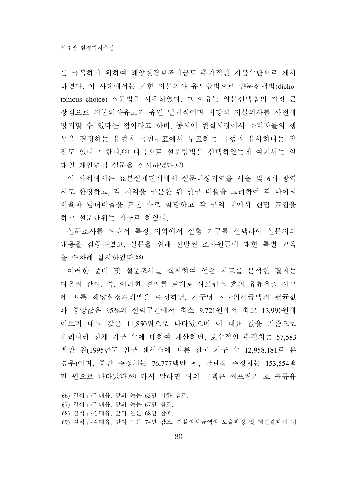를 극복하기 위하여 해양환경보조기금도 추가적인 지불수단으로 제시 하였다. 이 사례에서는 또한 지불의사 유도방법으로 양분선택법(dichotomous choice) 질문법을 사용하였다. 그 이유는 양분선택법의 가장 큰 장점으로 지불의사유도가 유인 일치적이며 저항적 지불의사를 사전에 방지할 수 있다는 점이라고 하며, 동시에 현실시장에서 소비자들의 행 동을 결정하는 유형과 국민투표에서 투표하는 유형과 유사하다는 장 점도 있다고 한다.66) 다음으로 설문방법을 선택하였는데 여기서는 일 대일 개인면접 설문을 실시하였다.67)

이 사례에서는 표본설계단계에서 설문대상지역을 서울 및 6개 광역 시로 한정하고, 각 지역을 구분한 뒤 인구 비율을 고려하여 각 나이의 비율과 남녀비율을 표본 수로 할당하고 각 구역 내에서 랜덤 표집을 하고 설문단위는 가구로 하였다.

설문조사를 위해서 특정 지역에서 실험 가구를 선택하여 설문지의 내용을 검증하였고, 설문을 위해 선발된 조사원들에 대한 특별 교육 을 수차례 실시하였다.68)

이러한 준비 및 설문조사를 실시하여 얻은 자료를 분석한 결과는 다음과 같다. 즉, 이러한 결과를 토대로 씨프린스 호의 유류유출 사고 에 따른 해양환경피해액을 추정하면, 가구당 지불의사금액의 평균값 과 중앙값은 95%의 신뢰구간에서 최소 9,721원에서 최고 13,990원에 이르며 대표 값은 11,850원으로 나타났으며 이 대표 값을 기준으로 우리나라 전체 가구 수에 대하여 계산하면, 보수적인 추정치는 57,583 백만 원(1995년도 인구 센서스에 따른 전국 가구 수 12,958,181로 본 경우)이며, 중간 추정치는 76,777백만 원, 낙관적 추정치는 153,554백 만 원으로 나타났다.69) 다시 말하면 위의 금액은 씨프린스 호 유류유

<sup>66)</sup> 김석구/김태유, 앞의 논문 65면 이하 참조.

<sup>67)</sup> 김석구/김태유, 앞의 논문 67면 참조.

<sup>68)</sup> 김석구/김태유, 앞의 논문 68면 참조.

<sup>69)</sup> 김석구/김태유, 앞의 논문 74면 참조. 지불의사금액의 도출과정 및 계산결과에 대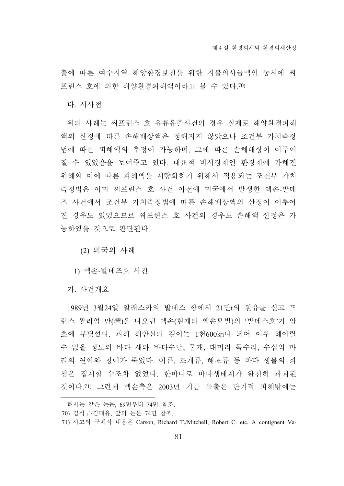출에 따른 여수지역 해양환경보전을 위한 지불의사금액인 동시에 씨 프린스 호에 의한 해양환경피해액이라고 볼 수 있다.70)

다. 시사점

위의 사례는 씨프린스 호 유류유출사건의 경우 실제로 해양환경피해 액의 산정에 따른 손해배상액은 정해지지 않았으나 조건부 가치측정 법에 따른 피해액의 추정이 가능하며, 그에 따른 손해배상이 이루어 질 수 있었음을 보여주고 있다. 대표적 비시장재인 환경재에 가해진 위해와 이에 따른 피해액을 계량화하기 위해서 적용되는 조건부 가치 측정법은 이미 씨프린스 호 사건 이전에 미국에서 발생한 엑손-발데 즈 사건에서 조건부 가치측정법에 따른 손해배상액의 산정이 이루어 진 경우도 있었으므로 씨프린스 호 사건의 경우도 손해액 산정은 가 능하였을 것으로 판단된다.

(2) 외국의 사례

1) 엑손-발데즈호 사건

가. 사건개요

1989년 3월24일 알래스카의 발데스 항에서 21만t의 원유를 싣고 프 린스 윌리엄 만(灣)을 나오던 엑손(현재의 엑손모빌)의 '발데스호'가 암 초에 부딪혔다. 피해 해안선의 길이는 1천600㎞나 되어 이루 헤아릴 수 없을 정도의 바다 새와 바다수달, 물개, 대머리 독수리, 수십억 마 리의 연어와 청어가 죽었다. 어류, 조개류, 해초류 등 바다 생물의 희 생은 집계할 수조차 없었다. 한마디로 바다생태계가 완전히 파괴된 것이다.71) 그런데 엑손측은 2003년 기름 유출은 단기적 피해밖에는

해서는 같은 논문, 69면부터 74면 참조.

<sup>70)</sup> 김석구/김태유, 앞의 논문 74면 참조.

<sup>71)</sup> 사고의 구체적 내용은 Carson, Richard T./Mitchell, Robert C. etc, A contignent Va-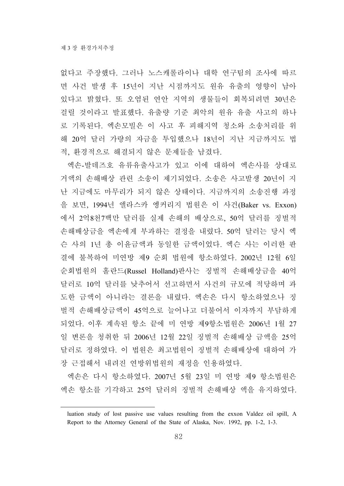없다고 주장했다. 그러나 노스캐롤라이나 대학 연구팀의 조사에 따르 면 사건 발생 후 15년이 지난 시점까지도 원유 유출의 영향이 남아 있다고 밝혔다. 또 오염된 연안 지역의 생물들이 회복되려면 30년은 걸릴 것이라고 발표했다. 유출량 기준 최악의 원유 유출 사고의 하나 로 기록된다. 엑손모빌은 이 사고 후 피해지역 청소와 소송처리를 위 해 20억 달러 가량의 자금을 투입했으나 18년이 지난 지금까지도 법 적, 환경적으로 해결되지 않은 문제들을 남겼다.

엑손-발데즈호 유류유출사고가 있고 이에 대하여 엑손사를 상대로 거액의 손해배상 관련 소송이 제기되었다. 소송은 사고발생 20년이 지 난 지금에도 마무리가 되지 않은 상태이다. 지금까지의 소송진행 과정 을 보면, 1994년 앨라스카 엥커리지 법원은 이 사건(Baker vs. Exxon) 에서 2억8천7백만 달러를 실제 손해의 배상으로, 50억 달러를 징벌적 손해배상금을 엑손에게 부과하는 결정을 내렸다. 50억 달러는 당시 엑 슨 사의 1년 총 이윤금액과 동일한 금액이었다. 엑슨 사는 이러한 판 결에 불복하여 미연방 제9 순회 법원에 항소하였다. 2002년 12월 6일 순회법원의 홀란드(Russel Holland)판사는 징벌적 손해배상금을 40억 달러로 10억 달러를 낮추어서 선고하면서 사건의 규모에 적당하며 과 도한 금액이 아니라는 결론을 내렸다. 엑손은 다시 항소하였으나 징 벌적 손해배상금액이 45억으로 늘어나고 더불어서 이자까지 부담하게 되었다. 이후 계속된 항소 끝에 미 연방 제9항소법원은 2006년 1월 27 일 변론을 청취한 뒤 2006년 12월 22일 징벌적 손해배상 금액을 25억 달러로 정하였다. 이 법원은 최고법원이 징벌적 손해배상에 대하여 가 장 근접해서 내려진 연방위법원의 재정을 인용하였다.

엑손은 다시 항소하였다. 2007년 5월 23일 미 연방 제9 항소법원은 엑손 항소를 기각하고 25억 달러의 징벌적 손해배상 액을 유지하였다.

luation study of lost passive use values resulting from the exxon Valdez oil spill, A Report to the Attorney General of the State of Alaska, Nov. 1992, pp. 1-2, 1-3.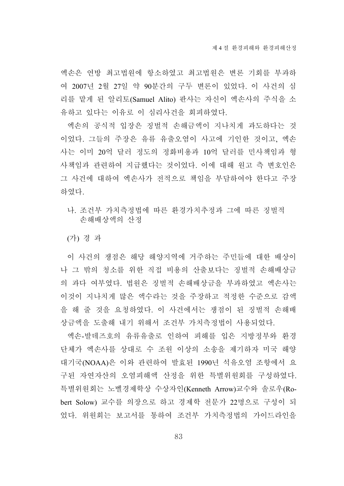엑손은 연방 최고법원에 항소하였고 최고법원은 변론 기회를 부과하 여 2007년 2월 27일 약 90분간의 구두 변론이 있었다. 이 사건의 심 리를 맡게 된 알리토(Samuel Alito) 판사는 자신이 엑손사의 주식을 소 유하고 있다는 이유로 이 심리사건을 회피하였다.

엑손의 공식적 입장은 징벌적 손해금액이 지나치게 과도하다는 것 이었다. 그들의 주장은 유류 유출오염이 사고에 기인한 것이고, 엑손 사는 이미 20억 달러 정도의 정화비용과 10억 달러를 민사책임과 형 사책임과 관련하여 지급했다는 것이었다. 이에 대해 원고 측 변호인은 그 사건에 대하여 엑손사가 전적으로 책임을 부담하여야 한다고 주장 하였다.

나. 조건부 가치측정법에 따른 환경가치추정과 그에 따른 징벌적 손해배상액의 산정

(가) 경 과

이 사건의 쟁점은 해당 해양지역에 거주하는 주민들에 대한 배상이 나 그 밖의 청소를 위한 직접 비용의 산출보다는 징벌적 손해배상금 의 과다 여부였다. 법원은 징벌적 손해배상금을 부과하였고 엑손사는 이것이 지나치게 많은 액수라는 것을 주장하고 적정한 수준으로 감액 을 해 줄 것을 요청하였다. 이 사건에서는 쟁점이 된 징벌적 손해배 상금액을 도출해 내기 위해서 조건부 가치측정법이 사용되었다.

엑손-발데즈호의 유류유출로 인하여 피해를 입은 지방정부와 환경 단체가 엑손사를 상대로 수 조원 이상의 소송을 제기하자 미국 해양 대기국(NOAA)은 이와 관련하여 발효된 1990년 석유오염 조항에서 요 구된 자연자산의 오염피해액 산정을 위한 특별위원회를 구성하였다. 특별위원회는 노벨경제학상 수상자인(Kenneth Arrow)교수와 솔로우(Robert Solow) 교수를 의장으로 하고 경제학 전문가 22명으로 구성이 되 었다. 위원회는 보고서를 통하여 조건부 가치측정법의 가이드라인을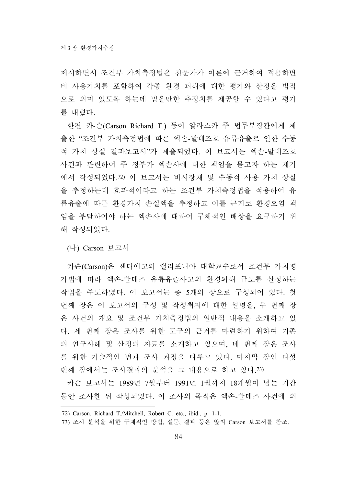제시하면서 조건부 가치측정법은 전문가가 이론에 근거하여 적용하면 비 사용가치를 포함하여 각종 환경 피해에 대한 평가와 산정을 법적 으로 의미 있도록 하는데 믿을만한 추정치를 제공할 수 있다고 평가 를 내렸다.

한편 카-슨(Carson Richard T.) 등이 알라스카 주 법무부장관에게 제 출한 "조건부 가치측정법에 따른 엑손-발데즈호 유류유출로 인한 수동 적 가치 상실 결과보고서"가 제출되었다. 이 보고서는 엑손-발데즈호 사건과 관련하여 주 정부가 엑손사에 대한 책임을 묻고자 하는 계기 에서 작성되었다.72) 이 보고서는 비시장재 및 수동적 사용 가치 상실 을 추정하는데 효과적이라고 하는 조건부 가치측정법을 적용하여 유 류유출에 따른 환경가치 손실액을 추정하고 이를 근거로 환경오염 책 임을 부담하여야 하는 엑손사에 대하여 구체적인 배상을 요구하기 위 해 작성되었다.

(나) Carson 보고서

카슨(Carson)은 샌디에고의 캘리포니아 대학교수로서 조건부 가치평 가법에 따라 엑손-발데즈 유류유출사고의 환경피해 규모를 산정하는 작업을 주도하였다. 이 보고서는 총 5개의 장으로 구성되어 있다. 첫 번째 장은 이 보고서의 구성 및 작성취지에 대한 설명을, 두 번째 장 은 사건의 개요 및 조건부 가치측정법의 일반적 내용을 소개하고 있 다. 세 번째 장은 조사를 위한 도구의 근거를 마련하기 위하여 기존 의 연구사례 및 산정의 자료를 소개하고 있으며, 네 번째 장은 조사 를 위한 기술적인 면과 조사 과정을 다루고 있다. 마지막 장인 다섯 번째 장에서는 조사결과의 분석을 그 내용으로 하고 있다.73)

카슨 보고서는 1989년 7월부터 1991년 1월까지 18개월이 넘는 기간 동안 조사한 뒤 작성되었다. 이 조사의 목적은 엑손-발데즈 사건에 의

<sup>72)</sup> Carson, Richard T./Mitchell, Robert C. etc., ibid., p. 1-1.

<sup>73)</sup> 조사 분석을 위한 구체적인 방법, 설문, 결과 등은 앞의 Carson 보고서를 참조.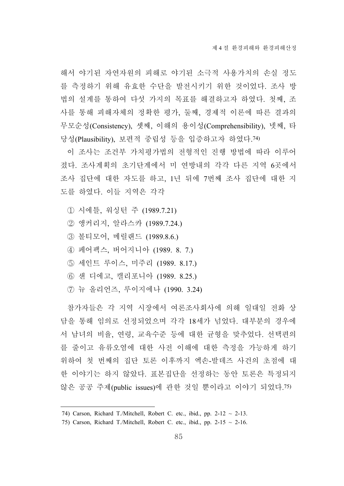해서 야기된 자연자원의 피해로 야기된 소극적 사용가치의 손실 정도 를 측정하기 위해 유효한 수단을 발전시키기 위한 것이었다. 조사 방 법의 설계를 통하여 다섯 가지의 목표를 해결하고자 하였다. 첫째, 조 사를 통해 피해자체의 정확한 평가, 둘째, 경제적 이론에 따른 결과의 무모순성(Consistency), 셋째, 이해의 용이성(Comprehensibility), 넷째, 타 당성(Plausibility), 보편적 중립성 등을 입증하고자 하였다.74)

이 조사는 조건부 가치평가법의 전형적인 진행 방법에 따라 이루어 졌다. 조사계획의 초기단계에서 미 연방내의 각각 다른 지역 6곳에서 조사 집단에 대한 자도를 하고, 1년 뒤에 7번째 조사 집단에 대한 지 도를 하였다. 이들 지역은 각각

- ① 시에틀, 워싱턴 주 (1989.7.21)
- ② 앵커리지, 알라스카 (1989.7.24.)
- ③ 볼티모어, 메릴랜드 (1989.8.6.)
- ④ 페어팩스, 버어지니아 (1989. 8. 7.)
- ⑤ 세인트 루이스, 미주리 (1989. 8.17.)
- ⑥ 샌 디에고, 캘리포니아 (1989. 8.25.)
- ⑦ 뉴 올리언즈, 루이지에나 (1990. 3.24)

참가자들은 각 지역 시장에서 여론조사회사에 의해 일대일 전화 상 담을 통해 임의로 선정되었으며 각각 18세가 넘었다. 대부분의 경우에 서 남녀의 비율, 연령, 교육수준 등에 대한 균형을 맞추었다. 선택편의 를 줄이고 유류오염에 대한 사전 이해에 대한 측정을 가능하게 하기 위하여 첫 번째의 집단 토론 이후까지 엑손-발데즈 사건의 초점에 대 한 이야기는 하지 않았다. 표본집단을 선정하는 동안 토론은 특정되지 않은 공공 주제(public issues)에 관한 것일 뿐이라고 이야기 되었다.75)

<sup>74)</sup> Carson, Richard T./Mitchell, Robert C. etc., ibid., pp.  $2-12 \sim 2-13$ .

<sup>75)</sup> Carson, Richard T./Mitchell, Robert C. etc., ibid., pp.  $2-15 \sim 2-16$ .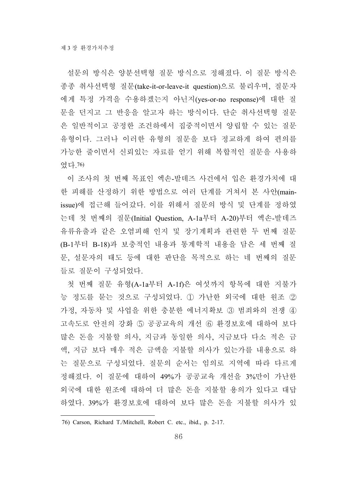설문의 방식은 양분선택형 질문 방식으로 정해졌다. 이 질문 방식은 종종 취사선택형 질문(take-it-or-leave-it question)으로 불리우며, 질문자 에게 특정 가격을 수용하겠는지 아닌지(yes-or-no response)에 대한 질 문을 던지고 그 반응을 알고자 하는 방식이다. 단순 취사선택형 질문 은 일반적이고 공정한 조건하에서 집중적이면서 양립할 수 있는 질문 유형이다. 그러나 이러한 유형의 질문을 보다 정교하게 하여 편의를 가능한 줄이면서 신뢰있는 자료를 얻기 위해 복합적인 질문을 사용하 였다.76)

이 조사의 첫 번째 목표인 엑손-발데즈 사건에서 입은 환경가치에 대 한 피해를 산정하기 위한 방법으로 여러 단계를 거쳐서 본 사안(mainissue)에 접근해 들어갔다. 이를 위해서 질문의 방식 및 단계를 정하였 는데 첫 번째의 질문(Initial Question, A-1a부터 A-20)부터 엑손-발데즈 유류유출과 같은 오염피해 인지 및 장기계획과 관련한 두 번째 질문 (B-1부터 B-18)과 보충적인 내용과 통계학적 내용을 담은 세 번째 질 문, 설문자의 태도 등에 대한 판단을 목적으로 하는 네 번째의 질문 들로 질문이 구성되었다.

첫 번째 질문 유형(A-1a부터 A-1f)은 여섯까지 항목에 대한 지불가 능 정도를 묻는 것으로 구성되었다. ① 가난한 외국에 대한 원조 ② 가정, 자동차 및 사업을 위한 충분한 에너지확보 ③ 범죄와의 전쟁 ④ 고속도로 안전의 강화 ⑤ 공공교육의 개선 ⑥ 환경보호에 대하여 보다 많은 돈을 지불할 의사, 지금과 동일한 의사, 지금보다 다소 적은 금 액, 지금 보다 매우 적은 금액을 지불할 의사가 있는가를 내용으로 하 는 질문으로 구성되었다. 질문의 순서는 임의로 지역에 따라 다르게 정해졌다. 이 질문에 대하여 49%가 공공교육 개선을 3%만이 가난한 외국에 대한 원조에 대하여 더 많은 돈을 지불할 용의가 있다고 대답 하였다. 39%가 환경보호에 대하여 보다 많은 돈을 지불할 의사가 있

<sup>76)</sup> Carson, Richard T./Mitchell, Robert C. etc., ibid., p. 2-17.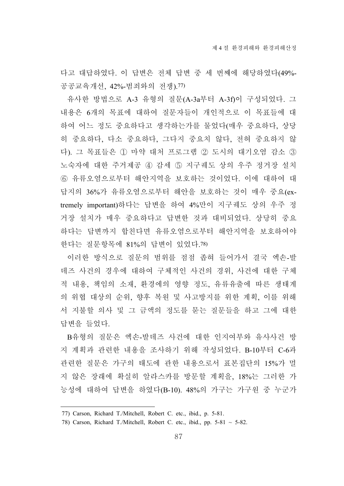다고 대답하였다. 이 답변은 전체 답변 중 세 번째에 해당하였다(49%- 공공교육개선, 42%-범죄와의 전쟁).77)

유사한 방법으로 A-3 유형의 질문(A-3a부터 A-3f)이 구성되었다. 그 내용은 6개의 목표에 대하여 질문자들이 개인적으로 이 목표들에 대 하여 어느 정도 중요하다고 생각하는가를 물었다(매우 중요하다, 상당 히 중요하다, 다소 중요하다, 그다지 중요치 않다, 전혀 중요하지 않 다). 그 목표들은 ① 마약 대처 프로그램 ② 도시의 대기오염 감소 ③ 노숙자에 대한 주거제공 ④ 감세 ⑤ 지구궤도 상의 우주 정거장 설치 ⑥ 유류오염으로부터 해안지역을 보호하는 것이었다. 이에 대하여 대 답지의 36%가 유류오염으로부터 해안을 보호하는 것이 매우 중요(extremely important)하다는 답변을 하여 4%만이 지구궤도 상의 우주 정 거장 설치가 매우 중요하다고 답변한 것과 대비되었다. 상당히 중요 하다는 답변까지 합친다면 유류오염으로부터 해안지역을 보호하여야 한다는 질문항목에 81%의 답변이 있었다.78)

이러한 방식으로 질문의 범위를 점점 좁혀 들어가서 결국 엑손-발 데즈 사건의 경우에 대하여 구체적인 사건의 경위, 사건에 대한 구체 적 내용, 책임의 소재, 환경에의 영향 정도, 유류유출에 따른 생태계 의 위협 대상의 순위, 향후 복원 및 사고방지를 위한 계획, 이를 위해 서 지불할 의사 및 그 금액의 정도를 묻는 질문들을 하고 그에 대한 답변을 들었다.

B유형의 질문은 엑손-발데즈 사건에 대한 인지여부와 유사사건 방 지 계획과 관련한 내용을 조사하기 위해 작성되었다. B-10부터 C-6과 관련한 질문은 가구의 태도에 관한 내용으로서 표본집단의 15%가 멀 지 않은 장래에 확실히 알라스카를 방문할 계획을, 18%는 그러한 가 능성에 대하여 답변을 하였다(B-10). 48%의 가구는 가구원 중 누군가

<sup>77)</sup> Carson, Richard T./Mitchell, Robert C. etc., ibid., p. 5-81.

<sup>78)</sup> Carson, Richard T./Mitchell, Robert C. etc., ibid., pp.  $5-81 \sim 5-82$ .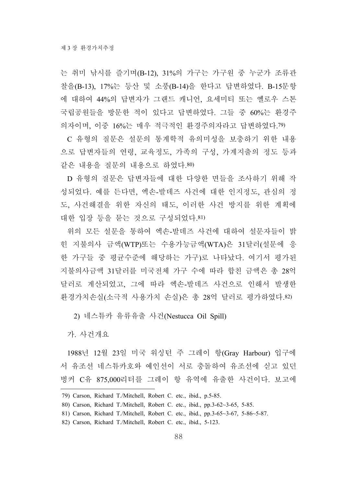는 취미 낚시를 즐기며(B-12), 31%의 가구는 가구원 중 누군가 조류관 찰을(B-13), 17%는 등산 및 소풍(B-14)을 한다고 답변하였다. B-15문항 에 대하여 44%의 답변자가 그랜드 캐니언, 요세미티 또는 옐로우 스톤 국립공원들을 방문한 적이 있다고 답변하였다. 그들 중 60%는 환경주 의자이며, 이중 16%는 매우 적극적인 환경주의자라고 답변하였다.79)

C 유형의 질문은 설문의 통계학적 유의미성을 보충하기 위한 내용 으로 답변자들의 연령, 교육정도, 가족의 구성, 가계지출의 정도 등과 같은 내용을 질문의 내용으로 하였다.80)

D 유형의 질문은 답변자들에 대한 다양한 면들을 조사하기 위해 작 성되었다. 예를 든다면, 엑손-발데즈 사건에 대한 인지정도, 관심의 정 도, 사건해결을 위한 자신의 태도, 이러한 사건 방지를 위한 계획에 대한 입장 등을 묻는 것으로 구성되었다.81)

위의 모든 설문을 통하여 엑손-발데즈 사건에 대하여 설문자들이 밝 힌 지불의사 금액(WTP)또는 수용가능금액(WTA)은 31달러(설문에 응 한 가구들 중 평균수준에 해당하는 가구)로 나타났다. 여기서 평가된 지불의사금액 31달러를 미국전체 가구 수에 따라 합친 금액은 총 28억 달러로 계산되었고, 그에 따라 엑손-발데즈 사건으로 인해서 발생한 환경가치손실(소극적 사용가치 손실)은 총 28억 달러로 평가하였다.82)

2) 네스튜카 유류유출 사건(Nestucca Oil Spill)

가. 사건개요

1988년 12월 23일 미국 워싱턴 주 그레이 항(Gray Harbour) 입구에 서 유조선 네스튜카호와 예인선이 서로 충돌하여 유조선에 싣고 있던 벙커 C유 875,000리터를 그레이 항 유역에 유출한 사건이다. 보고에

<sup>79)</sup> Carson, Richard T./Mitchell, Robert C. etc., ibid., p.5-85.

<sup>80)</sup> Carson, Richard T./Mitchell, Robert C. etc., ibid., pp.3-62~3-65, 5-85.

<sup>81)</sup> Carson, Richard T./Mitchell, Robert C. etc., ibid., pp.3-65~3-67, 5-86~5-87.

<sup>82)</sup> Carson, Richard T./Mitchell, Robert C. etc., ibid., 5-123.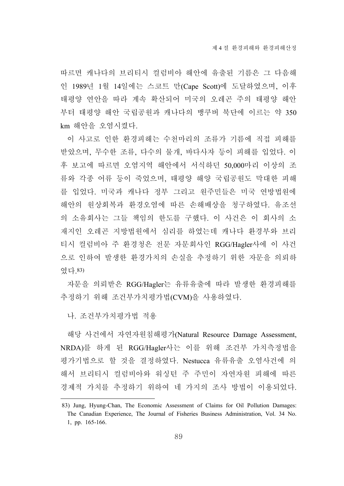따르면 캐나다의 브리티시 컬럼비아 해안에 유출된 기름은 그 다음해 인 1989년 1월 14일에는 스코트 만(Cape Scott)에 도달하였으며, 이후 태평양 연안을 따라 계속 확산되어 미국의 오레곤 주의 태평양 해안 부터 태평양 해안 국립공원과 캐나다의 뱅쿠버 북단에 이르는 약 350 km 해안을 오염시켰다.

이 사고로 인한 환경피해는 수천마리의 조류가 기름에 직접 피해를 받았으며, 무수한 조류, 다수의 물개, 바다사자 등이 피해를 입었다. 이 후 보고에 따르면 오염지역 해안에서 서식하던 50,000마리 이상의 조 류와 각종 어류 등이 죽었으며, 태평양 해양 국립공원도 막대한 피해 를 입었다. 미국과 캐나다 정부 그리고 원주민들은 미국 연방법원에 해안의 원상회복과 환경오염에 따른 손해배상을 청구하였다. 유조선 의 소유회사는 그들 책임의 한도를 구했다. 이 사건은 이 회사의 소 재지인 오레곤 지방법원에서 심리를 하였는데 캐나다 환경부와 브리 티시 컬럼비아 주 환경청은 전문 자문회사인 RGG/Hagler사에 이 사건 으로 인하여 발생한 환경가치의 손실을 추정하기 위한 자문을 의뢰하 였다.83)

자문을 의뢰받은 RGG/Hagler는 유류유출에 따라 발생한 환경피해를 추정하기 위해 조건부가치평가법(CVM)을 사용하였다.

나. 조건부가치평가법 적용

해당 사건에서 자연자원침해평가(Natural Resource Damage Assessment, NRDA)를 하게 된 RGG/Hagler사는 이를 위해 조건부 가치측정법을 평가기법으로 할 것을 결정하였다. Nestucca 유류유출 오염사건에 의 해서 브리티시 컬럼비아와 워싱턴 주 주민이 자연자원 피해에 따른 경제적 가치를 추정하기 위하여 네 가지의 조사 방법이 이용되었다.

<sup>83)</sup> Jung, Hyung-Chan, The Economic Assessment of Claims for Oil Pollution Damages: The Canadian Experience, The Journal of Fisheries Business Administration, Vol. 34 No. 1, pp. 165-166.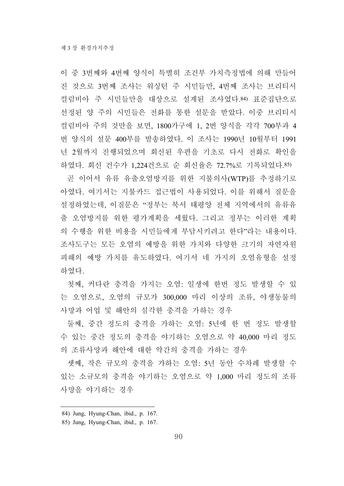이 중 3번째와 4번째 양식이 특별히 조건부 가치측정법에 의해 만들어 진 것으로 3번째 조사는 워싱턴 주 시민들만, 4번째 조사는 브리티시 컬럼비아 주 시민들만을 대상으로 설계된 조사였다.84) 표준집단으로 선정된 양 주의 시민들은 전화를 통한 설문을 받았다. 이중 브리티시 컬럼비아 주의 것만을 보면, 1800가구에 1, 2번 양식을 각각 700부과 4 번 양식의 설문 400부를 발송하였다. 이 조사는 1990년 10월부터 1991 년 2월까지 진행되었으며 회신된 우편을 기초로 다시 전화로 확인을 하였다. 회신 건수가 1,224건으로 순 회신율은 72.7%로 기록되었다.85)

곧 이어서 유류 유출오염방지를 위한 지불의사(WTP)를 추정하기로 아였다. 여기서는 지불카드 접근법이 사용되었다. 이를 위해서 질문을 설정하였는데, 이질문은 "정부는 북서 태평양 전체 지역에서의 유류유 출 오염방지를 위한 평가계획을 세웠다. 그리고 정부는 이러한 계획 의 수행을 위한 비용을 시민들에게 부담시키려고 한다"라는 내용이다. 조사도구는 모든 오염의 예방을 위한 가치와 다양한 크기의 자연자원 피해의 예방 가치를 유도하였다. 여기서 네 가지의 오염유형을 설정 하였다.

첫째, 커다란 충격을 가지는 오염: 일생에 한번 정도 발생할 수 있 는 오염으로, 오염의 규모가 300,000 마리 이상의 조류, 야생동물의 사망과 어업 및 해안의 심각한 충격을 가하는 경우

둘째, 중간 정도의 충격을 가하는 오염: 5년에 한 번 정도 발생할 수 있는 중간 정도의 충격을 야기하는 오염으로 약 40,000 마리 정도 의 조류사망과 해안에 대한 약간의 충격을 가하는 경우

셋째, 작은 규모의 충격을 가하는 오염: 5년 동안 수차례 발생할 수 있는 소규모의 충격을 야기하는 오염으로 약 1,000 마리 정도의 조류 사망을 야기하는 경우

<sup>84)</sup> Jung, Hyung-Chan, ibid., p. 167.

<sup>85)</sup> Jung, Hyung-Chan, ibid., p. 167.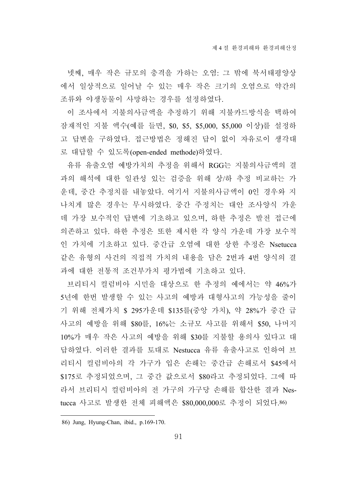넷째, 매우 작은 규모의 충격을 가하는 오염: 그 밖에 북서태평양상 에서 일상적으로 일어날 수 있는 매우 작은 크기의 오염으로 약간의 조류와 야생동물이 사망하는 경우를 설정하였다.

이 조사에서 지불의사금액을 추정하기 위해 지불카드방식을 택하여 잠재적인 지불 액수(예를 들면, \$0, \$5, \$5,000, \$5,000 이상)를 설정하 고 답변을 구하였다. 접근방법은 정해진 답이 없이 자유로이 생각대 로 대답할 수 있도록(open-ended methode)하였다.

유류 유출오염 예방가치의 추정을 위해서 RGG는 지불의사금액의 결 과의 해석에 대한 일관성 있는 검증을 위해 상/하 추정 비교하는 가 운데, 중간 추정치를 내놓았다. 여기서 지불의사금액이 0인 경우와 지 나치게 많은 경우는 무시하였다. 중간 주정치는 대안 조사양식 가운 데 가장 보수적인 답변에 기초하고 있으며, 하한 추정은 발전 접근에 의존하고 있다. 하한 추정은 또한 제시한 각 양식 가운데 가장 보수적 인 가치에 기초하고 있다. 중간급 오염에 대한 상한 추정은 Nsetucca 같은 유형의 사건의 직접적 가치의 내용을 담은 2번과 4번 양식의 결 과에 대한 전통적 조건부가치 평가법에 기초하고 있다.

브리티시 컬럼비아 시민을 대상으로 한 추정의 예에서는 약 46%가 5년에 한번 발생할 수 있는 사고의 예방과 대형사고의 가능성을 줄이 기 위해 전체가치 \$ 295가운데 \$135를(중앙 가치), 약 28%가 중간 급 사고의 예방을 위해 \$80를, 16%는 소규모 사고를 위해서 \$50, 나머지 10%가 매우 작은 사고의 예방을 위해 \$30를 지불할 용의사 있다고 대 답하였다. 이러한 결과를 토대로 Nestucca 유류 유출사고로 인하여 브 리티시 컬럼비아의 각 가구가 입은 손해는 중간급 손해로서 \$45에서 \$175로 추정되었으며, 그 중간 값으로서 \$80라고 추정되었다. 그에 따 라서 브리티시 컬럼비아의 전 가구의 가구당 손해를 합산한 결과 Nestucca 사고로 발생한 전체 피해액은 \$80,000,000로 추정이 되었다.86)

<sup>86)</sup> Jung, Hyung-Chan, ibid., p.169-170.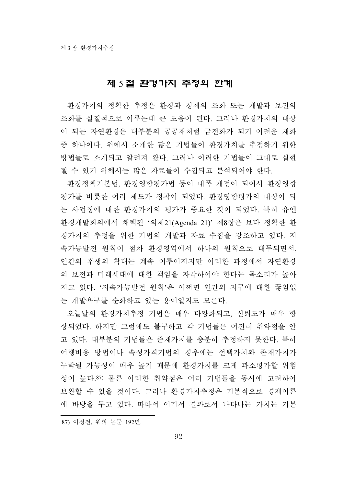### 제 5 절 환경가치 추정의 한계

환경가치의 정확한 추정은 환경과 경제의 조화 또는 개발과 보전의 조화를 실질적으로 이루는데 큰 도움이 된다. 그러나 환경가치의 대상 이 되는 자연환경은 대부분의 공공재처럼 금전화가 되기 어려운 재화 중 하나이다. 위에서 소개한 많은 기법들이 환경가치를 추정하기 위한 방법들로 소개되고 알려져 왔다. 그러나 이러한 기법들이 그대로 실현 될 수 있기 위해서는 많은 자료들이 수집되고 분석되어야 한다.

환경정책기본법, 환경영향평가법 등이 대폭 개정이 되어서 환경영향 평가를 비롯한 여러 제도가 정착이 되었다. 환경영향평가의 대상이 되 는 사업장에 대한 환경가치의 평가가 중요한 것이 되었다. 특히 유엔 환경개발회의에서 채택된 '의제21(Agenda 21)' 제8장은 보다 정확한 환 경가치의 추정을 위한 기법의 개발과 자료 수집을 강조하고 있다. 지 속가능발전 원칙이 점차 환경영역에서 하나의 원칙으로 대두되면서, 인간의 후생의 확대는 계속 이루어지지만 이러한 과정에서 자연환경 의 보전과 미래세대에 대한 책임을 자각하여야 한다는 목소리가 높아 지고 있다. '지속가능발전 원칙'은 어쩌면 인간의 지구에 대한 끊임없 는 개발욕구를 순화하고 있는 용어일지도 모른다.

오늘날의 환경가치추정 기법은 매우 다양화되고, 신뢰도가 매우 향 상되었다. 하지만 그럼에도 불구하고 각 기법들은 여전히 취약점을 안 고 있다. 대부분의 기법들은 존재가치를 충분히 추정하지 못한다. 특히 여행비용 방법이나 속성가격기법의 경우에는 선택가치와 존재가치가 누락될 가능성이 매우 높기 때문에 환경가치를 크게 과소평가할 위험 성이 높다.87) 물론 이러한 취약점은 여러 기법들을 동시에 고려하여 보완할 수 있을 것이다. 그러나 환경가치추정은 기본적으로 경제이론 에 바탕을 두고 있다. 따라서 여기서 결과로서 나타나는 가치는 기본

<sup>87)</sup> 이정전, 위의 논문 192면.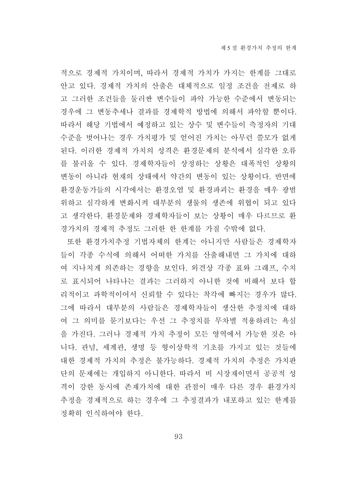적으로 경제적 가치이며, 따라서 경제적 가치가 가지는 한계를 그대로 안고 있다. 경제적 가치의 산출은 대체적으로 일정 조건을 전제로 하 고 그러한 조건들을 둘러싼 변수들이 파악 가능한 수준에서 변동되는 경우에 그 변동추세나 결과를 경제학적 방법에 의해서 파악할 뿐이다. 따라서 해당 기법에서 예정하고 있는 상수 및 변수들이 측정자의 기대 수준을 벗어나는 경우 가치평가 및 얻어진 가치는 아무런 쓸모가 없게 된다. 이러한 경제적 가치의 성격은 환경문제의 분석에서 심각한 오류 를 불러올 수 있다. 경제학자들이 상정하는 상황은 대폭적인 상황의 변동이 아니라 현재의 상태에서 약간의 변동이 있는 상황이다. 반면에 환경운동가들의 시각에서는 환경오염 및 환경파괴는 환경을 매우 광범 위하고 심각하게 변화시켜 대부분의 생물의 생존에 위협이 되고 있다 고 생각한다. 환경문제와 경제학자들이 보는 상황이 매우 다르므로 환 경가치의 경제적 추정도 그러한 한 한계를 가질 수밖에 없다.

또한 환경가치추정 기법자체의 한계는 아니지만 사람들은 경제학자 들이 각종 수식에 의해서 어떠한 가치를 산출해내면 그 가치에 대하 여 지나치게 의존하는 경향을 보인다. 외견상 각종 표와 그래프, 수치 로 표시되어 나타나는 결과는 그러하지 아니한 것에 비해서 보다 합 리적이고 과학적이어서 신뢰할 수 있다는 착각에 빠지는 경우가 많다. 그에 따라서 대부분의 사람들은 경제학자들이 생산한 추정치에 대하 여 그 의미를 묻기보다는 우선 그 추정치를 무차별 적용하려는 욕심 을 가진다. 그러나 경제적 가치 추정이 모든 영역에서 가능한 것은 아 니다. 관념, 세계관, 생명 등 형이상학적 기초를 가지고 있는 것들에 대한 경제적 가치의 추정은 불가능하다. 경제적 가치의 추정은 가치판 단의 문제에는 개입하지 아니한다. 따라서 비 시장재이면서 공공적 성 격이 강한 동시에 존재가치에 대한 관점이 매우 다른 경우 환경가치 추정을 경제적으로 하는 경우에 그 추정결과가 내포하고 있는 한계를 정확히 인식하여야 한다.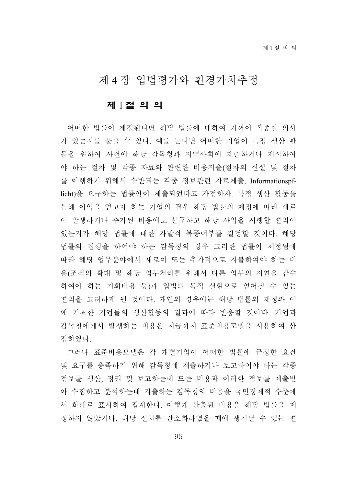# 제 4 장 입법평가와 환경가치추정

#### 제 1 절 의 의

어떠한 법률이 제정된다면 해당 법률에 대하여 기꺼이 복종할 의사 가 있는지를 물을 수 있다. 예를 든다면 어떠한 기업이 특정 생산 활 동을 위하여 사전에 해당 감독청과 지역사회에 제출하거나 제시하여 야 하는 절차 및 각종 자료와 관련한 비용지출(절차의 신설 및 절차 를 이행하기 위해서 수반되는 각종 정보관련 자료제출, Informationspflicht)을 요구하는 법률안이 제출되었다고 가정하자. 특정 생산 활동을 통해 이익을 얻고자 하는 기업의 경우 해당 법률의 제정에 따라 새로 이 발생하거나 추가된 비용에도 불구하고 해당 사업을 시행할 편익이 있는지가 해당 법률에 대한 자발적 복종여부를 결정할 것이다. 해당 법률의 집행을 하여야 하는 감독청의 경우 그러한 법률이 제정됨에 따라 해당 업무분야에서 새로이 또는 추가적으로 지불하여야 하는 비 용(조직의 확대 및 해당 업무처리를 위해서 다른 업무의 지연을 감수 하여야 하는 기회비용 등)과 입법의 목적 실현으로 얻어질 수 있는 편익을 고려하게 될 것이다. 개인의 경우에는 해당 법률의 제정과 이 에 기초한 기업들의 생산활동의 결과에 따라 반응할 것이다. 기업과 감독청에게서 발생하는 비용은 지금까지 표준비용모델을 사용하여 산 정하였다.

그러나 표준비용모델은 각 개별기업이 어떠한 법률에 규정한 요건 및 요구를 충족하기 위해 감독청에 제출하거나 보고하여야 하는 각종 정보를 생산, 정리 및 보고하는데 드는 비용과 이러한 정보를 제출받 아 수집하고 분석하는데 지출하는 감독청의 비용을 국민경제적 수준에 서 화폐로 표시하여 집계한다. 이렇게 산출된 비용을 해당 법률을 제 정하지 않았거나, 해당 절차를 간소화하였을 때에 생겨날 수 있는 편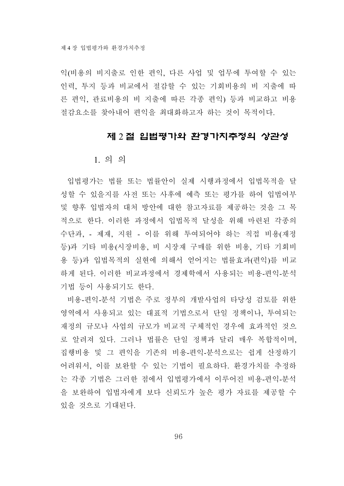익(비용의 비지출로 인한 편익, 다른 사업 및 업무에 투여할 수 있는 인력, 투지 등과 비교에서 절감할 수 있는 기회비용의 비 지출에 따 른 편익, 관료비용의 비 지출에 따른 각종 편익) 등과 비교하고 비용 절감요소를 찾아내어 편익을 최대화하고자 하는 것이 목적이다.

#### 제 2 절 입법평가와 환경가치추정의 상관성

1. 의 의

입법평가는 법률 또는 법률안이 실제 시행과정에서 입법목적을 달 성할 수 있을지를 사전 또는 사후에 예측 또는 평가를 하여 입법여부 및 향후 입법자의 대처 방안에 대한 참고자료를 제공하는 것을 그 목 적으로 한다. 이러한 과정에서 입법목적 달성을 위해 마련된 각종의 수단과, - 제재, 지원 - 이를 위해 투여되어야 하는 직접 비용(재정 등)과 기타 비용(시장비용, 비 시장재 구매를 위한 비용, 기타 기회비 용 등)과 입법목적의 실현에 의해서 얻어지는 법률효과(편익)를 비교 하게 된다. 이러한 비교과정에서 경제학에서 사용되는 비용-편익-분석 기법 등이 사용되기도 한다.

비용-편익-분석 기법은 주로 정부의 개발사업의 타당성 검토를 위한 영역에서 사용되고 있는 대표적 기법으로서 단일 정책이나, 투여되는 재정의 규모나 사업의 규모가 비교적 구체적인 경우에 효과적인 것으 로 알려져 있다. 그러나 법률은 단일 정책과 달리 매우 복합적이며, 집행비용 및 그 편익을 기존의 비용-편익-분석으로는 쉽게 산정하기 어려워서, 이를 보완할 수 있는 기법이 필요하다. 환경가치를 추정하 는 각종 기법은 그러한 점에서 입법평가에서 이루어진 비용-편익-분석 을 보완하여 입법자에게 보다 신뢰도가 높은 평가 자료를 제공할 수 있을 것으로 기대된다.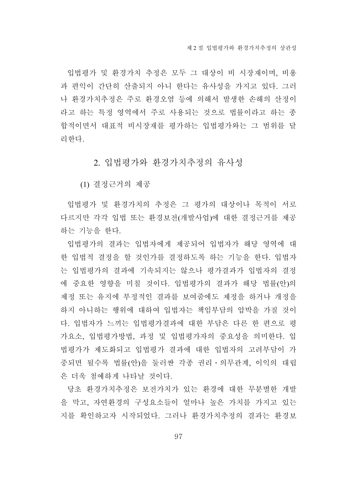입법평가 및 환경가치 추정은 모두 그 대상이 비 시장재이며, 비용 과 편익이 간단히 산출되지 아니 한다는 유사성을 가지고 있다. 그러 나 환경가치추정은 주로 환경오염 등에 의해서 발생한 손해의 산정이 라고 하는 특정 영역에서 주로 사용되는 것으로 법률이라고 하는 종 합적이면서 대표적 비시장재를 평가하는 입법평가와는 그 범위를 달 리한다.

2. 입법평가와 환경가치추정의 유사성

(1) 결정근거의 제공

입법평가 및 환경가치의 추정은 그 평가의 대상이나 목적이 서로 다르지만 각각 입법 또는 환경보전(개발사업)에 대한 결정근거를 제공 하는 기능을 한다.

입법평가의 결과는 입법자에게 제공되어 입법자가 해당 영역에 대 한 입법적 결정을 할 것인가를 결정하도록 하는 기능을 한다. 입법자 는 입법평가의 결과에 기속되지는 않으나 평가결과가 입법자의 결정 에 중요한 영향을 미칠 것이다. 입법평가의 결과가 해당 법률(안)의 제정 또는 유지에 부정적인 결과를 보여줌에도 제정을 하거나 개정을 하지 아니하는 행위에 대하여 입법자는 책임부담의 압박을 가질 것이 다. 입법자가 느끼는 입법평가결과에 대한 부담은 다른 한 편으로 평 가요소, 입법평가방법, 과정 및 입법평가자의 중요성을 의미한다. 입 법평가가 제도화되고 입법평가 결과에 대한 입법자의 고려부담이 가 중되면 될수록 법률(안)을 둘러싼 각종 권리․의무관계, 이익의 대립 은 더욱 첨예하게 나타날 것이다.

당초 환경가치추정은 보전가치가 있는 환경에 대한 무분별한 개발 을 막고, 자연환경의 구성요소들이 얼마나 높은 가치를 가지고 있는 지를 확인하고자 시작되었다. 그러나 환경가치추정의 결과는 환경보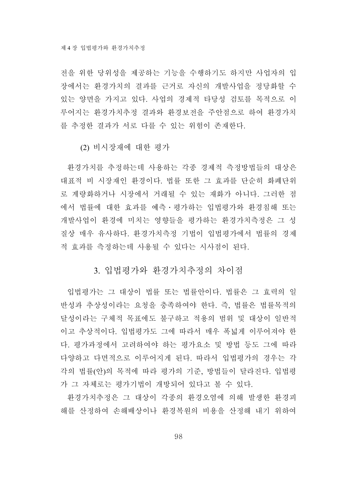전을 위한 당위성을 제공하는 기능을 수행하기도 하지만 사업자의 입 장에서는 환경가치의 결과를 근거로 자신의 개발사업을 정당화할 수 있는 양면을 가지고 있다. 사업의 경제적 타당성 검토를 목적으로 이 루어지는 환경가치추정 결과와 환경보전을 주안점으로 하여 환경가치 를 추정한 결과가 서로 다를 수 있는 위험이 존재한다.

(2) 비시장재에 대한 평가

환경가치를 추정하는데 사용하는 각종 경제적 측정방법들의 대상은 대표적 비 시장재인 환경이다. 법률 또한 그 효과를 단순히 화폐단위 로 계량화하거나 시장에서 거래될 수 있는 재화가 아니다. 그러한 점 에서 법률에 대한 효과를 예측․평가하는 입법평가와 환경침해 또는 개발사업이 환경에 미치는 영향들을 평가하는 환경가치측정은 그 성 질상 매우 유사하다. 환경가치측정 기법이 입법평가에서 법률의 경제 적 효과를 측정하는데 사용될 수 있다는 시사점이 된다.

### 3. 입법평가와 환경가치추정의 차이점

입법평가는 그 대상이 법률 또는 법률안이다. 법률은 그 효력의 일 반성과 추상성이라는 요청을 충족하여야 한다. 즉, 법률은 법률목적의 달성이라는 구체적 목표에도 불구하고 적용의 범위 및 대상이 일반적 이고 추상적이다. 입법평가도 그에 따라서 매우 폭넓게 이루어져야 한 다. 평가과정에서 고려하여야 하는 평가요소 및 방법 등도 그에 따라 다양하고 다면적으로 이루어지게 된다. 따라서 입법평가의 경우는 각 각의 법률(안)의 목적에 따라 평가의 기준, 방법들이 달라진다. 입법평 가 그 자체로는 평가기법이 개방되어 있다고 볼 수 있다.

환경가치추정은 그 대상이 각종의 환경오염에 의해 발생한 환경피 해를 산정하여 손해배상이나 환경복원의 비용을 산정해 내기 위하여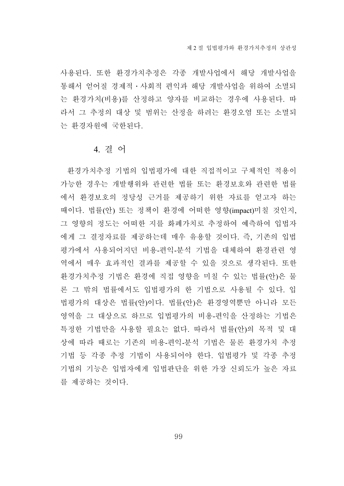사용된다. 또한 환경가치추정은 각종 개발사업에서 해당 개발사업을 통해서 얻어질 경제적․사회적 편익과 해당 개발사업을 위하여 소멸되 는 환경가치(비용)를 산정하고 양자를 비교하는 경우에 사용된다. 따 라서 그 추정의 대상 및 범위는 산정을 하려는 환경오염 또는 소멸되 는 환경자원에 국한된다.

#### 4. 결 어

환경가치추정 기법의 입법평가에 대한 직접적이고 구체적인 적용이 가능한 경우는 개발행위와 관련한 법률 또는 환경보호와 관련한 법률 에서 환경보호의 정당성 근거를 제공하기 위한 자료를 얻고자 하는 때이다. 법률(안) 또는 정책이 환경에 어떠한 영향(impact)미칠 것인지, 그 영향의 정도는 어떠한 지를 화폐가치로 추정하여 예측하여 입법자 에게 그 결정자료를 제공하는데 매우 유용할 것이다. 즉, 기존의 입법 평가에서 사용되어지던 비용-편익-분석 기법을 대체하여 환경관련 영 역에서 매우 효과적인 결과를 제공할 수 있을 것으로 생각된다. 또한 환경가치추정 기법은 환경에 직접 영향을 미칠 수 있는 법률(안)은 물 론 그 밖의 법률에서도 입법평가의 한 기법으로 사용될 수 있다. 입 법평가의 대상은 법률(안)이다. 법률(안)은 환경영역뿐만 아니라 모든 영역을 그 대상으로 하므로 입법평가의 비용-편익을 산정하는 기법은 특정한 기법만을 사용할 필요는 없다. 따라서 법률(안)의 목적 및 대 상에 따라 때로는 기존의 비용-편익-분석 기법은 물론 환경가치 추정 기법 등 각종 추정 기법이 사용되어야 한다. 입법평가 및 각종 추정 기법의 기능은 입법자에게 입법판단을 위한 가장 신뢰도가 높은 자료 를 제공하는 것이다.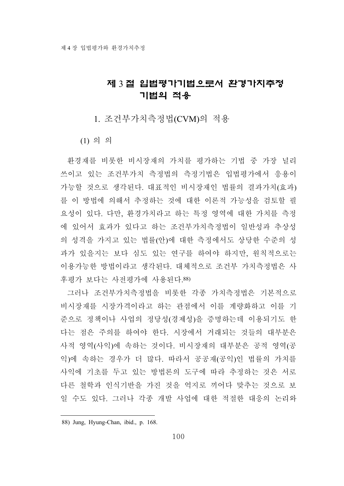## 제 3 절 입법평가기법으로서 환경가치추정 기법의 적용

1. 조건부가치측정법(CVM)의 적용

(1) 의 의

환경재를 비롯한 비시장재의 가치를 평가하는 기법 중 가장 널리 쓰이고 있는 조건부가치 측정법의 측정기법은 입법평가에서 응용이 가능할 것으로 생각된다. 대표적인 비시장재인 법률의 결과가치(효과) 를 이 방법에 의해서 추정하는 것에 대한 이론적 가능성을 검토할 필 요성이 있다. 다만, 환경가치라고 하는 특정 영역에 대한 가치를 측정 에 있어서 효과가 있다고 하는 조건부가치측정법이 일반성과 추상성 의 성격을 가지고 있는 법률(안)에 대한 측정에서도 상당한 수준의 성 과가 있을지는 보다 심도 있는 연구를 하여야 하지만, 원칙적으로는 이용가능한 방법이라고 생각된다. 대체적으로 조건부 가치측정법은 사 후평가 보다는 사전평가에 사용된다.88)

그러나 조건부가치측정법을 비롯한 각종 가치측정법은 기본적으로 비시장재를 시장가격이라고 하는 관점에서 이를 계량화하고 이를 기 준으로 정책이나 사업의 정당성(경제성)을 증명하는데 이용되기도 한 다는 점은 주의를 하여야 한다. 시장에서 거래되는 것들의 대부분은 사적 영역(사익)에 속하는 것이다. 비시장재의 대부분은 공적 영역(공 익)에 속하는 경우가 더 많다. 따라서 공공재(공익)인 법률의 가치를 사익에 기초를 두고 있는 방법론의 도구에 따라 추정하는 것은 서로 다른 철학과 인식기반을 가진 것을 억지로 끼어다 맞추는 것으로 보 일 수도 있다. 그러나 각종 개발 사업에 대한 적절한 대응의 논리와

<sup>88)</sup> Jung, Hyung-Chan, ibid., p. 168.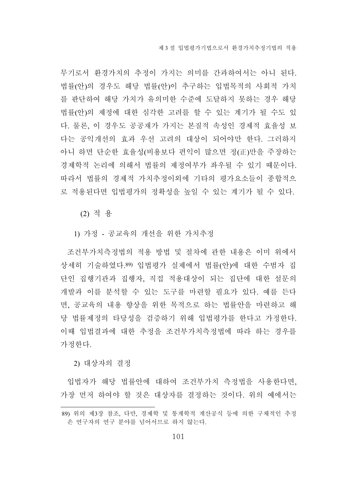무기로서 환경가치의 추정이 가지는 의미를 간과하여서는 아니 된다. 법률(안)의 경우도 해당 법률(안)이 추구하는 입법목적의 사회적 가치 를 판단하여 해당 가치가 유의미한 수준에 도달하지 못하는 경우 해당 법률(안)의 제정에 대한 심각한 고려를 할 수 있는 계기가 될 수도 있 다. 물론, 이 경우도 공공재가 가지는 본질적 속성인 경제적 효율성 보 다는 공익개선의 효과 우선 고려의 대상이 되어야만 한다. 그러하지 아니 하면 단순한 효율성(비용보다 편익이 많으면 정(正)만을 주장하는 경제학적 논리에 의해서 법률의 제정여부가 좌우될 수 있기 때문이다. 따라서 법률의 경제적 가치추정이외에 기타의 평가요소들이 종합적으 로 적용된다면 입법평가의 정확성을 높일 수 있는 계기가 될 수 있다.

(2) 적 용

1) 가정 - 공교육의 개선을 위한 가치추정

조건부가치측정법의 적용 방법 및 절차에 관한 내용은 이미 위에서 상세히 기술하였다.89) 입법평가 실제에서 법률(안)에 대한 수범자 집 단인 집행기관과 집행자, 직접 적용대상이 되는 집단에 대한 설문의 개발과 이를 분석할 수 있는 도구를 마련할 필요가 있다. 예를 든다 면, 공교육의 내용 향상을 위한 목적으로 하는 법률안을 마련하고 해 당 법률제정의 타당성을 검증하기 위해 입법평가를 한다고 가정한다. 이때 입법결과에 대한 추정을 조건부가치측정법에 따라 하는 경우를 가정한다.

2) 대상자의 결정

입법자가 해당 법률안에 대하여 조건부가치 측정법을 사용한다면, 가장 먼저 하여야 할 것은 대상자를 결정하는 것이다. 위의 예에서는

<sup>89)</sup> 위의 제3장 참조, 다만, 경제학 및 통계학적 계산공식 등에 의한 구체적인 추정 은 연구자의 연구 분야를 넘어서므로 하지 않는다.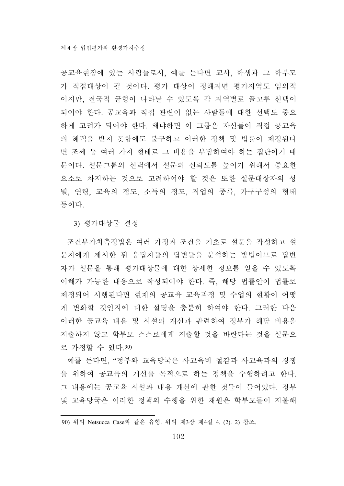공교육현장에 있는 사람들로서, 예를 든다면 교사, 학생과 그 학부모 가 직접대상이 될 것이다. 평가 대상이 정해지면 평가지역도 임의적 이지만, 전국적 균형이 나타날 수 있도록 각 지역별로 골고루 선택이 되어야 한다. 공교육과 직접 관련이 없는 사람들에 대한 선택도 중요 하게 고려가 되어야 한다. 왜냐하면 이 그룹은 자신들이 직접 공교육 의 혜택을 받지 못함에도 불구하고 이러한 정책 및 법률이 제정된다 면 조세 등 여러 가지 형태로 그 비용을 부담하여야 하는 집단이기 때 문이다. 설문그룹의 선택에서 설문의 신뢰도를 높이기 위해서 중요한 요소로 차지하는 것으로 고려하여야 할 것은 또한 설문대상자의 성 별, 연령, 교육의 정도, 소득의 정도, 직업의 종류, 가구구성의 형태 등이다.

3) 평가대상물 결정

조건부가치측정법은 여러 가정과 조건을 기초로 설문을 작성하고 설 문자에게 제시한 뒤 응답자들의 답변들을 분석하는 방법이므로 답변 자가 설문을 통해 평가대상물에 대한 상세한 정보를 얻을 수 있도록 이해가 가능한 내용으로 작성되어야 한다. 즉, 해당 법률안이 법률로 제정되어 시행된다면 현재의 공교육 교육과정 및 수업의 현황이 어떻 게 변화할 것인지에 대한 설명을 충분히 하여야 한다. 그러한 다음 이러한 공교육 내용 및 시설의 개선과 관련하여 정부가 해당 비용을 지출하지 않고 학부모 스스로에게 지출할 것을 바란다는 것을 설문으 로 가정할 수 있다.90)

예를 든다면, "정부와 교육당국은 사교육비 절감과 사교육과의 경쟁 을 위하여 공교육의 개선을 목적으로 하는 정책을 수행하려고 한다. 그 내용에는 공교육 시설과 내용 개선에 관한 것들이 들어있다. 정부 및 교육당국은 이러한 정책의 수행을 위한 재원은 학부모들이 지불해

<sup>90)</sup> 위의 Netsucca Case와 같은 유형. 위의 제3장 제4절 4. (2). 2) 참조.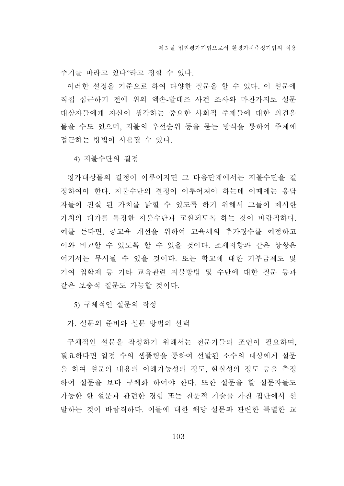주기를 바라고 있다"라고 정할 수 있다.

이러한 설정을 기준으로 하여 다양한 질문을 할 수 있다. 이 설문에 직접 접근하기 전에 위의 엑손-발데즈 사건 조사와 마찬가지로 설문 대상자들에게 자신이 생각하는 중요한 사회적 주제들에 대한 의견을 물을 수도 있으며, 지불의 우선순위 등을 묻는 방식을 통하여 주제에 접근하는 방법이 사용될 수 있다.

4) 지불수단의 결정

평가대상물의 결정이 이루어지면 그 다음단계에서는 지불수단을 결 정하여야 한다. 지불수단의 결정이 이루어져야 하는데 이때에는 응답 자들이 진실 된 가치를 밝힐 수 있도록 하기 위해서 그들이 제시한 가치의 대가를 특정한 지불수단과 교환되도록 하는 것이 바람직하다. 예를 든다면, 공교육 개선을 위하여 교육세의 추가징수를 예정하고 이와 비교할 수 있도록 할 수 있을 것이다. 조세저항과 같은 상황은 여기서는 무시될 수 있을 것이다. 또는 학교에 대한 기부금제도 및 기여 입학제 등 기타 교육관련 지불방법 및 수단에 대한 질문 등과 같은 보충적 질문도 가능할 것이다.

5) 구체적인 설문의 작성

가. 설문의 준비와 설문 방법의 선택

구체적인 설문을 작성하기 위해서는 전문가들의 조언이 필요하며, 필요하다면 일정 수의 샘플링을 통하여 선발된 소수의 대상에게 설문 을 하여 설문의 내용의 이해가능성의 정도, 현실성의 정도 등을 측정 하여 설문을 보다 구체화 하여야 한다. 또한 설문을 할 설문자들도 가능한 한 설문과 관련한 경험 또는 전문적 기술을 가진 집단에서 선 발하는 것이 바람직하다. 이들에 대한 해당 설문과 관련한 특별한 교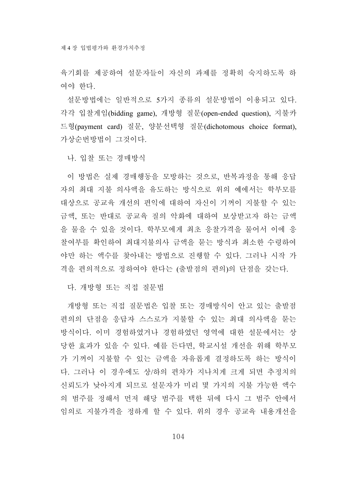육기회를 제공하여 설문자들이 자신의 과제를 정확히 숙지하도록 하 여야 한다.

설문방법에는 일반적으로 5가지 종류의 설문방법이 이용되고 있다. 각각 입찰게임(bidding game), 개방형 질문(open-ended question), 지불카 드형(payment card) 질문, 양분선택형 질문(dichotomous choice format), 가상순번방법이 그것이다.

나. 입찰 또는 경매방식

이 방법은 실제 경매행동을 모방하는 것으로, 반복과정을 통해 응답 자의 최대 지불 의사액을 유도하는 방식으로 위의 예에서는 학부모를 대상으로 공교육 개선의 편익에 대하여 자신이 기꺼이 지불할 수 있는 금액, 또는 반대로 공교육 질의 악화에 대하여 보상받고자 하는 금액 을 물을 수 있을 것이다. 학부모에게 최초 응찰가격을 물어서 이에 응 찰여부를 확인하여 최대지불의사 금액을 묻는 방식과 최소한 수령하여 야만 하는 액수를 찾아내는 방법으로 진행할 수 있다. 그러나 시작 가 격을 편의적으로 정하여야 한다는 (출발점의 편의)의 단점을 갖는다.

다. 개방형 또는 직접 질문법

개방형 또는 직접 질문법은 입찰 또는 경매방식이 안고 있는 출발점 편의의 단점을 응답자 스스로가 지불할 수 있는 최대 의사액을 묻는 방식이다. 이미 경험하였거나 경험하였던 영역에 대한 설문에서는 상 당한 효과가 있을 수 있다. 예를 든다면, 학교시설 개선을 위해 학부모 가 기꺼이 지불할 수 있는 금액을 자유롭게 결정하도록 하는 방식이 다. 그러나 이 경우에도 상/하의 편차가 지나치게 크게 되면 추정치의 신뢰도가 낮아지게 되므로 설문자가 미리 몇 가지의 지불 가능한 액수 의 범주를 정해서 먼저 해당 범주를 택한 뒤에 다시 그 범주 안에서 임의로 지불가격을 정하게 할 수 있다. 위의 경우 공교육 내용개선을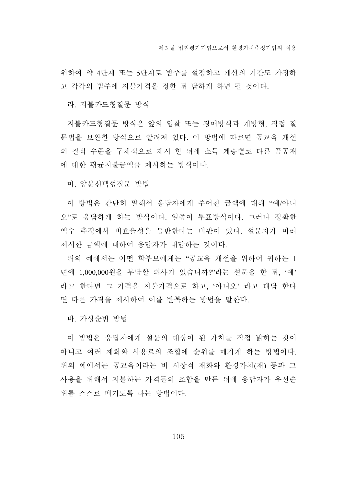위하여 약 4단계 또는 5단계로 범주를 설정하고 개선의 기간도 가정하 고 각각의 범주에 지불가격을 정한 뒤 답하게 하면 될 것이다.

라. 지불카드형질문 방식

지불카드형질문 방식은 앞의 입찰 또는 경매방식과 개방형, 직접 질 문법을 보완한 방식으로 알려져 있다. 이 방법에 따르면 공교육 개선 의 질적 수준을 구체적으로 제시 한 뒤에 소득 계층별로 다른 공공재 에 대한 평균지불금액을 제시하는 방식이다.

마. 양분선택형질문 방법

이 방법은 간단히 말해서 응답자에게 주어진 금액에 대해 "예/아니 오"로 응답하게 하는 방식이다. 일종이 투표방식이다. 그러나 정확한 액수 추정에서 비효율성을 동반한다는 비판이 있다. 설문자가 미리 제시한 금액에 대하여 응답자가 대답하는 것이다.

위의 예에서는 어떤 학부모에게는 "공교육 개선을 위하여 귀하는 1 년에 1,000,000원을 부담할 의사가 있습니까?"라는 설문을 한 뒤, '예' 라고 한다면 그 가격을 지불가격으로 하고, '아니오' 라고 대답 한다 면 다른 가격을 제시하여 이를 반복하는 방법을 말한다.

바. 가상순번 방법

이 방법은 응답자에게 설문의 대상이 된 가치를 직접 밝히는 것이 아니고 여러 재화와 사용료의 조합에 순위를 매기게 하는 방법이다. 위의 예에서는 공교육이라는 비 시장적 재화와 환경가치(재) 등과 그 사용을 위해서 지불하는 가격들의 조합을 만든 뒤에 응답자가 우선순 위를 스스로 메기도록 하는 방법이다.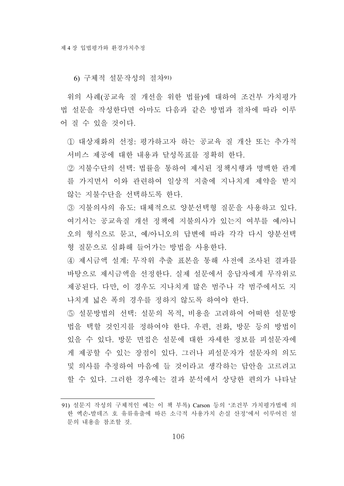6) 구체적 설문작성의 절차91)

위의 사례(공교육 질 개선을 위한 법률)에 대하여 조건부 가치평가 법 설문을 작성한다면 아마도 다음과 같은 방법과 절차에 따라 이루 어 질 수 있을 것이다.

① 대상재화의 선정: 평가하고자 하는 공교육 질 개산 또는 추가적 서비스 제공에 대한 내용과 달성목표를 정확히 한다.

② 지불수단의 선택: 법률을 통하여 제시된 정책시행과 명백한 관계 를 가지면서 이와 관련하여 일상적 지출에 지나치게 제약을 받지 않는 지불수단을 선택하도록 한다.

- ③ 지불의사의 유도: 대체적으로 양분선택형 질문을 사용하고 있다. 여기서는 공교육질 개선 정책에 지불의사가 있는지 여부를 예/아니 오의 형식으로 묻고, 예/아니오의 답변에 따라 각각 다시 양분선택 형 질문으로 심화해 들어가는 방법을 사용한다.
- ④ 제시금액 설계: 무작위 추출 표본을 통해 사전에 조사된 결과를 바탕으로 제시금액을 선정한다. 실제 설문에서 응답자에게 무작위로 제공된다. 다만, 이 경우도 지나치게 많은 범주나 각 범주에서도 지 나치게 넓은 폭의 경우를 정하지 않도록 하여야 한다.

⑤ 설문방법의 선택: 설문의 목적, 비용을 고려하여 어떠한 설문방 법을 택할 것인지를 정하여야 한다. 우편, 전화, 방문 등의 방법이 있을 수 있다. 방문 면접은 설문에 대한 자세한 정보를 피설문자에 게 제공할 수 있는 장점이 있다. 그러나 피설문자가 설문자의 의도 및 의사를 추정하여 마음에 들 것이라고 생각하는 답안을 고르려고 할 수 있다. 그러한 경우에는 결과 분석에서 상당한 편의가 나타날

<sup>91)</sup> 설문지 작성의 구체적인 예는 이 책 부록) Carson 등의 '조건부 가치평가법에 의 한 엑손-발데즈 호 유류유출에 따른 소극적 사용가치 손실 산정'에서 이루어진 설 문의 내용을 참조할 것.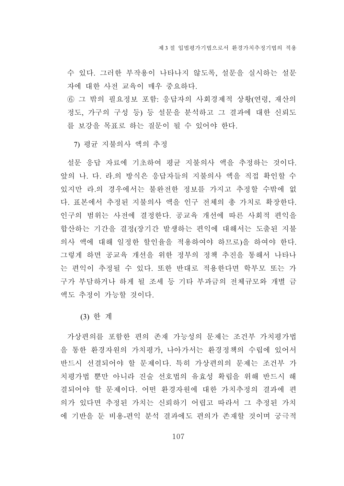수 있다. 그러한 부작용이 나타나지 않도록, 설문을 실시하는 설문 자에 대한 사전 교육이 매우 중요하다.

⑥ 그 밖의 필요정보 포함: 응답자의 사회경제적 상황(연령, 재산의 정도, 가구의 구성 등) 등 설문을 분석하고 그 결과에 대한 신뢰도 를 보강을 목표로 하는 질문이 될 수 있어야 한다.

7) 평균 지불의사 액의 추정

설문 응답 자료에 기초하여 평균 지불의사 액을 추정하는 것이다. 앞의 나. 다. 라.의 방식은 응답자들의 지불의사 액을 직접 확인할 수 있지만 라.의 경우에서는 불완전한 정보를 가지고 추정할 수밖에 없 다. 표본에서 추정된 지불의사 액을 인구 전체의 총 가치로 확장한다. 인구의 범위는 사전에 결정한다. 공교육 개선에 따른 사회적 편익을 합산하는 기간을 결정(장기간 발생하는 편익에 대해서는 도출된 지불 의사 액에 대해 일정한 할인율을 적용하여야 하므로)을 하여야 한다. 그렇게 하면 공교육 개선을 위한 정부의 정책 추진을 통해서 나타나 는 편익이 추정될 수 있다. 또한 반대로 적용한다면 학부모 또는 가 구가 부담하거나 하게 될 조세 등 기타 부과금의 전체규모와 개별 금 액도 추정이 가능할 것이다.

(3) 한 계

가상편의를 포함한 편의 존재 가능성의 문제는 조건부 가치평가법 을 통한 환경자원의 가치평가, 나아가서는 환경정책의 수립에 있어서 반드시 선결되어야 할 문제이다. 특히 가상편의의 문제는 조건부 가 치평가법 뿐만 아니라 진술 선호법의 유효성 확립을 위해 반드시 해 결되어야 할 문제이다. 어떤 환경자원에 대한 가치추정의 결과에 편 의가 있다면 추정된 가치는 신뢰하기 어렵고 따라서 그 추정된 가치 에 기반을 둔 비용-편익 분석 결과에도 편의가 존재할 것이며 궁극적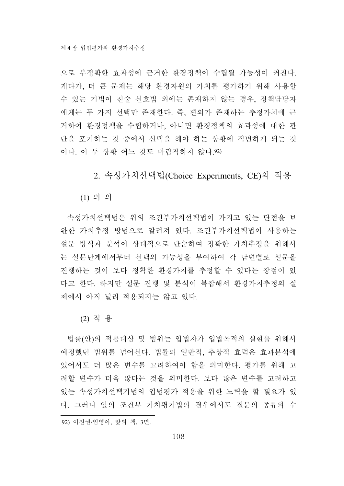으로 부정확한 효과성에 근거한 환경정책이 수립될 가능성이 커진다. 게다가, 더 큰 문제는 해당 환경자원의 가치를 평가하기 위해 사용할 수 있는 기법이 진술 선호법 외에는 존재하지 않는 경우, 정책담당자 에게는 두 가지 선택만 존재한다. 즉, 편의가 존재하는 추정가치에 근 거하여 환경정책을 수립하거나, 아니면 환경정책의 효과성에 대한 판 단을 포기하는 것 중에서 선택을 해야 하는 상황에 직면하게 되는 것 이다. 이 두 상황 어느 것도 바람직하지 않다.92)

2. 속성가치선택법(Choice Experiments, CE)의 적용

(1) 의 의

속성가치선택법은 위의 조건부가치선택법이 가지고 있는 단점을 보 완한 가치추정 방법으로 알려져 있다. 조건부가치선택법이 사용하는 설문 방식과 분석이 상대적으로 단순하여 정확한 가치추정을 위해서 는 설문단계에서부터 선택의 가능성을 부여하여 각 답변별로 설문을 진행하는 것이 보다 정확한 환경가치를 추정할 수 있다는 장점이 있 다고 한다. 하지만 설문 진행 및 분석이 복잡해서 환경가치추정의 실 제에서 아직 널리 적용되지는 않고 있다.

(2) 적 용

법률(안)의 적용대상 및 범위는 입법자가 입법목적의 실현을 위해서 예정했던 범위를 넘어선다. 법률의 일반적, 추상적 효력은 효과분석에 있어서도 더 많은 변수를 고려하여야 함을 의미한다. 평가를 위해 고 려할 변수가 더욱 많다는 것을 의미한다. 보다 많은 변수를 고려하고 있는 속성가치선택기법의 입법평가 적용을 위한 노력을 할 필요가 있 다. 그러나 앞의 조건부 가치평가법의 경우에서도 질문의 종류와 수

<sup>92)</sup> 이진권/임영아, 앞의 책, 3면.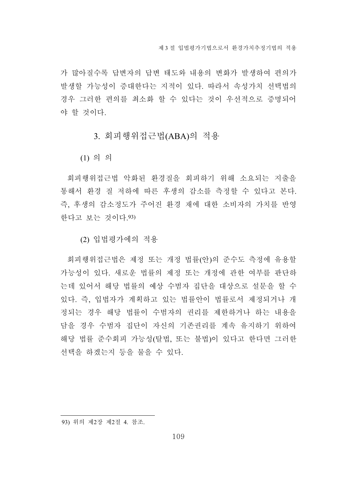가 많아질수록 답변자의 답변 태도와 내용의 변화가 발생하여 편의가 발생할 가능성이 증대한다는 지적이 있다. 따라서 속성가치 선택법의 경우 그러한 편의를 최소화 할 수 있다는 것이 우선적으로 증명되어 야 할 것이다.

3. 회피행위접근법(ABA)의 적용

(1) 의 의

회피행위접근법 악화된 환경질을 회피하기 위해 소요되는 지출을 통해서 환경 질 저하에 따른 후생의 감소를 측정할 수 있다고 본다. 즉, 후생의 감소정도가 주어진 환경 재에 대한 소비자의 가치를 반영 한다고 보는 것이다.93)

(2) 입법평가에의 적용

회피행위접근법은 제정 또는 개정 법률(안)의 준수도 측정에 유용할 가능성이 있다. 새로운 법률의 제정 또는 개정에 관한 여부를 판단하 는데 있어서 해당 법률의 예상 수범자 집단을 대상으로 설문을 할 수 있다. 즉, 입법자가 계획하고 있는 법률안이 법률로서 제정되거나 개 정되는 경우 해당 법률이 수범자의 권리를 제한하거나 하는 내용을 담을 경우 수범자 집단이 자신의 기존권리를 계속 유지하기 위하여 해당 법률 준수회피 가능성(탈법, 또는 불법)이 있다고 한다면 그러한 선택을 하겠는지 등을 물을 수 있다.

93) 위의 제2장 제2절 4. 참조.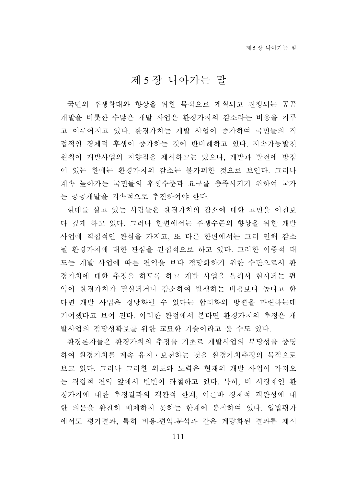# 제 5 장 나아가는 말

국민의 후생확대와 향상을 위한 목적으로 계획되고 진행되는 공공 개발을 비롯한 수많은 개발 사업은 환경가치의 감소라는 비용을 치루 고 이루어지고 있다. 환경가치는 개발 사업이 증가하여 국민들의 직 접적인 경제적 후생이 증가하는 것에 반비례하고 있다. 지속가능발전 원칙이 개발사업의 지향점을 제시하고는 있으나, 개발과 발전에 방점 이 있는 한에는 환경가치의 감소는 불가피한 것으로 보인다. 그러나 계속 높아가는 국민들의 후생수준과 요구를 충족시키기 위하여 국가 는 공공개발을 지속적으로 추진하여야 한다.

현대를 살고 있는 사람들은 환경가치의 감소에 대한 고민을 이전보 다 깊게 하고 있다. 그러나 한편에서는 후생수준의 향상을 위한 개발 사업에 직접적인 관심을 가지고, 또 다른 한편에서는 그러 인해 감소 될 환경가치에 대한 관심을 간접적으로 하고 있다. 그러한 이중적 태 도는 개발 사업에 따른 편익을 보다 정당화하기 위한 수단으로서 환 경가치에 대한 추정을 하도록 하고 개발 사업을 통해서 현시되는 편 익이 환경가치가 멸실되거나 감소하여 발생하는 비용보다 높다고 한 다면 개발 사업은 정당화될 수 있다는 합리화의 방편을 마련하는데 기여했다고 보여 진다. 이러한 관점에서 본다면 환경가치의 추정은 개 발사업의 정당성확보를 위한 교묘한 기술이라고 볼 수도 있다.

환경론자들은 환경가치의 추정을 기초로 개발사업의 부당성을 증명 하여 환경가치를 계속 유지․보전하는 것을 환경가치추정의 목적으로 보고 있다. 그러나 그러한 의도와 노력은 현재의 개발 사업이 가져오 는 직접적 편익 앞에서 번번이 좌절하고 있다. 특히, 비 시장재인 환 경가치에 대한 추정결과의 객관적 한계, 이른바 경제적 객관성에 대 한 의문을 완전히 배제하지 못하는 한계에 봉착하여 있다. 입법평가 에서도 평가결과, 특히 비용-편익-분석과 같은 계량화된 결과를 제시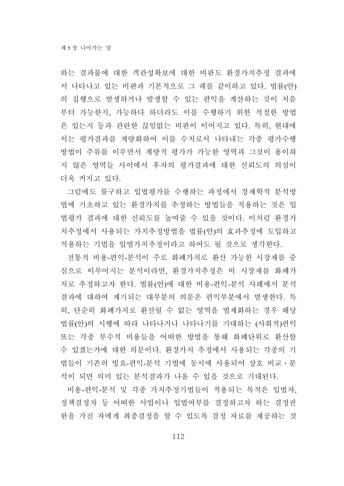하는 결과물에 대한 객관성확보에 대한 비판도 환경가치추정 결과에 서 나타나고 있는 비판과 기본적으로 그 궤를 같이하고 있다. 법률(안) 의 집행으로 발생하거나 발생할 수 있는 편익을 계산하는 것이 처음 부터 가능한지, 가능하다 하더라도 이를 수행하기 위한 적절한 방법 은 있는지 등과 관련한 끊임없는 비판이 이어지고 있다. 특히, 현대에 서는 평가결과를 계량화하여 이를 수치로서 나타내는 각종 평가수행 방법이 주류를 이루면서 계량적 평가가 가능한 영역과 그것이 용이하 지 않은 영역들 사이에서 후자의 평가결과에 대한 신뢰도의 의심이 더욱 커지고 있다.

그럼에도 불구하고 입법평가를 수행하는 과정에서 경제학적 분석방 법에 기초하고 있는 환경가치를 추정하는 방법들을 적용하는 것은 입 법평가 결과에 대한 신뢰도를 높여줄 수 있을 것이다. 이처럼 환경가 치추정에서 사용되는 가치추정방법을 법률(안)의 효과추정에 도입하고 적용하는 기법을 입법가치추정이라고 하여도 될 것으로 생각한다.

전통적 비용-편익-분석이 주로 화폐가치로 환산 가능한 시장재를 중 심으로 이루어지는 분석이라면, 환경가치추정은 비 시장재를 화폐가 치로 추정하고자 한다. 법률(안)에 대한 비용-편익-분석 사례에서 분석 결과에 대하여 제기되는 대부분의 의문은 편익부분에서 발생한다. 특 히, 단순히 화폐가치로 환산될 수 없는 영역을 법제화하는 경우 해당 법률(안)의 시행에 따라 나타나거나 나타나기를 기대하는 (사회적)편익 또는 각종 부수적 비용들을 어떠한 방법을 통해 화폐단위로 환산할 수 있겠는가에 대한 의문이다. 환경가치 추정에서 사용되는 각종의 기 법들이 기존의 빙요-편익-분석 기법에 동시에 사용되어 상호 비교․분 석이 되면 의미 있는 분석결과가 나올 수 있을 것으로 기대된다.

비용-편익-분석 및 각종 가치추정기법들이 적용되는 목적은 입법자, 정책결정자 등 어떠한 사업이나 입법여부를 결정하고자 하는 결정권 한을 가진 자에게 최종결정을 할 수 있도록 결정 자료를 제공하는 것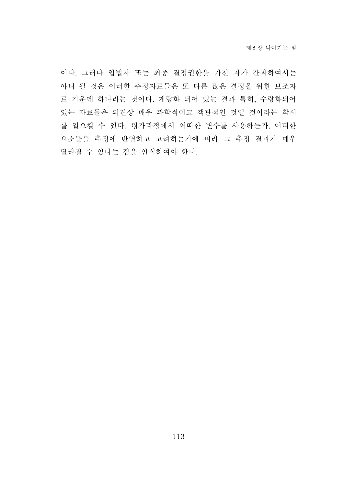이다. 그러나 입법자 또는 최종 결정권한을 가진 자가 간과하여서는 아니 될 것은 이러한 추정자료들은 또 다른 많은 결정을 위한 보조자 료 가운데 하나라는 것이다. 계량화 되어 있는 결과 특히, 수량화되어 있는 자료들은 외견상 매우 과학적이고 객관적인 것일 것이라는 착시 를 일으킬 수 있다. 평가과정에서 어떠한 변수를 사용하는가, 어떠한 요소들을 추정에 반영하고 고려하는가에 따라 그 추정 결과가 매우 달라질 수 있다는 점을 인식하여야 한다.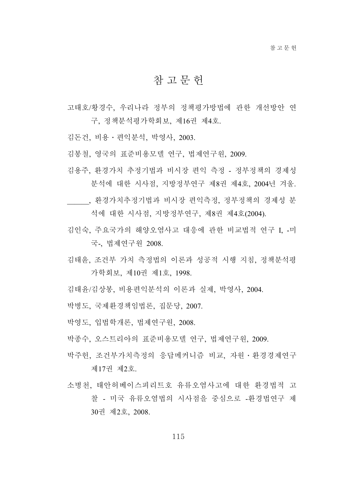## 참고문헌

- 고태호/황경수, 우리나라 정부의 정책평가방법에 관한 개선방안 연 구, 정책분석평가학회보, 제16권 제4호.
- 김돈건, 비용․편익분석, 박영사, 2003.
- 김봉철, 영국의 표준비용모델 연구, 법제연구원, 2009.
- 김용주, 환경가치 추정기법과 비시장 편익 측정 정부정책의 경제성 분석에 대한 시사점, 지방정부연구 제8권 제4호, 2004년 겨울.
- \_\_\_\_\_\_, 환경가치추정기법과 비시장 편익측정, 정부정책의 경제성 분 석에 대한 시사점, 지방정부연구, 제8권 제4호(2004).
- 김인숙, 주요국가의 해양오염사고 대응에 관한 비교법적 연구 I, -미 국-, 법제연구원 2008.
- 김태윤, 조건부 가치 측정법의 이론과 성공적 시행 지침, 정책분석평 가학회보, 제10권 제1호, 1998.
- 김태윤/김상봉, 비용편익분석의 이론과 실제, 박영사, 2004.
- 박병도, 국제환경책임법론, 집문당, 2007.
- 박영도, 입법학개론, 법제연구원, 2008.
- 박종수, 오스트리아의 표준비용모델 연구, 법제연구원, 2009.
- 박주헌, 조건부가치측정의 응답메커니즘 비교, 자원․환경경제연구 제17권 제2호.
- 소병천, 태안허베이스피리트호 유류오염사고에 대한 환경법적 고 찰 - 미국 유류오염법의 시사점을 중심으로 -환경법연구 제 30권 제2호, 2008.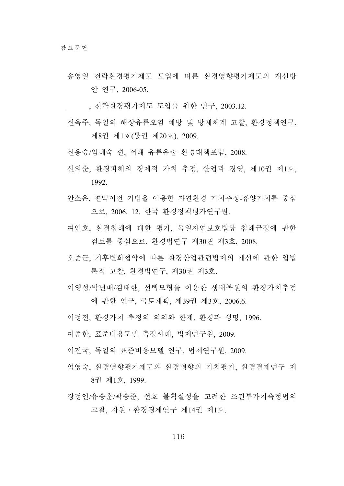- 송영일 전략환경평가제도 도입에 따른 환경영향평가제도의 개선방 안 연구, 2006-05.
- \_\_\_\_\_\_, 전략환경평가제도 도입을 위한 연구, 2003.12.
- 신옥주, 독일의 해상유류오염 예방 및 방제체계 고찰, 환경정책연구, 제8권 제1호(통권 제20호), 2009.
- 신용승/임혜숙 편, 서해 유류유출 환경대책포럼, 2008.
- 신의순, 환경피해의 경제적 가치 추정, 산업과 경영, 제10권 제1호, 1992.
- 안소은, 편익이전 기법을 이용한 자연환경 가치추정-휴양가치를 중심 으로, 2006. 12. 한국 환경정책평가연구원.
- 여인호, 환경침해에 대한 평가, 독일자연보호법상 침해규정에 관한 검토를 중심으로, 환경법연구 제30권 제3호, 2008.
- 오준근, 기후변화협약에 따른 환경산업관련법제의 개선에 관한 입법 론적 고찰, 환경법연구, 제30권 제3호.
- 이영성/박년배/김태한, 선택모형을 이용한 생태복원의 환경가치추정 에 관한 연구, 국토계획, 제39권 제3호, 2006.6.
- 이정전, 환경가치 추정의 의의와 한계, 환경과 생명, 1996.
- 이종한, 표준비용모델 측정사례, 법제연구원, 2009.
- 이진국, 독일의 표준비용모델 연구, 법제연구원, 2009.
- 엄영숙, 환경영향평가제도와 환경영향의 가치평가, 환경경제연구 제 8권 제1호, 1999.
- 장정인/유승훈/곽승준, 선호 불확실성을 고려한 조건부가치측정법의 고찰, 자원․환경경제연구 제14권 제1호.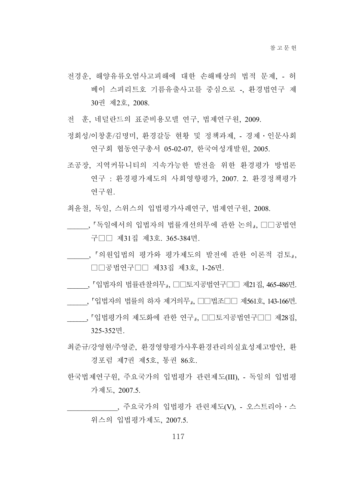- 전경운, 해양유류오염사고피해에 대한 손해배상의 법적 문제, 허 베이 스피리트호 기름유출사고를 중심으로 -, 환경법연구 제 30권 제2호, 2008.
- 전 훈, 네덜란드의 표준비용모델 연구, 법제연구원, 2009.
- 정회성/이창훈/김명미, 환경갈등 현황 및 정책과제, 경제․인문사회 연구회 협동연구총서 05-02-07, 한국여성개발원, 2005.
- 조공장, 지역커뮤니티의 지속가능한 발전을 위한 환경평가 방법론 연구 : 환경평가제도의 사회영향평가, 2007. 2. 환경정책평가 연구원.
- 최윤철, 독일, 스위스의 입법평가사례연구, 법제연구원, 2008.
- , 『독일에서의 입법자의 법률개선의무에 관한 논의 , □□공법연 구□□ 제31집 제3호. 365-384면.
- , 『의원입법의 평가와 평가제도의 발전에 관한 이론적 검토』, □□공법연구□□ 제33집 제3호, 1-26면.
- , 「입법자의 법률관찰의무」, □□토지공법연구□□ 제21집, 465-486면.
- \_\_\_\_\_, 「입법자의 법률의 하자 제거의무」, □□법조□□ 제561호, 143-166면.
- , 「입법평가의 제도화에 관한 연구 , □□토지공법연구□□ 제28집, 325-352면.
- 최준규/강영현/주영준, 환경영향평가사후환경관리의실효성제고방안, 환 경포럼 제7권 제5호, 통권 86호.
- 한국법제연구원, 주요국가의 입법평가 관련제도(III), 독일의 입법평 가제도, 2007.5.
	- \_\_\_, 주요국가의 입법평가 관련제도(V), 오스트리아ㆍ스 위스의 입법평가제도, 2007.5.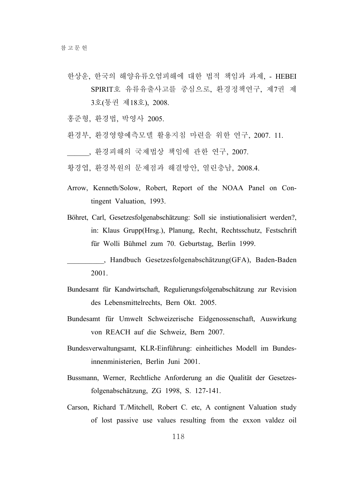- 한상운, 한국의 해양유류오염피해에 대한 법적 책임과 과제, HEBEI SPIRIT호 유류유출사고를 중심으로, 환경정책연구, 제7권 제 3호(통권 제18호), 2008.
- 홍준형, 환경법, 박영사 2005.
- 환경부, 환경영향예측모델 활용지침 마련을 위한 연구, 2007. 11.
- \_\_\_\_\_\_, 환경피해의 국제법상 책임에 관한 연구, 2007.
- 황경엽, 환경복원의 문제점과 해결방안, 열린충남, 2008.4.
- Arrow, Kenneth/Solow, Robert, Report of the NOAA Panel on Contingent Valuation, 1993.
- Böhret, Carl, Gesetzesfolgenabschätzung: Soll sie instiutionalisiert werden?, in: Klaus Grupp(Hrsg.), Planung, Recht, Rechtsschutz, Festschrift für Wolli Bühmel zum 70. Geburtstag, Berlin 1999.
- \_\_\_\_\_\_\_\_\_\_, Handbuch Gesetzesfolgenabschätzung(GFA), Baden-Baden 2001.
- Bundesamt für Kandwirtschaft, Regulierungsfolgenabschätzung zur Revision des Lebensmittelrechts, Bern Okt. 2005.
- Bundesamt für Umwelt Schweizerische Eidgenossenschaft, Auswirkung von REACH auf die Schweiz, Bern 2007.
- Bundesverwaltungsamt, KLR-Einführung: einheitliches Modell im Bundesinnenministerien, Berlin Juni 2001.
- Bussmann, Werner, Rechtliche Anforderung an die Qualität der Gesetzesfolgenabschätzung, ZG 1998, S. 127-141.
- Carson, Richard T./Mitchell, Robert C. etc, A contignent Valuation study of lost passive use values resulting from the exxon valdez oil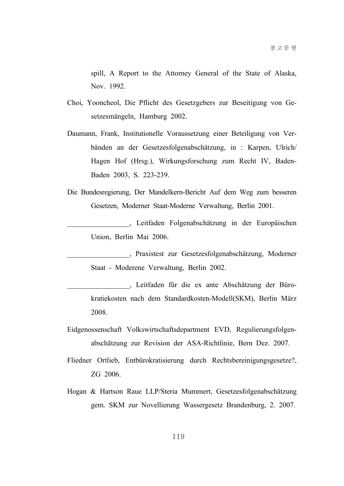spill, A Report to the Attorney General of the State of Alaska, Nov. 1992.

- Choi, Yooncheol, Die Pflicht des Gesetzgebers zur Beseitigung von Gesetzesmängeln, Hamburg 2002.
- Daumann, Frank, Institutionelle Voraussetzung einer Beteiligung von Verbänden an der Gesetzesfolgenabschätzung, in : Karpen, Ulrich/ Hagen Hof (Hrsg.), Wirkungsforschung zum Recht IV, Baden-Baden 2003, S. 223-239.
- Die Bundesregierung, Der Mandelkern-Bericht Auf dem Weg zum besseren Gesetzen, Moderner Staat-Moderne Verwaltung, Berlin 2001.

\_\_\_\_\_\_\_\_\_\_\_\_\_\_\_\_\_, Leitfaden Folgenabschätzung in der Europäischen Union, Berlin Mai 2006.

\_\_\_\_\_\_\_\_\_\_\_\_\_\_\_\_\_, Praxistest zur Gesetzesfolgenabschätzung, Moderner Staat - Moderene Verwaltung, Berlin 2002.

\_\_\_\_\_\_\_\_\_\_\_\_\_\_\_\_\_, Leitfaden für die ex ante Abschätzung der Bürokratiekosten nach dem Standardkosten-Modell(SKM), Berlin März 2008.

- Eidgenossenschaft Volkswirtschaftsdepartment EVD, Regulierungsfolgenabschätzung zur Revision der ASA-Richtlinie, Bern Dez. 2007.
- Fliedner Ortlieb, Entbürokratisierung durch Rechtsbereinigungsgesetze?, ZG 2006.
- Hogan & Hartson Raue LLP/Steria Mummert, Gesetzesfolgenabschätzung gem. SKM zur Novellierung Wassergesetz Brandenburg, 2. 2007.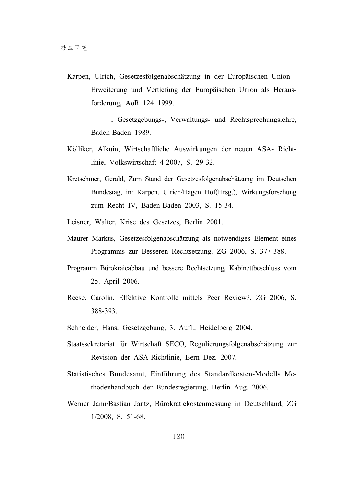Karpen, Ulrich, Gesetzesfolgenabschätzung in der Europäischen Union - Erweiterung und Vertiefung der Europäischen Union als Herausforderung, AöR 124 1999.

\_\_\_\_\_\_\_\_\_\_\_\_, Gesetzgebungs-, Verwaltungs- und Rechtsprechungslehre, Baden-Baden 1989.

- Kölliker, Alkuin, Wirtschaftliche Auswirkungen der neuen ASA- Richtlinie, Volkswirtschaft 4-2007, S. 29-32.
- Kretschmer, Gerald, Zum Stand der Gesetzesfolgenabschätzung im Deutschen Bundestag, in: Karpen, Ulrich/Hagen Hof(Hrsg.), Wirkungsforschung zum Recht IV, Baden-Baden 2003, S. 15-34.
- Leisner, Walter, Krise des Gesetzes, Berlin 2001.
- Maurer Markus, Gesetzesfolgenabschätzung als notwendiges Element eines Programms zur Besseren Rechtsetzung, ZG 2006, S. 377-388.
- Programm Bürokraieabbau und bessere Rechtsetzung, Kabinettbeschluss vom 25. April 2006.
- Reese, Carolin, Effektive Kontrolle mittels Peer Review?, ZG 2006, S. 388-393.
- Schneider, Hans, Gesetzgebung, 3. Aufl., Heidelberg 2004.
- Staatssekretariat für Wirtschaft SECO, Regulierungsfolgenabschätzung zur Revision der ASA-Richtlinie, Bern Dez. 2007.
- Statistisches Bundesamt, Einführung des Standardkosten-Modells Methodenhandbuch der Bundesregierung, Berlin Aug. 2006.
- Werner Jann/Bastian Jantz, Bürokratiekostenmessung in Deutschland, ZG 1/2008, S. 51-68.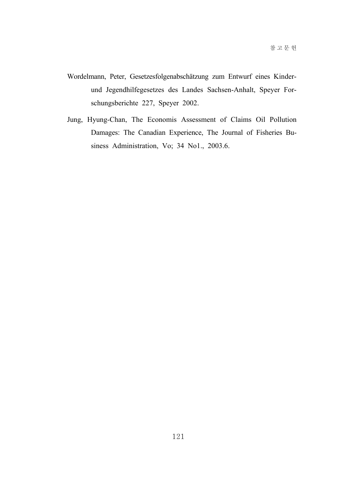- Wordelmann, Peter, Gesetzesfolgenabschätzung zum Entwurf eines Kinderund Jegendhilfegesetzes des Landes Sachsen-Anhalt, Speyer Forschungsberichte 227, Speyer 2002.
- Jung, Hyung-Chan, The Economis Assessment of Claims Oil Pollution Damages: The Canadian Experience, The Journal of Fisheries Business Administration, Vo; 34 No1., 2003.6.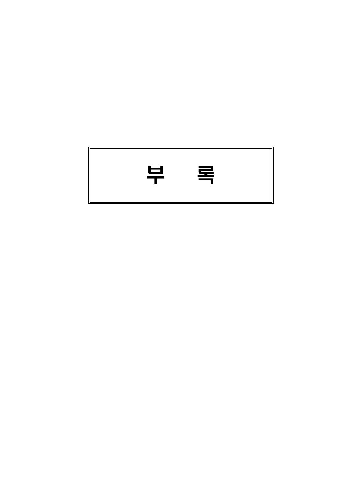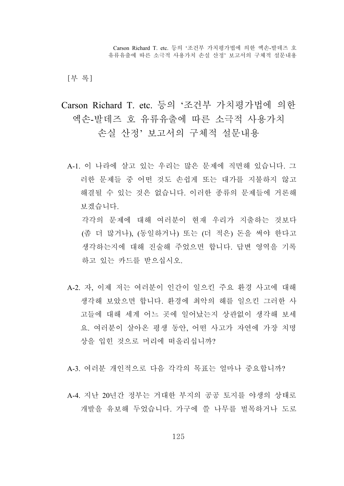[부 록]

Carson Richard T. etc. 등의 '조건부 가치평가법에 의한 엑손-발데즈 호 유류유출에 따른 소극적 사용가치 손실 산정' 보고서의 구체적 설문내용

A-1. 이 나라에 살고 있는 우리는 많은 문제에 직면해 있습니다. 그 러한 문제들 중 어떤 것도 손쉽게 또는 대가를 지불하지 않고 해결될 수 있는 것은 없습니다. 이러한 종류의 문제들에 거론해 보겠습니다. 각각의 문제에 대해 여러분이 현재 우리가 지출하는 것보다

(좀 더 많거나), (동일하거나) 또는 (더 적은) 돈을 써야 한다고 생각하는지에 대해 진술해 주었으면 합니다. 답변 영역을 기록 하고 있는 카드를 받으십시오.

A-2. 자, 이제 저는 여러분이 인간이 일으킨 주요 환경 사고에 대해 생각해 보았으면 합니다. 환경에 최악의 해를 일으킨 그러한 사 고들에 대해 세계 어느 곳에 일어났는지 상관없이 생각해 보세 요. 여러분이 살아온 평생 동안, 어떤 사고가 자연에 가장 치명 상을 입힌 것으로 머리에 떠올리십니까?

A-3. 여러분 개인적으로 다음 각각의 목표는 얼마나 중요합니까?

A-4. 지난 20년간 정부는 거대한 부지의 공공 토지를 야생의 상태로 개발을 유보해 두었습니다. 가구에 쓸 나무를 벌목하거나 도로

125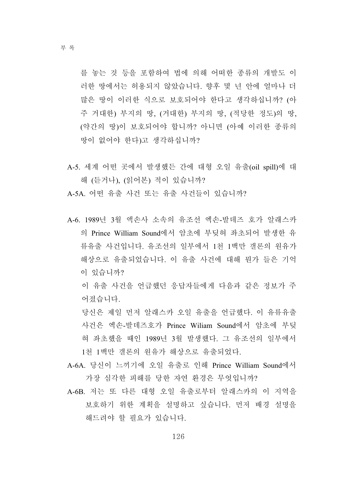부 록

를 놓는 것 등을 포함하여 법에 의해 어떠한 종류의 개발도 이 러한 땅에서는 허용되지 않았습니다. 향후 몇 년 안에 얼마나 더 많은 땅이 이러한 식으로 보호되어야 한다고 생각하십니까? (아 주 거대한) 부지의 땅, (거대한) 부지의 땅, (적당한 정도)의 땅, (약간의 땅)이 보호되어야 합니까? 아니면 (아예 이러한 종류의 땅이 없어야 한다)고 생각하십니까?

- A-5. 세계 어떤 곳에서 발생했든 간에 대형 오일 유출(oil spill)에 대 해 (듣거나), (읽어본) 적이 있습니까?
- A-5A. 어떤 유출 사건 또는 유출 사건들이 있습니까?
- A-6. 1989년 3월 액손사 소속의 유조선 엑손-발데즈 호가 알래스카 의 Prince William Sound에서 암초에 부딪혀 좌초되어 발생한 유 류유출 사건입니다. 유조선의 일부에서 1천 1백만 갤론의 원유가 해상으로 유출되었습니다. 이 유출 사건에 대해 뭔가 들은 기억 이 있습니까?

 이 유출 사건을 언급했던 응답자들에게 다음과 같은 정보가 주 어졌습니다.

 당신은 제일 먼저 알래스카 오일 유출을 언급했다. 이 유류유출 사건은 엑손-발데즈호가 Prince Wiliam Sound에서 암초에 부딪 혀 좌초했을 때인 1989년 3월 발생했다. 그 유조선의 일부에서 1천 1백만 갤론의 원유가 해상으로 유출되었다.

- A-6A. 당신이 느끼기에 오일 유출로 인해 Prince William Sound에서 가장 심각한 피해를 당한 자연 환경은 무엇입니까?
- A-6B. 저는 또 다른 대형 오일 유출로부터 알래스카의 이 지역을 보호하기 위한 계획을 설명하고 싶습니다. 먼저 배경 설명을 해드려야 할 필요가 있습니다.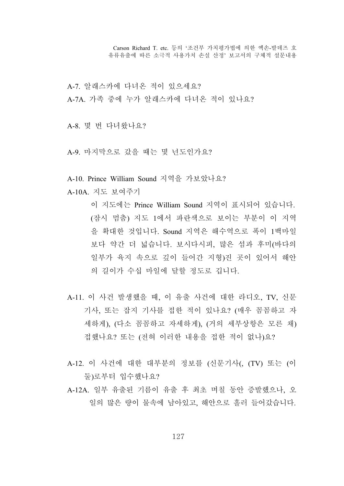A-7. 알래스카에 다녀온 적이 있으세요? A-7A. 가족 중에 누가 알래스카에 다녀온 적이 있나요?

A-8. 몇 번 다녀왔나요?

A-9. 마지막으로 갔을 때는 몇 년도인가요?

A-10. Prince William Sound 지역을 가보았나요?

A-10A. 지도 보여주기

 이 지도에는 Prince William Sound 지역이 표시되어 있습니다. (잠시 멈춤) 지도 1에서 파란색으로 보이는 부분이 이 지역 을 확대한 것입니다. Sound 지역은 해수역으로 폭이 1백마일 보다 약간 더 넓습니다. 보시다시피, 많은 섬과 후미(바다의 일부가 육지 속으로 깊이 들어간 지형)진 곳이 있어서 해안 의 길이가 수십 마일에 달할 정도로 깁니다.

- A-11. 이 사건 발생했을 때, 이 유출 사건에 대한 라디오, TV, 신문 기사, 또는 잡지 기사를 접한 적이 있나요? (매우 꼼꼼하고 자 세하게), (다소 꼼꼼하고 자세하게), (거의 세부상항은 모른 채) 접했나요? 또는 (전혀 이러한 내용을 접한 적이 없나)요?
- A-12. 이 사건에 대한 대부분의 정보를 (신문기사(, (TV) 또는 (이 둘)로부터 입수했나요?
- A-12A. 일부 유출된 기름이 유출 후 최초 며칠 동안 증발했으나, 오 일의 많은 량이 물속에 남아있고, 해안으로 흘러 들어갔습니다.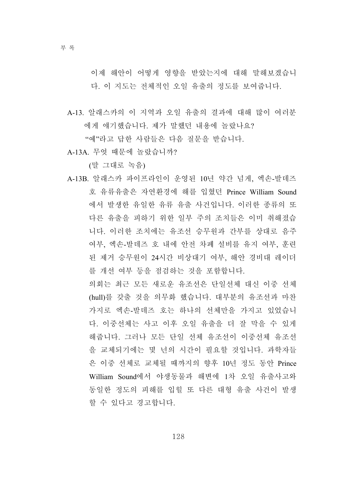이제 해안이 어떻게 영향을 받았는지에 대해 말해보겠습니 다. 이 지도는 전체적인 오일 유출의 정도를 보여줍니다.

A-13. 알래스카의 이 지역과 오일 유출의 결과에 대해 많이 여러분 에게 얘기했습니다. 제가 말했던 내용에 놀랐나요?

"예"라고 답한 사람들은 다음 질문을 받습니다.

A-13A. 무엇 때문에 놀랐습니까?

(말 그대로 녹음)

A-13B. 알래스카 파이프라인이 운영된 10년 약간 넘게, 엑손-발데즈 호 유류유출은 자연환경에 해를 입혔던 Prince William Sound 에서 발생한 유일한 유류 유출 사건입니다. 이러한 종류의 또 다른 유출을 피하기 위한 일부 주의 조치들은 이미 취해졌습 니다. 이러한 조치에는 유조선 승무원과 간부를 상대로 음주 여부, 엑손-발데즈 호 내에 안전 차폐 설비를 유지 여부, 훈련 된 제거 승무원이 24시간 비상대기 여부, 해안 경비대 레이더 를 개선 여부 등을 점검하는 것을 포함합니다.

 의회는 최근 모든 새로운 유조선은 단일선체 대신 이중 선체 (hull)를 갖출 것을 의무화 했습니다. 대부분의 유조선과 마찬 가지로 엑손-발데즈 호는 하나의 선체만을 가지고 있었습니 다. 이중선체는 사고 이후 오일 유출을 더 잘 막을 수 있게 해줍니다. 그러나 모든 단일 선체 유조선이 이중선체 유조선 을 교체되기에는 몇 년의 시간이 필요할 것입니다. 과학자들 은 이중 선체로 교체될 때까지의 향후 10년 정도 동안 Prince William Sound에서 야생동물과 해변에 1차 오일 유출사고와 동일한 정도의 피해를 입힐 또 다른 대형 유출 사건이 발생 할 수 있다고 경고합니다.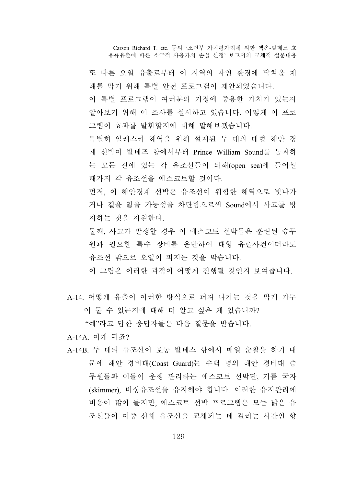또 다른 오일 유출로부터 이 지역의 자연 환경에 닥쳐올 재 해를 막기 위해 특별 안전 프로그램이 제안되었습니다.

 이 특별 프로그램이 여러분의 가정에 중용한 가치가 있는지 알아보기 위해 이 조사를 실시하고 있습니다. 어떻게 이 프로 그램이 효과를 발휘할지에 대해 말해보겠습니다.

 특별히 알래스카 해역을 위해 설계된 두 대의 대형 해안 경 계 선박이 발데즈 항에서부터 Prince William Sound를 통과하 는 모든 길에 있는 각 유조선들이 외해(open sea)에 들어설 때가지 각 유조선을 에스코트할 것이다.

 먼저, 이 해안경계 선박은 유조선이 위험한 해역으로 빗나가 거나 길을 잃을 가능성을 차단함으로써 Sound에서 사고를 방 지하는 것을 지원한다.

 둘째, 사고가 발생할 경우 이 에스코트 선박들은 훈련된 승무 원과 필요한 특수 장비를 운반하여 대형 유출사건이더라도 유조선 밖으로 오일이 퍼지는 것을 막습니다.

이 그림은 이러한 과정이 어떻게 진행될 것인지 보여줍니다.

A-14. 어떻게 유출이 이러한 방식으로 퍼져 나가는 것을 막게 가두 어 둘 수 있는지에 대해 더 알고 싶은 게 있습니까?

"예"라고 답한 응답자들은 다음 질문을 받습니다.

- A-14A. 이게 뭐죠?
- A-14B. 두 대의 유조선이 보통 발데스 항에서 매일 순찰을 하기 때 문에 해안 경비대(Coast Guard)는 수백 명의 해안 경비대 승 무원들과 이들이 운행 관리하는 에스코트 선박단, 거름 국자 (skimmer), 비상유조선을 유지해야 합니다. 이러한 유지관리에 비용이 많이 들지만, 에스코트 선박 프로그램은 모든 낡은 유 조선들이 이중 선체 유조선을 교체되는 데 걸리는 시간인 향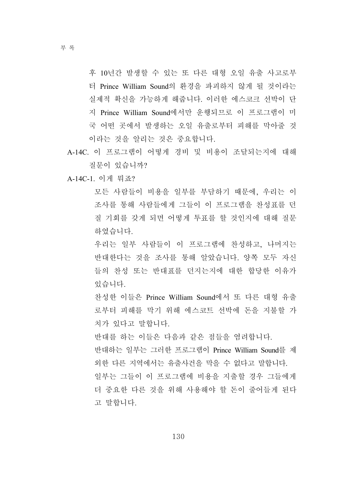후 10년간 발생할 수 있는 또 다른 대형 오일 유출 사고로부 터 Prince William Sound의 환경을 파괴하지 않게 될 것이라는 실제적 확신을 가능하게 해줍니다. 이러한 에스코크 선박이 단 지 Prince William Sound에서만 운행되므로 이 프로그램이 미 국 어떤 곳에서 발생하는 오일 유출로부터 피해를 막아줄 것 이라는 것을 알리는 것은 중요합니다.

A-14C. 이 프로그램이 어떻게 경비 및 비용이 조달되는지에 대해 질문이 있습니까?

A-14C-1. 이게 뭐죠?

 모든 사람들이 비용을 일부를 부담하기 때문에, 우리는 이 조사를 통해 사람들에게 그들이 이 프로그램을 찬성표를 던 질 기회를 갖게 되면 어떻게 투표를 할 것인지에 대해 질문 하였습니다.

 우리는 일부 사람들이 이 프로그램에 찬성하고, 나머지는 반대한다는 것을 조사를 통해 알았습니다. 양쪽 모두 자신 들의 찬성 또는 반대표를 던지는지에 대한 합당한 이유가 있습니다.

 찬성한 이들은 Prince William Sound에서 또 다른 대형 유출 로부터 피해를 막기 위해 에스코트 선박에 돈을 지불할 가 치가 있다고 말합니다.

반대를 하는 이들은 다음과 같은 점들을 염려합니다.

 반대하는 일부는 그러한 프로그램이 Prince William Sound를 제 외한 다른 지역에서는 유출사건을 막을 수 없다고 말합니다. 일부는 그들이 이 프로그램에 비용을 지출할 경우 그들에게 더 중요한 다른 것을 위해 사용해야 할 돈이 줄어들게 된다 고 말합니다.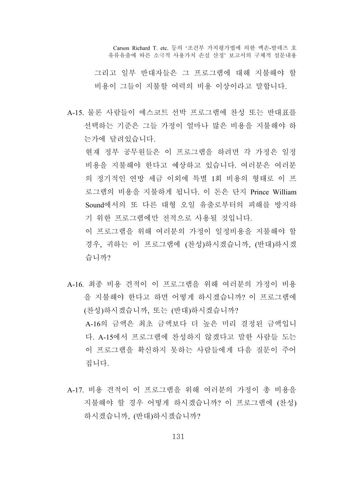그리고 일부 반대자들은 그 프로그램에 대해 지불해야 할 비용이 그들이 지불할 여력의 비용 이상이라고 말합니다.

A-15. 물론 사람들이 에스코트 선박 프로그램에 찬성 또는 반대표를 선택하는 기준은 그들 가정이 얼마나 많은 비용을 지불해야 하 는가에 달려있습니다.

 현재 정부 공무원들은 이 프로그램을 하려면 각 가정은 일정 비용을 지불해야 한다고 예상하고 있습니다. 여러분은 여러분 의 정기적인 연방 세금 이외에 특별 1회 비용의 형태로 이 프 로그램의 비용을 지불하게 됩니다. 이 돈은 단지 Prince William Sound에서의 또 다른 대형 오일 유출로부터의 피해를 방지하 기 위한 프로그램에만 전적으로 사용될 것입니다.

 이 프로그램을 위해 여러분의 가정이 일정비용을 지불해야 할 경우, 귀하는 이 프로그램에 (찬성)하시겠습니까, (반대)하시겠 습니까?

- A-16. 최종 비용 견적이 이 프로그램을 위해 여러분의 가정이 비용 을 지불해야 한다고 하면 어떻게 하시겠습니까? 이 프로그램에 (찬성)하시겠습니까, 또는 (반대)하시겠습니까? A-16의 금액은 최초 금액보다 더 높은 미리 결정된 금액입니 다. A-15에서 프로그램에 찬성하지 않겠다고 말한 사람들 도는 이 프로그램을 확신하지 못하는 사람들에게 다음 질문이 주어 집니다.
- A-17. 비용 견적이 이 프로그램을 위해 여러분의 가정이 총 비용을 지불해야 할 경우 어떻게 하시겠습니까? 이 프로그램에 (찬성) 하시겠습니까, (반대)하시겠습니까?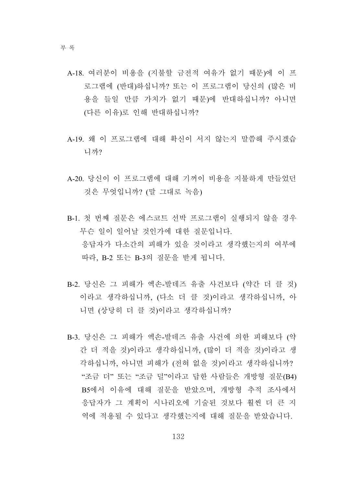- A-18. 여러분이 비용을 (지불할 금전적 여유가 없기 때문)에 이 프 로그램에 (반대)하십니까? 또는 이 프로그램이 당신의 (많은 비 용을 들일 만큼 가치가 없기 때문)에 반대하십니까? 아니면 (다른 이유)로 인해 반대하십니까?
- A-19. 왜 이 프로그램에 대해 확신이 서지 않는지 말씀해 주시겠습 니까?
- A-20. 당신이 이 프로그램에 대해 기꺼이 비용을 지불하게 만들었던 것은 무엇입니까? (말 그대로 녹음)
- B-1. 첫 번째 질문은 에스코트 선박 프로그램이 실행되지 않을 경우 무슨 일이 일어날 것인가에 대한 질문입니다. 응답자가 다소간의 피해가 있을 것이라고 생각했는지의 여부에 따라, B-2 또는 B-3의 질문을 받게 됩니다.
- B-2. 당신은 그 피해가 엑손-발데즈 유출 사건보다 (약간 더 클 것) 이라고 생각하십니까, (다소 더 클 것)이라고 생각하십니까, 아 니면 (상당히 더 클 것)이라고 생각하십니까?
- B-3. 당신은 그 피해가 엑손-발데즈 유출 사건에 의한 피해보다 (약 간 더 적을 것)이라고 생각하십니까, (많이 더 적을 것)이라고 생 각하십니까, 아니면 피해가 (전혀 없을 것)이라고 생각하십니까? "조금 더" 또는 "조금 덜"이라고 답한 사람들은 개방형 질문(B4) B5에서 이유에 대해 질문을 받았으며, 개방형 추적 조사에서 응답자가 그 계획이 시나리오에 기술된 것보다 훨씬 더 큰 지 역에 적용될 수 있다고 생각했는지에 대해 질문을 받았습니다.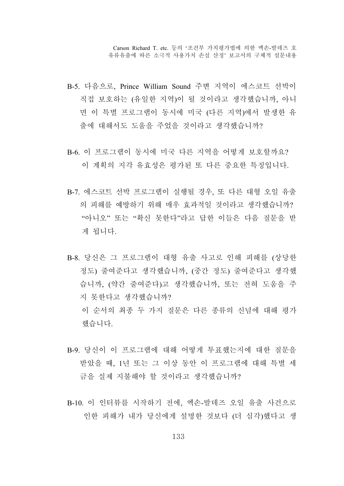- B-5. 다음으로, Prince William Sound 주변 지역이 에스코트 선박이 직접 보호하는 (유일한 지역)이 될 것이라고 생각했습니까, 아니 면 이 특별 프로그램이 동시에 미국 (다른 지역)에서 발생한 유 출에 대해서도 도움을 주었을 것이라고 생각했습니까?
- B-6. 이 프로그램이 동시에 미국 다른 지역을 어떻게 보호할까요? 이 계획의 지각 유효성은 평가된 또 다른 중요한 특징입니다.
- B-7. 에스코트 선박 프로그램이 실행될 경우, 또 다른 대형 오일 유출 의 피해를 예방하기 위해 매우 효과적일 것이라고 생각했습니까? "아니오" 또는 "확신 못한다"라고 답한 이들은 다음 질문을 받 게 됩니다.
- B-8. 당신은 그 프로그램이 대형 유출 사고로 인해 피해를 (상당한 정도) 줄여준다고 생각했습니까, (중간 정도) 줄여준다고 생각했 습니까, (약간 줄여준다)고 생각했습니까, 또는 전혀 도움을 주 지 못한다고 생각했습니까? 이 순서의 최종 두 가지 질문은 다른 종류의 신념에 대해 평가 했습니다.
- B-9. 당신이 이 프로그램에 대해 어떻게 투표했는지에 대한 질문을 받았을 때, 1년 또는 그 이상 동안 이 프로그램에 대해 특별 세 금을 실제 지불해야 할 것이라고 생각했습니까?
- B-10. 이 인터뷰를 시작하기 전에, 엑손-발데즈 오일 유출 사건으로 인한 피해가 내가 당신에게 설명한 것보다 (더 심각)했다고 생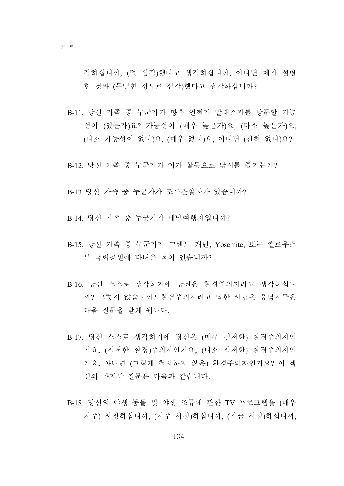각하십니까, (덜 심각)했다고 생각하십니까, 아니면 제가 설명 한 것과 (동일한 정도로 심각)했다고 생각하십니까?

- B-11. 당신 가족 중 누군가가 향후 언젠가 알래스카를 방문할 가능 성이 (있는가)요? 가능성이 (매우 높은가)요, (다소 높은가)요, (다소 가능성이 없나)요, (매우 없나)요, 아니면 (전혀 없나)요?
- B-12. 당신 가족 중 누군가가 여가 활동으로 낚시를 즐기는가?
- B-13 당신 가족 중 누군가가 조류관찰자가 있습니까?
- B-14. 당신 가족 중 누군가가 배낭여행자입니까?
- B-15. 당신 가족 중 누군가가 그랜드 캐넌, Yosemite, 또는 옐로우스 톤 국립공원에 다녀온 적이 있습니까?
- B-16. 당신 스스로 생각하기에 당신은 환경주의자라고 생각하십니 까? 그렇지 않습니까? 환경주의자라고 답한 사람은 응답자들은 다음 질문을 받게 됩니다.
- B-17. 당신 스스로 생각하기에 당신은 (매우 철저한) 환경주의자인 가요, (철저한 환경)주의자인가요, (다소 철저한) 환경주의자인 가요, 아니면 (그렇게 철저하지 않은) 환경주의자인가요? 이 섹 션의 마지막 질문은 다음과 같습니다.
- B-18. 당신의 야생 동물 및 야생 조류에 관한 TV 프로그램을 (매우 자주) 시청하십니까, (자주 시청)하십니까, (가끔 시청)하십니까,

134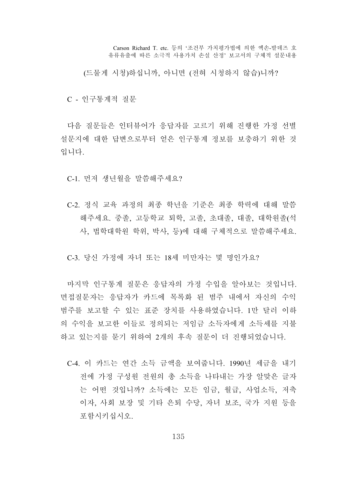(드물게 시청)하십니까, 아니면 (전혀 시청하지 않습)니까?

C - 인구통계적 질문

다음 질문들은 인터뷰어가 응답자를 고르기 위해 진행한 가정 선별 설문지에 대한 답변으로부터 얻은 인구통계 정보를 보충하기 위한 것 입니다.

C-1. 먼저 생년월을 말씀해주세요?

C-2. 정식 교육 과정의 최종 학년을 기준은 최종 학력에 대해 말씀 해주세요. 중졸, 고등학교 퇴학, 고졸, 초대졸, 대졸, 대학원졸(석 사, 법학대학원 학위, 박사, 등)에 대해 구체적으로 말씀해주세요.

C-3. 당신 가정에 자녀 또는 18세 미만자는 몇 명인가요?

마지막 인구통계 질문은 응답자의 가정 수입을 알아보는 것입니다. 면접질문자는 응답자가 카드에 목록화 된 범주 내에서 자신의 수익 범주를 보고할 수 있는 표준 장치를 사용하였습니다. 1만 달러 이하 의 수익을 보고한 이들로 정의되는 저임금 소득자에게 소득세를 지불 하고 있는지를 묻기 위하여 2개의 후속 질문이 더 진행되었습니다.

C-4. 이 카드는 연간 소득 금액을 보여줍니다. 1990년 세금을 내기 전에 가정 구성원 전원의 총 소득을 나타내는 가장 알맞은 글자 는 어떤 것입니까? 소득에는 모든 임금, 월급, 사업소득, 저축 이자, 사회 보장 및 기타 은퇴 수당, 자녀 보조, 국가 지원 등을 포함시키십시오.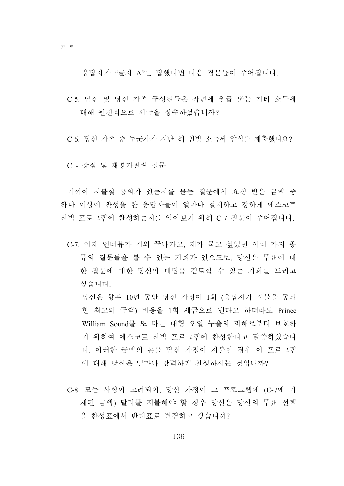응답자가 "글자 A"를 답했다면 다음 질문들이 주어집니다.

- C-5. 당신 및 당신 가족 구성원들은 작년에 월급 또는 기타 소득에 대해 원천적으로 세금을 징수하셨습니까?
- C-6. 당신 가족 중 누군가가 지난 해 연방 소득세 양식을 제출했나요?
- C 장점 및 재평가관련 질문

기꺼이 지불할 용의가 있는지를 묻는 질문에서 요청 받은 금액 중 하나 이상에 찬성을 한 응답자들이 얼마나 철저하고 강하게 에스코트 선박 프로그램에 찬성하는지를 알아보기 위해 C-7 질문이 주어집니다.

C-7. 이제 인터뷰가 거의 끝나가고, 제가 묻고 싶었던 여러 가지 종 류의 질문들을 볼 수 있는 기회가 있으므로, 당신은 투표에 대 한 질문에 대한 당신의 대답을 검토할 수 있는 기회를 드리고 싶습니다.

 당신은 향후 10년 동안 당신 가정이 1회 (응답자가 지불을 동의 한 최고의 금액) 비용을 1회 세금으로 낸다고 하더라도 Prince William Sound를 또 다른 대형 오일 누출의 피해로부터 보호하 기 위하여 에스코트 선박 프로그램에 찬성한다고 말씀하셨습니 다. 이러한 금액의 돈을 당신 가정이 지불할 경우 이 프로그램 에 대해 당신은 얼마나 강력하게 찬성하시는 것입니까?

C-8. 모든 사항이 고려되어, 당신 가정이 그 프로그램에 (C-7에 기 재된 금액) 달러를 지불해야 할 경우 당신은 당신의 투표 선택 을 찬성표에서 반대표로 변경하고 싶습니까?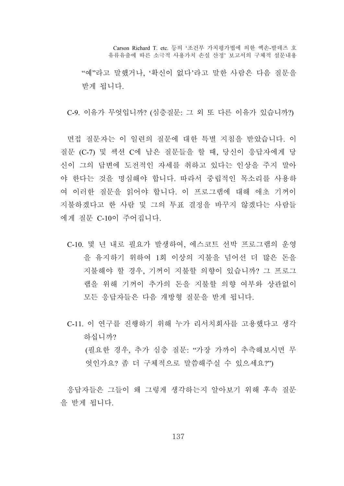"예"라고 말했거나, '확신이 없다'라고 말한 사람은 다음 질문을 받게 됩니다.

C-9. 이유가 무엇입니까? (심층질문: 그 외 또 다른 이유가 있습니까?)

면접 질문자는 이 일련의 질문에 대한 특별 지침을 받았습니다. 이 질문 (C-7) 및 섹션 C에 남은 질문들을 할 때, 당신이 응답자에게 당 신이 그의 답변에 도전적인 자세를 취하고 있다는 인상을 주지 말아 야 한다는 것을 명심해야 합니다. 따라서 중립적인 목소리를 사용하 여 이러한 질문을 읽어야 합니다. 이 프로그램에 대해 애초 기꺼이 지불하겠다고 한 사람 및 그의 투표 결정을 바꾸지 않겠다는 사람들 에게 질문 C-10이 주어집니다.

- C-10. 몇 년 내로 필요가 발생하여, 에스코트 선박 프로그램의 운영 을 유지하기 위하여 1회 이상의 지불을 넘어선 더 많은 돈을 지불해야 할 경우, 기꺼이 지불할 의향이 있습니까? 그 프로그 램을 위해 기꺼이 추가의 돈을 지불할 의향 여부와 상관없이 모든 응답자들은 다음 개방형 질문을 받게 됩니다.
- C-11. 이 연구를 진행하기 위해 누가 리서치회사를 고용했다고 생각 하십니까? (필요한 경우, 추가 심층 질문: "가장 가까이 추측해보시면 무 엇인가요? 좀 더 구체적으로 말씀해주실 수 있으세요?")

응답자들은 그들이 왜 그렇게 생각하는지 알아보기 위해 후속 질문 을 받게 됩니다.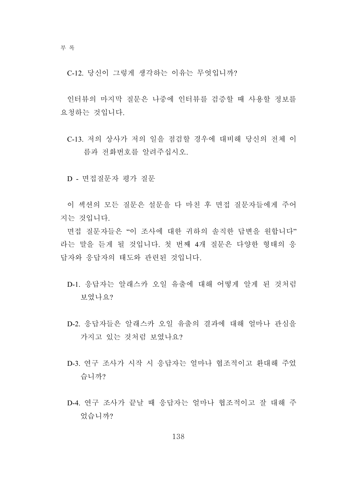C-12. 당신이 그렇게 생각하는 이유는 무엇입니까?

인터뷰의 마지막 질문은 나중에 인터뷰를 검증할 때 사용할 정보를 요청하는 것입니다.

C-13. 저의 상사가 저의 일을 점검할 경우에 대비해 당신의 전체 이 름과 전화번호를 알려주십시오.

D - 면접질문자 평가 질문

이 섹션의 모든 질문은 설문을 다 마친 후 면접 질문자들에게 주어 지는 것입니다.

면접 질문자들은 "이 조사에 대한 귀하의 솔직한 답변을 원합니다" 라는 말을 듣게 될 것입니다. 첫 번째 4개 질문은 다양한 형태의 응 답자와 응답자의 태도와 관련된 것입니다.

- D-1. 응답자는 알래스카 오일 유출에 대해 어떻게 알게 된 것처럼 보였나요?
- D-2. 응답자들은 알래스카 오일 유출의 결과에 대해 얼마나 관심을 가지고 있는 것처럼 보였나요?
- D-3. 연구 조사가 시작 시 응답자는 얼마나 협조적이고 환대해 주었 습니까?
- D-4. 연구 조사가 끝날 때 응답자는 얼마나 협조적이고 잘 대해 주 었습니까?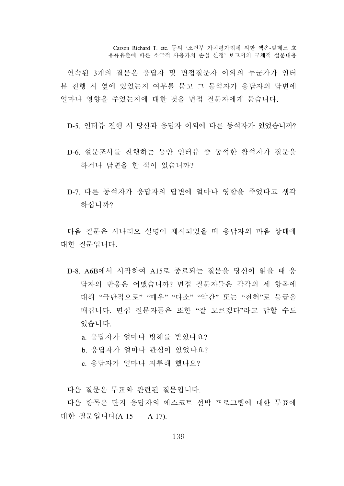연속된 3개의 질문은 응답자 및 면접질문자 이외의 누군가가 인터 뷰 진행 시 옆에 있었는지 여부를 묻고 그 동석자가 응답자의 답변에 얼마나 영향을 주었는지에 대한 것을 면접 질문자에게 묻습니다.

D-5. 인터뷰 진행 시 당신과 응답자 이외에 다른 동석자가 있었습니까?

- D-6. 설문조사를 진행하는 동안 인터뷰 중 동석한 참석자가 질문을 하거나 답변을 한 적이 있습니까?
- D-7. 다른 동석자가 응답자의 답변에 얼마나 영향을 주었다고 생각 하십니까?

다음 질문은 시나리오 설명이 제시되었을 때 응답자의 마음 상태에 대한 질문입니다.

D-8. A6B에서 시작하여 A15로 종료되는 질문을 당신이 읽을 때 응 답자의 반응은 어땠습니까? 면접 질문자들은 각각의 세 항목에 대해 "극단적으로" "매우" "다소" "약간" 또는 "전혀"로 등급을 매깁니다. 면접 질문자들은 또한 "잘 모르겠다"라고 답할 수도 있습니다.

a. 응답자가 얼마나 방해를 받았나요?

- b. 응답자가 얼마나 관심이 있었나요?
- c. 응답자가 얼마나 지루해 했나요?

다음 질문은 투표와 관련된 질문입니다.

다음 항목은 단지 응답자의 에스코트 선박 프로그램에 대한 투표에 대한 질문입니다(A-15 – A-17).